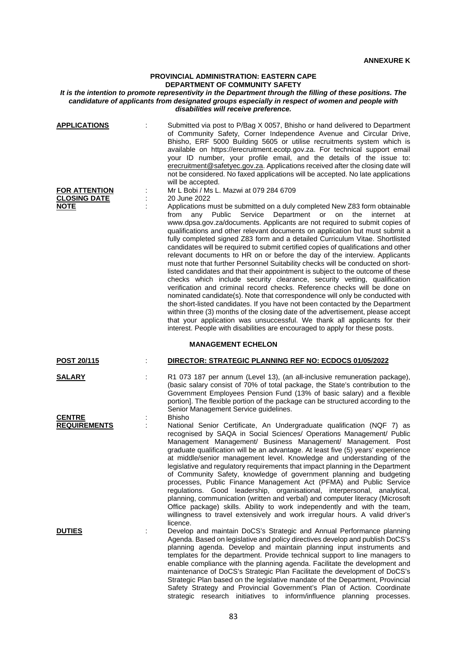# **PROVINCIAL ADMINISTRATION: EASTERN CAPE DEPARTMENT OF COMMUNITY SAFETY**

### *It is the intention to promote representivity in the Department through the filling of these positions. The candidature of applicants from designated groups especially in respect of women and people with disabilities will receive preference.*

| <b>APPLICATIONS</b>                                        | Submitted via post to P/Bag X 0057, Bhisho or hand delivered to Department<br>of Community Safety, Corner Independence Avenue and Circular Drive,<br>Bhisho, ERF 5000 Building 5605 or utilise recruitments system which is<br>available on https://erecruitment.ecotp.gov.za. For technical support email<br>your ID number, your profile email, and the details of the issue to:<br>erecruitment@safetyec.gov.za. Applications received after the closing date will<br>not be considered. No faxed applications will be accepted. No late applications<br>will be accepted.                                                                                                                                                                                                                                                                                                                                                                                                                                                                                                                                                                                                                                                                                                                                                                                                                 |
|------------------------------------------------------------|-----------------------------------------------------------------------------------------------------------------------------------------------------------------------------------------------------------------------------------------------------------------------------------------------------------------------------------------------------------------------------------------------------------------------------------------------------------------------------------------------------------------------------------------------------------------------------------------------------------------------------------------------------------------------------------------------------------------------------------------------------------------------------------------------------------------------------------------------------------------------------------------------------------------------------------------------------------------------------------------------------------------------------------------------------------------------------------------------------------------------------------------------------------------------------------------------------------------------------------------------------------------------------------------------------------------------------------------------------------------------------------------------|
| <b>FOR ATTENTION</b><br><b>CLOSING DATE</b><br><b>NOTE</b> | Mr L Bobi / Ms L. Mazwi at 079 284 6709<br>20 June 2022<br>Applications must be submitted on a duly completed New Z83 form obtainable<br>from<br>Public<br>Service<br>Department<br>any<br>or<br>on<br>the<br>internet<br>at<br>www.dpsa.gov.za/documents. Applicants are not required to submit copies of<br>qualifications and other relevant documents on application but must submit a<br>fully completed signed Z83 form and a detailed Curriculum Vitae. Shortlisted<br>candidates will be required to submit certified copies of qualifications and other<br>relevant documents to HR on or before the day of the interview. Applicants<br>must note that further Personnel Suitability checks will be conducted on short-<br>listed candidates and that their appointment is subject to the outcome of these<br>checks which include security clearance, security vetting, qualification<br>verification and criminal record checks. Reference checks will be done on<br>nominated candidate(s). Note that correspondence will only be conducted with<br>the short-listed candidates. If you have not been contacted by the Department<br>within three (3) months of the closing date of the advertisement, please accept<br>that your application was unsuccessful. We thank all applicants for their<br>interest. People with disabilities are encouraged to apply for these posts. |
|                                                            | <b>MANAGEMENT ECHELON</b>                                                                                                                                                                                                                                                                                                                                                                                                                                                                                                                                                                                                                                                                                                                                                                                                                                                                                                                                                                                                                                                                                                                                                                                                                                                                                                                                                                     |
| <b>POST 20/115</b>                                         | DIRECTOR: STRATEGIC PLANNING REF NO: ECDOCS 01/05/2022                                                                                                                                                                                                                                                                                                                                                                                                                                                                                                                                                                                                                                                                                                                                                                                                                                                                                                                                                                                                                                                                                                                                                                                                                                                                                                                                        |
| <b>SALARY</b><br><b>CENTRE</b>                             | R1 073 187 per annum (Level 13), (an all-inclusive remuneration package),<br>(basic salary consist of 70% of total package, the State's contribution to the<br>Government Employees Pension Fund (13% of basic salary) and a flexible<br>portion]. The flexible portion of the package can be structured according to the<br>Senior Management Service guidelines.<br><b>Bhisho</b>                                                                                                                                                                                                                                                                                                                                                                                                                                                                                                                                                                                                                                                                                                                                                                                                                                                                                                                                                                                                           |
| <b>REQUIREMENTS</b>                                        | National Senior Certificate, An Undergraduate qualification (NQF 7) as<br>recognised by SAQA in Social Sciences/ Operations Management/ Public<br>Management Management/ Business Management/ Management. Post<br>graduate qualification will be an advantage. At least five (5) years' experience<br>at middle/senior management level. Knowledge and understanding of the<br>legislative and regulatory requirements that impact planning in the Department<br>of Community Safety, knowledge of government planning and budgeting<br>processes, Public Finance Management Act (PFMA) and Public Service<br>regulations. Good leadership, organisational, interpersonal, analytical,<br>planning, communication (written and verbal) and computer literacy (Microsoft<br>Office package) skills. Ability to work independently and with the team,<br>willingness to travel extensively and work irregular hours. A valid driver's<br>licence.                                                                                                                                                                                                                                                                                                                                                                                                                                               |
| <b>DUTIES</b>                                              | Develop and maintain DoCS's Strategic and Annual Performance planning<br>Agenda. Based on legislative and policy directives develop and publish DoCS's<br>planning agenda. Develop and maintain planning input instruments and<br>templates for the department. Provide technical support to line managers to<br>enable compliance with the planning agenda. Facilitate the development and<br>maintenance of DoCS's Strategic Plan Facilitate the development of DoCS's<br>Strategic Plan based on the legislative mandate of the Department, Provincial<br>Safety Strategy and Provincial Government's Plan of Action. Coordinate                                                                                                                                                                                                                                                                                                                                                                                                                                                                                                                                                                                                                                                                                                                                                           |

strategic research initiatives to inform/influence planning processes.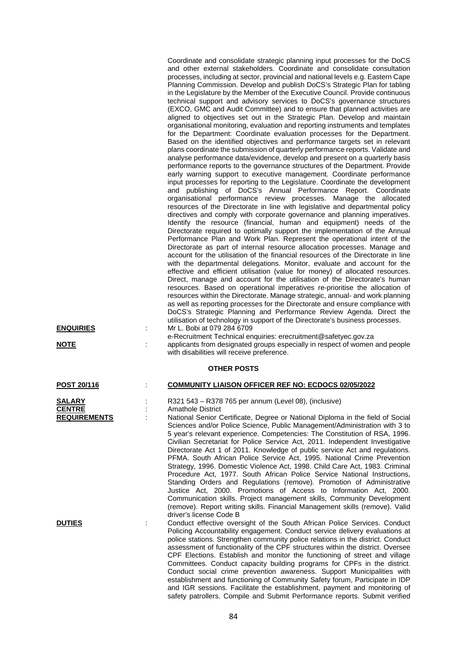| <b>ENQUIRIES</b><br>NOTE                       | Coordinate and consolidate strategic planning input processes for the DoCS<br>and other external stakeholders. Coordinate and consolidate consultation<br>processes, including at sector, provincial and national levels e.g. Eastern Cape<br>Planning Commission. Develop and publish DoCS's Strategic Plan for tabling<br>in the Legislature by the Member of the Executive Council. Provide continuous<br>technical support and advisory services to DoCS's governance structures<br>(EXCO, GMC and Audit Committee) and to ensure that planned activities are<br>aligned to objectives set out in the Strategic Plan. Develop and maintain<br>organisational monitoring, evaluation and reporting instruments and templates<br>for the Department: Coordinate evaluation processes for the Department.<br>Based on the identified objectives and performance targets set in relevant<br>plans coordinate the submission of quarterly performance reports. Validate and<br>analyse performance data/evidence, develop and present on a quarterly basis<br>performance reports to the governance structures of the Department. Provide<br>early warning support to executive management. Coordinate performance<br>input processes for reporting to the Legislature. Coordinate the development<br>and publishing of DoCS's Annual Performance Report. Coordinate<br>organisational performance review processes. Manage the allocated<br>resources of the Directorate in line with legislative and departmental policy<br>directives and comply with corporate governance and planning imperatives.<br>Identify the resource (financial, human and equipment) needs of the<br>Directorate required to optimally support the implementation of the Annual<br>Performance Plan and Work Plan. Represent the operational intent of the<br>Directorate as part of internal resource allocation processes. Manage and<br>account for the utilisation of the financial resources of the Directorate in line<br>with the departmental delegations. Monitor, evaluate and account for the<br>effective and efficient utilisation (value for money) of allocated resources.<br>Direct, manage and account for the utilisation of the Directorate's human<br>resources. Based on operational imperatives re-prioritise the allocation of<br>resources within the Directorate. Manage strategic, annual- and work planning<br>as well as reporting processes for the Directorate and ensure compliance with<br>DoCS's Strategic Planning and Performance Review Agenda. Direct the<br>utilisation of technology in support of the Directorate's business processes.<br>Mr L. Bobi at 079 284 6709<br>e-Recruitment Technical enquiries: erecruitment@safetyec.gov.za<br>applicants from designated groups especially in respect of women and people<br>with disabilities will receive preference. |
|------------------------------------------------|-------------------------------------------------------------------------------------------------------------------------------------------------------------------------------------------------------------------------------------------------------------------------------------------------------------------------------------------------------------------------------------------------------------------------------------------------------------------------------------------------------------------------------------------------------------------------------------------------------------------------------------------------------------------------------------------------------------------------------------------------------------------------------------------------------------------------------------------------------------------------------------------------------------------------------------------------------------------------------------------------------------------------------------------------------------------------------------------------------------------------------------------------------------------------------------------------------------------------------------------------------------------------------------------------------------------------------------------------------------------------------------------------------------------------------------------------------------------------------------------------------------------------------------------------------------------------------------------------------------------------------------------------------------------------------------------------------------------------------------------------------------------------------------------------------------------------------------------------------------------------------------------------------------------------------------------------------------------------------------------------------------------------------------------------------------------------------------------------------------------------------------------------------------------------------------------------------------------------------------------------------------------------------------------------------------------------------------------------------------------------------------------------------------------------------------------------------------------------------------------------------------------------------------------------------------------------------------------------------------------------------------------------------------------------------------------------------------------------------------------------------------------------------------------------------------------------------------------------------------------------------------------|
|                                                | <b>OTHER POSTS</b>                                                                                                                                                                                                                                                                                                                                                                                                                                                                                                                                                                                                                                                                                                                                                                                                                                                                                                                                                                                                                                                                                                                                                                                                                                                                                                                                                                                                                                                                                                                                                                                                                                                                                                                                                                                                                                                                                                                                                                                                                                                                                                                                                                                                                                                                                                                                                                                                                                                                                                                                                                                                                                                                                                                                                                                                                                                                        |
| POST 20/116                                    | <b>COMMUNITY LIAISON OFFICER REF NO: ECDOCS 02/05/2022</b>                                                                                                                                                                                                                                                                                                                                                                                                                                                                                                                                                                                                                                                                                                                                                                                                                                                                                                                                                                                                                                                                                                                                                                                                                                                                                                                                                                                                                                                                                                                                                                                                                                                                                                                                                                                                                                                                                                                                                                                                                                                                                                                                                                                                                                                                                                                                                                                                                                                                                                                                                                                                                                                                                                                                                                                                                                |
| SALARY<br><b>CENTRE</b><br><b>REQUIREMENTS</b> | R321 543 - R378 765 per annum (Level 08), (inclusive)<br><b>Amathole District</b><br>National Senior Certificate, Degree or National Diploma in the field of Social<br>Sciences and/or Police Science, Public Management/Administration with 3 to<br>5 year's relevant experience. Competencies: The Constitution of RSA, 1996.<br>Civilian Secretariat for Police Service Act, 2011. Independent Investigative<br>Directorate Act 1 of 2011. Knowledge of public service Act and regulations.<br>PFMA. South African Police Service Act, 1995. National Crime Prevention<br>Strategy, 1996. Domestic Violence Act, 1998. Child Care Act, 1983. Criminal<br>Procedure Act, 1977. South African Police Service National Instructions,<br>Standing Orders and Regulations (remove). Promotion of Administrative<br>Justice Act, 2000. Promotions of Access to Information Act, 2000.<br>Communication skills. Project management skills, Community Development<br>(remove). Report writing skills. Financial Management skills (remove). Valid<br>driver's license Code B                                                                                                                                                                                                                                                                                                                                                                                                                                                                                                                                                                                                                                                                                                                                                                                                                                                                                                                                                                                                                                                                                                                                                                                                                                                                                                                                                                                                                                                                                                                                                                                                                                                                                                                                                                                                                   |
| <b>DUTIES</b>                                  | Conduct effective oversight of the South African Police Services. Conduct<br>Policing Accountability engagement. Conduct service delivery evaluations at<br>police stations. Strengthen community police relations in the district. Conduct<br>assessment of functionality of the CPF structures within the district. Oversee<br>CPF Elections. Establish and monitor the functioning of street and village<br>Committees. Conduct capacity building programs for CPFs in the district.<br>Conduct social crime prevention awareness. Support Municipalities with<br>establishment and functioning of Community Safety forum, Participate in IDP<br>and IGR sessions. Facilitate the establishment, payment and monitoring of                                                                                                                                                                                                                                                                                                                                                                                                                                                                                                                                                                                                                                                                                                                                                                                                                                                                                                                                                                                                                                                                                                                                                                                                                                                                                                                                                                                                                                                                                                                                                                                                                                                                                                                                                                                                                                                                                                                                                                                                                                                                                                                                                             |

84

safety patrollers. Compile and Submit Performance reports. Submit verified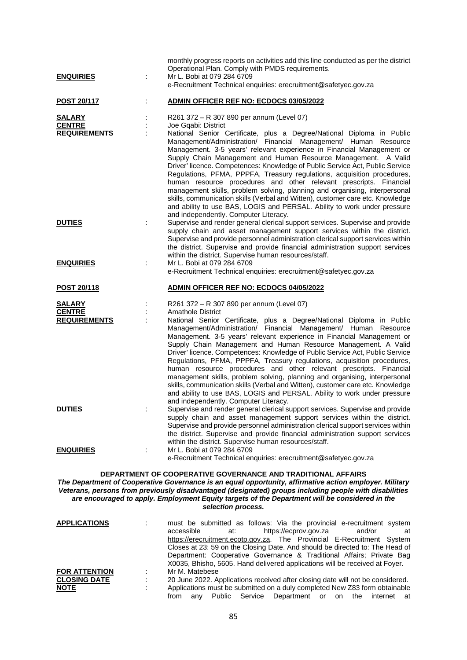|                                                       |   | monthly progress reports on activities add this line conducted as per the district<br>Operational Plan. Comply with PMDS requirements.                                                                                                                                                                                                                                                                                                                                                                                                                                                                                                                                                                                            |
|-------------------------------------------------------|---|-----------------------------------------------------------------------------------------------------------------------------------------------------------------------------------------------------------------------------------------------------------------------------------------------------------------------------------------------------------------------------------------------------------------------------------------------------------------------------------------------------------------------------------------------------------------------------------------------------------------------------------------------------------------------------------------------------------------------------------|
| <b>ENQUIRIES</b>                                      | ÷ | Mr L. Bobi at 079 284 6709<br>e-Recruitment Technical enquiries: erecruitment@safetyec.gov.za                                                                                                                                                                                                                                                                                                                                                                                                                                                                                                                                                                                                                                     |
| POST 20/117                                           |   | ADMIN OFFICER REF NO: ECDOCS 03/05/2022                                                                                                                                                                                                                                                                                                                                                                                                                                                                                                                                                                                                                                                                                           |
| <b>SALARY</b><br><b>CENTRE</b>                        |   | R261 372 - R 307 890 per annum (Level 07)<br>Joe Gqabi: District                                                                                                                                                                                                                                                                                                                                                                                                                                                                                                                                                                                                                                                                  |
| <b>REQUIREMENTS</b>                                   | ÷ | National Senior Certificate, plus a Degree/National Diploma in Public<br>Management/Administration/ Financial Management/ Human Resource<br>Management. 3-5 years' relevant experience in Financial Management or<br>Supply Chain Management and Human Resource Management. A Valid<br>Driver' licence. Competences: Knowledge of Public Service Act, Public Service<br>Regulations, PFMA, PPPFA, Treasury regulations, acquisition procedures,<br>human resource procedures and other relevant prescripts. Financial<br>management skills, problem solving, planning and organising, interpersonal                                                                                                                               |
|                                                       |   | skills, communication skills (Verbal and Witten), customer care etc. Knowledge<br>and ability to use BAS, LOGIS and PERSAL. Ability to work under pressure                                                                                                                                                                                                                                                                                                                                                                                                                                                                                                                                                                        |
| <b>DUTIES</b>                                         | ÷ | and independently. Computer Literacy.<br>Supervise and render general clerical support services. Supervise and provide<br>supply chain and asset management support services within the district.<br>Supervise and provide personnel administration clerical support services within<br>the district. Supervise and provide financial administration support services<br>within the district. Supervise human resources/staff.                                                                                                                                                                                                                                                                                                    |
| <b>ENQUIRIES</b>                                      | ÷ | Mr L. Bobi at 079 284 6709<br>e-Recruitment Technical enquiries: erecruitment@safetyec.gov.za                                                                                                                                                                                                                                                                                                                                                                                                                                                                                                                                                                                                                                     |
| <b>POST 20/118</b>                                    |   | ADMIN OFFICER REF NO: ECDOCS 04/05/2022                                                                                                                                                                                                                                                                                                                                                                                                                                                                                                                                                                                                                                                                                           |
| <b>SALARY</b><br><b>CENTRE</b><br><b>REQUIREMENTS</b> | ÷ | R261 372 - R 307 890 per annum (Level 07)<br><b>Amathole District</b><br>National Senior Certificate, plus a Degree/National Diploma in Public                                                                                                                                                                                                                                                                                                                                                                                                                                                                                                                                                                                    |
|                                                       |   | Management/Administration/ Financial Management/ Human Resource<br>Management. 3-5 years' relevant experience in Financial Management or<br>Supply Chain Management and Human Resource Management. A Valid<br>Driver' licence. Competences: Knowledge of Public Service Act, Public Service<br>Regulations, PFMA, PPPFA, Treasury regulations, acquisition procedures,<br>human resource procedures and other relevant prescripts. Financial<br>management skills, problem solving, planning and organising, interpersonal<br>skills, communication skills (Verbal and Witten), customer care etc. Knowledge<br>and ability to use BAS, LOGIS and PERSAL. Ability to work under pressure<br>and independently. Computer Literacy. |
| <b>DUTIES</b>                                         |   | Supervise and render general clerical support services. Supervise and provide<br>supply chain and asset management support services within the district.<br>Supervise and provide personnel administration clerical support services within<br>the district. Supervise and provide financial administration support services<br>within the district. Supervise human resources/staff.                                                                                                                                                                                                                                                                                                                                             |
| <b>ENQUIRIES</b>                                      |   | Mr L. Bobi at 079 284 6709<br>e-Recruitment Technical enquiries: erecruitment@safetyec.gov.za                                                                                                                                                                                                                                                                                                                                                                                                                                                                                                                                                                                                                                     |
|                                                       |   | <b>DEPARTMENT OF COOPERATIVE GOVERNANCE AND TRADITIONAL AFFAIRS</b><br>The Department of Cooperative Governance is an equal opportunity, affirmative action employer. Military<br>Veterans, persons from previously disadvantaged (designated) groups including people with disabilities<br>are encouraged to apply. Employment Equity targets of the Department will be considered in the<br>selection process.                                                                                                                                                                                                                                                                                                                  |
| <b>APPLICATIONS</b>                                   |   | must be submitted as follows: Via the provincial e-recruitment system<br>accessible<br>https://ecprov.gov.za<br>and/or<br>at:<br>at<br>https://erecruitment.ecotp.gov.za. The Provincial E-Recruitment System<br>Closes at 23: 59 on the Closing Date. And should be directed to: The Head of<br>Department: Cooperative Governance & Traditional Affairs; Private Bag<br>X0035, Bhisho, 5605. Hand delivered applications will be received at Foyer.                                                                                                                                                                                                                                                                             |
| <b>FOR ATTENTION</b><br><b>CLOSING DATE</b>           |   | Mr M. Matebese<br>20 June 2022. Applications received after closing date will not be considered.                                                                                                                                                                                                                                                                                                                                                                                                                                                                                                                                                                                                                                  |
|                                                       |   |                                                                                                                                                                                                                                                                                                                                                                                                                                                                                                                                                                                                                                                                                                                                   |

| ULUJINU DATE |      |     |  | zo June zozz. Applications received after closing date will not be considered. |  |  |  |
|--------------|------|-----|--|--------------------------------------------------------------------------------|--|--|--|
| NOTE         |      |     |  | Applications must be submitted on a duly completed New Z83 form obtainable     |  |  |  |
|              | trom | anv |  | Public Service Department or on the internet at                                |  |  |  |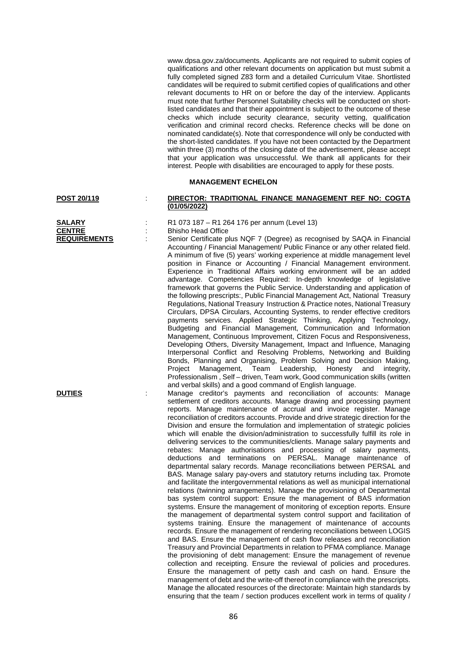www.dpsa.gov.za/documents. Applicants are not required to submit copies of qualifications and other relevant documents on application but must submit a fully completed signed Z83 form and a detailed Curriculum Vitae. Shortlisted candidates will be required to submit certified copies of qualifications and other relevant documents to HR on or before the day of the interview. Applicants must note that further Personnel Suitability checks will be conducted on shortlisted candidates and that their appointment is subject to the outcome of these checks which include security clearance, security vetting, qualification verification and criminal record checks. Reference checks will be done on nominated candidate(s). Note that correspondence will only be conducted with the short-listed candidates. If you have not been contacted by the Department within three (3) months of the closing date of the advertisement, please accept that your application was unsuccessful. We thank all applicants for their interest. People with disabilities are encouraged to apply for these posts.

### **MANAGEMENT ECHELON**

| <b>SALARY</b>       |  |
|---------------------|--|
| <b>CENTRE</b>       |  |
| <b>REQUIREMENTS</b> |  |

### **POST 20/119** : **DIRECTOR: TRADITIONAL FINANCE MANAGEMENT REF NO: COGTA (01/05/2022)**

**SALARY** : R1 073 187 – R1 264 176 per annum (Level 13) **CENTRE :** Bhisho Head Office

Senior Certificate plus NQF 7 (Degree) as recognised by SAQA in Financial Accounting / Financial Management/ Public Finance or any other related field. A minimum of five (5) years' working experience at middle management level position in Finance or Accounting / Financial Management environment. Experience in Traditional Affairs working environment will be an added advantage. Competencies Required: In-depth knowledge of legislative framework that governs the Public Service. Understanding and application of the following prescripts:, Public Financial Management Act, National Treasury Regulations, National Treasury Instruction & Practice notes, National Treasury Circulars, DPSA Circulars, Accounting Systems, to render effective creditors payments services. Applied Strategic Thinking, Applying Technology, Budgeting and Financial Management, Communication and Information Management, Continuous Improvement, Citizen Focus and Responsiveness, Developing Others, Diversity Management, Impact and Influence, Managing Interpersonal Conflict and Resolving Problems, Networking and Building Bonds, Planning and Organising, Problem Solving and Decision Making, Project Management, Team Leadership, Honesty and integrity, Professionalism , Self – driven, Team work, Good communication skills (written and verbal skills) and a good command of English language.

**DUTIES** : Manage creditor's payments and reconciliation of accounts: Manage settlement of creditors accounts. Manage drawing and processing payment reports. Manage maintenance of accrual and invoice register. Manage reconciliation of creditors accounts. Provide and drive strategic direction for the Division and ensure the formulation and implementation of strategic policies which will enable the division/administration to successfully fulfill its role in delivering services to the communities/clients. Manage salary payments and rebates: Manage authorisations and processing of salary payments, deductions and terminations on PERSAL. Manage maintenance of departmental salary records. Manage reconciliations between PERSAL and BAS. Manage salary pay-overs and statutory returns including tax. Promote and facilitate the intergovernmental relations as well as municipal international relations (twinning arrangements). Manage the provisioning of Departmental bas system control support: Ensure the management of BAS information systems. Ensure the management of monitoring of exception reports. Ensure the management of departmental system control support and facilitation of systems training. Ensure the management of maintenance of accounts records. Ensure the management of rendering reconciliations between LOGIS and BAS. Ensure the management of cash flow releases and reconciliation Treasury and Provincial Departments in relation to PFMA compliance. Manage the provisioning of debt management: Ensure the management of revenue collection and receipting. Ensure the reviewal of policies and procedures. Ensure the management of petty cash and cash on hand. Ensure the management of debt and the write-off thereof in compliance with the prescripts. Manage the allocated resources of the directorate: Maintain high standards by ensuring that the team / section produces excellent work in terms of quality /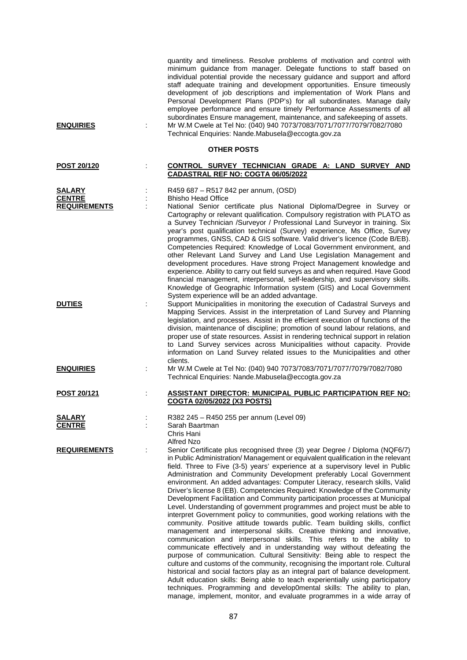| <b>ENQUIRIES</b>                               | quantity and timeliness. Resolve problems of motivation and control with<br>minimum guidance from manager. Delegate functions to staff based on<br>individual potential provide the necessary guidance and support and afford<br>staff adequate training and development opportunities. Ensure timeously<br>development of job descriptions and implementation of Work Plans and<br>Personal Development Plans (PDP's) for all subordinates. Manage daily<br>employee performance and ensure timely Performance Assessments of all<br>subordinates Ensure management, maintenance, and safekeeping of assets.<br>Mr W.M Cwele at Tel No: (040) 940 7073/7083/7071/7077/7079/7082/7080<br>Technical Enquiries: Nande.Mabusela@eccogta.gov.za                                                                                                                                                                                                                                                                                                                                                                                                                                                                                                                                                                                                                                                                                                                                                                                         |
|------------------------------------------------|-------------------------------------------------------------------------------------------------------------------------------------------------------------------------------------------------------------------------------------------------------------------------------------------------------------------------------------------------------------------------------------------------------------------------------------------------------------------------------------------------------------------------------------------------------------------------------------------------------------------------------------------------------------------------------------------------------------------------------------------------------------------------------------------------------------------------------------------------------------------------------------------------------------------------------------------------------------------------------------------------------------------------------------------------------------------------------------------------------------------------------------------------------------------------------------------------------------------------------------------------------------------------------------------------------------------------------------------------------------------------------------------------------------------------------------------------------------------------------------------------------------------------------------|
|                                                | <b>OTHER POSTS</b>                                                                                                                                                                                                                                                                                                                                                                                                                                                                                                                                                                                                                                                                                                                                                                                                                                                                                                                                                                                                                                                                                                                                                                                                                                                                                                                                                                                                                                                                                                                  |
| POST 20/120                                    | CONTROL SURVEY TECHNICIAN GRADE A: LAND SURVEY AND<br>CADASTRAL REF NO: COGTA 06/05/2022                                                                                                                                                                                                                                                                                                                                                                                                                                                                                                                                                                                                                                                                                                                                                                                                                                                                                                                                                                                                                                                                                                                                                                                                                                                                                                                                                                                                                                            |
| SALARY<br><b>CENTRE</b><br><b>REQUIREMENTS</b> | R459 687 – R517 842 per annum, (OSD)<br><b>Bhisho Head Office</b><br>National Senior certificate plus National Diploma/Degree in Survey or<br>Cartography or relevant qualification. Compulsory registration with PLATO as<br>a Survey Technician /Surveyor / Professional Land Surveyor in training. Six<br>year's post qualification technical (Survey) experience, Ms Office, Survey<br>programmes, GNSS, CAD & GIS software. Valid driver's licence (Code B/EB).<br>Competencies Required: Knowledge of Local Government environment, and<br>other Relevant Land Survey and Land Use Legislation Management and<br>development procedures. Have strong Project Management knowledge and<br>experience. Ability to carry out field surveys as and when required. Have Good                                                                                                                                                                                                                                                                                                                                                                                                                                                                                                                                                                                                                                                                                                                                                       |
| <b>DUTIES</b>                                  | financial management, interpersonal, self-leadership, and supervisory skills.<br>Knowledge of Geographic Information system (GIS) and Local Government<br>System experience will be an added advantage.<br>Support Municipalities in monitoring the execution of Cadastral Surveys and<br>Mapping Services. Assist in the interpretation of Land Survey and Planning<br>legislation, and processes. Assist in the efficient execution of functions of the<br>division, maintenance of discipline; promotion of sound labour relations, and<br>proper use of state resources. Assist in rendering technical support in relation<br>to Land Survey services across Municipalities without capacity. Provide<br>information on Land Survey related issues to the Municipalities and other                                                                                                                                                                                                                                                                                                                                                                                                                                                                                                                                                                                                                                                                                                                                              |
| <b>ENQUIRIES</b>                               | clients.<br>Mr W.M Cwele at Tel No: (040) 940 7073/7083/7071/7077/7079/7082/7080<br>Technical Enquiries: Nande.Mabusela@eccogta.gov.za                                                                                                                                                                                                                                                                                                                                                                                                                                                                                                                                                                                                                                                                                                                                                                                                                                                                                                                                                                                                                                                                                                                                                                                                                                                                                                                                                                                              |
| <b>POST 20/121</b>                             | <b>ASSISTANT DIRECTOR: MUNICIPAL PUBLIC PARTICIPATION REF NO:</b><br>COGTA 02/05/2022 (X3 POSTS)                                                                                                                                                                                                                                                                                                                                                                                                                                                                                                                                                                                                                                                                                                                                                                                                                                                                                                                                                                                                                                                                                                                                                                                                                                                                                                                                                                                                                                    |
|                                                |                                                                                                                                                                                                                                                                                                                                                                                                                                                                                                                                                                                                                                                                                                                                                                                                                                                                                                                                                                                                                                                                                                                                                                                                                                                                                                                                                                                                                                                                                                                                     |
| <b>SALARY</b>                                  | R382 245 - R450 255 per annum (Level 09)                                                                                                                                                                                                                                                                                                                                                                                                                                                                                                                                                                                                                                                                                                                                                                                                                                                                                                                                                                                                                                                                                                                                                                                                                                                                                                                                                                                                                                                                                            |
| <b>CENTRE</b>                                  | Sarah Baartman<br>Chris Hani<br><b>Alfred Nzo</b>                                                                                                                                                                                                                                                                                                                                                                                                                                                                                                                                                                                                                                                                                                                                                                                                                                                                                                                                                                                                                                                                                                                                                                                                                                                                                                                                                                                                                                                                                   |
| <b>REQUIREMENTS</b>                            | Senior Certificate plus recognised three (3) year Degree / Diploma (NQF6/7)<br>in Public Administration/Management or equivalent qualification in the relevant<br>field. Three to Five (3-5) years' experience at a supervisory level in Public<br>Administration and Community Development preferably Local Government<br>environment. An added advantages: Computer Literacy, research skills, Valid<br>Driver's license 8 (EB). Competencies Required: Knowledge of the Community<br>Development Facilitation and Community participation processes at Municipal<br>Level. Understanding of government programmes and project must be able to<br>interpret Government policy to communities, good working relations with the<br>community. Positive attitude towards public. Team building skills, conflict<br>management and interpersonal skills. Creative thinking and innovative,<br>communication and interpersonal skills. This refers to the ability to<br>communicate effectively and in understanding way without defeating the<br>purpose of communication. Cultural Sensitivity: Being able to respect the<br>culture and customs of the community, recognising the important role. Cultural<br>historical and social factors play as an integral part of balance development.<br>Adult education skills: Being able to teach experientially using participatory<br>techniques. Programming and develop0mental skills: The ability to plan,<br>manage, implement, monitor, and evaluate programmes in a wide array of |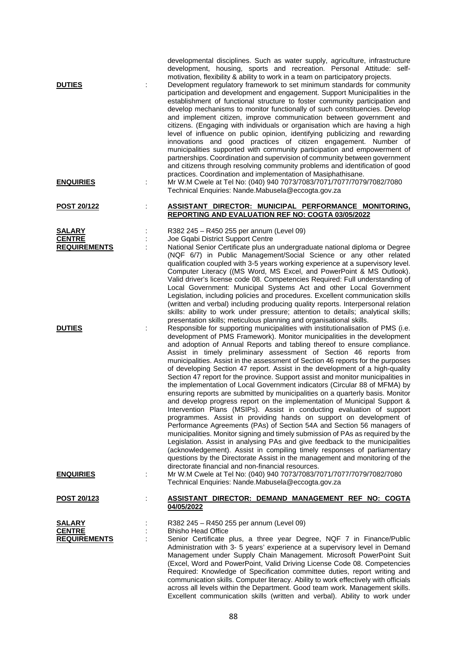| <b>DUTIES</b>                                         | developmental disciplines. Such as water supply, agriculture, infrastructure<br>development, housing, sports and recreation. Personal Attitude: self-<br>motivation, flexibility & ability to work in a team on participatory projects.<br>Development regulatory framework to set minimum standards for community<br>participation and development and engagement. Support Municipalities in the<br>establishment of functional structure to foster community participation and<br>develop mechanisms to monitor functionally of such constituencies. Develop<br>and implement citizen, improve communication between government and<br>citizens. (Engaging with individuals or organisation which are having a high<br>level of influence on public opinion, identifying publicizing and rewarding<br>innovations and good practices of citizen engagement. Number of<br>municipalities supported with community participation and empowerment of<br>partnerships. Coordination and supervision of community between government<br>and citizens through resolving community problems and identification of good<br>practices. Coordination and implementation of Masiphathisane.                                                                                                                                                                                                                                                                                                                     |
|-------------------------------------------------------|--------------------------------------------------------------------------------------------------------------------------------------------------------------------------------------------------------------------------------------------------------------------------------------------------------------------------------------------------------------------------------------------------------------------------------------------------------------------------------------------------------------------------------------------------------------------------------------------------------------------------------------------------------------------------------------------------------------------------------------------------------------------------------------------------------------------------------------------------------------------------------------------------------------------------------------------------------------------------------------------------------------------------------------------------------------------------------------------------------------------------------------------------------------------------------------------------------------------------------------------------------------------------------------------------------------------------------------------------------------------------------------------------------------------------------------------------------------------------------------------------------|
| <b>ENQUIRIES</b>                                      | Mr W.M Cwele at Tel No: (040) 940 7073/7083/7071/7077/7079/7082/7080<br>Technical Enquiries: Nande.Mabusela@eccogta.gov.za                                                                                                                                                                                                                                                                                                                                                                                                                                                                                                                                                                                                                                                                                                                                                                                                                                                                                                                                                                                                                                                                                                                                                                                                                                                                                                                                                                             |
| POST 20/122                                           | ASSISTANT DIRECTOR: MUNICIPAL PERFORMANCE MONITORING,<br><b>REPORTING AND EVALUATION REF NO: COGTA 03/05/2022</b>                                                                                                                                                                                                                                                                                                                                                                                                                                                                                                                                                                                                                                                                                                                                                                                                                                                                                                                                                                                                                                                                                                                                                                                                                                                                                                                                                                                      |
| <b>SALARY</b><br><b>CENTRE</b><br><b>REQUIREMENTS</b> | R382 245 - R450 255 per annum (Level 09)<br>Joe Gqabi District Support Centre<br>National Senior Certificate plus an undergraduate national diploma or Degree<br>(NQF 6/7) in Public Management/Social Science or any other related<br>qualification coupled with 3-5 years working experience at a supervisory level.<br>Computer Literacy ((MS Word, MS Excel, and PowerPoint & MS Outlook).<br>Valid driver's license code 08. Competencies Required: Full understanding of<br>Local Government: Municipal Systems Act and other Local Government<br>Legislation, including policies and procedures. Excellent communication skills<br>(written and verbal) including producing quality reports. Interpersonal relation<br>skills: ability to work under pressure; attention to details; analytical skills;                                                                                                                                                                                                                                                                                                                                                                                                                                                                                                                                                                                                                                                                                         |
| <b>DUTIES</b>                                         | presentation skills; meticulous planning and organisational skills.<br>Responsible for supporting municipalities with institutionalisation of PMS (i.e.<br>development of PMS Framework). Monitor municipalities in the development<br>and adoption of Annual Reports and tabling thereof to ensure compliance.<br>Assist in timely preliminary assessment of Section 46 reports from<br>municipalities. Assist in the assessment of Section 46 reports for the purposes<br>of developing Section 47 report. Assist in the development of a high-quality<br>Section 47 report for the province. Support assist and monitor municipalities in<br>the implementation of Local Government indicators (Circular 88 of MFMA) by<br>ensuring reports are submitted by municipalities on a quarterly basis. Monitor<br>and develop progress report on the implementation of Municipal Support &<br>Intervention Plans (MSIPs). Assist in conducting evaluation of support<br>programmes. Assist in providing hands on support on development of<br>Performance Agreements (PAs) of Section 54A and Section 56 managers of<br>municipalities. Monitor signing and timely submission of PAs as required by the<br>Legislation. Assist in analysing PAs and give feedback to the municipalities<br>(acknowledgement). Assist in compiling timely responses of parliamentary<br>questions by the Directorate Assist in the management and monitoring of the<br>directorate financial and non-financial resources. |
| <b>ENQUIRIES</b>                                      | Mr W.M Cwele at Tel No: (040) 940 7073/7083/7071/7077/7079/7082/7080<br>Technical Enquiries: Nande.Mabusela@eccogta.gov.za                                                                                                                                                                                                                                                                                                                                                                                                                                                                                                                                                                                                                                                                                                                                                                                                                                                                                                                                                                                                                                                                                                                                                                                                                                                                                                                                                                             |
| POST 20/123                                           | <u>ASSISTANT DIRECTOR: DEMAND MANAGEMENT REF NO: COGTA</u><br>04/05/2022                                                                                                                                                                                                                                                                                                                                                                                                                                                                                                                                                                                                                                                                                                                                                                                                                                                                                                                                                                                                                                                                                                                                                                                                                                                                                                                                                                                                                               |
| <b>SALARY</b><br><b>CENTRE</b><br><b>REQUIREMENTS</b> | R382 245 – R450 255 per annum (Level 09)<br><b>Bhisho Head Office</b><br>Senior Certificate plus, a three year Degree, NQF 7 in Finance/Public<br>Administration with 3- 5 years' experience at a supervisory level in Demand<br>Management under Supply Chain Management. Microsoft PowerPoint Suit<br>(Excel, Word and PowerPoint, Valid Driving License Code 08. Competencies<br>Required: Knowledge of Specification committee duties, report writing and<br>communication skills. Computer literacy. Ability to work effectively with officials<br>across all levels within the Department. Good team work. Management skills.<br>Excellent communication skills (written and verbal). Ability to work under                                                                                                                                                                                                                                                                                                                                                                                                                                                                                                                                                                                                                                                                                                                                                                                      |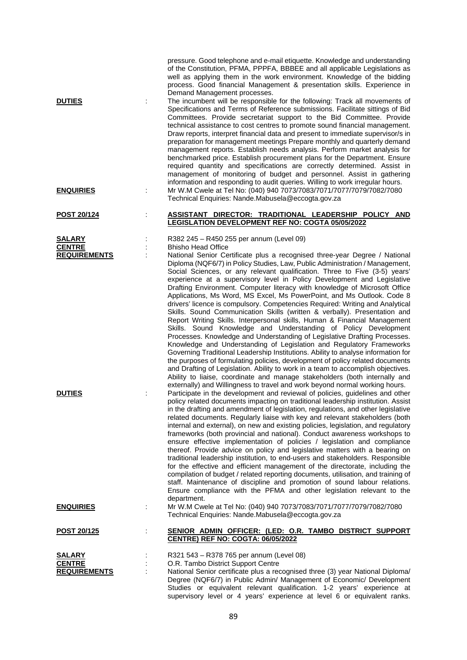| <b>DUTIES</b>       |                | of the Constitution, PFMA, PPPFA, BBBEE and all applicable Legislations as<br>well as applying them in the work environment. Knowledge of the bidding<br>process. Good financial Management & presentation skills. Experience in<br>Demand Management processes.<br>The incumbent will be responsible for the following: Track all movements of<br>Specifications and Terms of Reference submissions. Facilitate sittings of Bid<br>Committees. Provide secretariat support to the Bid Committee. Provide<br>technical assistance to cost centres to promote sound financial management.<br>Draw reports, interpret financial data and present to immediate supervisor/s in<br>preparation for management meetings Prepare monthly and quarterly demand<br>management reports. Establish needs analysis. Perform market analysis for<br>benchmarked price. Establish procurement plans for the Department. Ensure<br>required quantity and specifications are correctly determined. Assist in<br>management of monitoring of budget and personnel. Assist in gathering<br>information and responding to audit queries. Willing to work irregular hours.                                                                                                                                                                                                               |
|---------------------|----------------|-----------------------------------------------------------------------------------------------------------------------------------------------------------------------------------------------------------------------------------------------------------------------------------------------------------------------------------------------------------------------------------------------------------------------------------------------------------------------------------------------------------------------------------------------------------------------------------------------------------------------------------------------------------------------------------------------------------------------------------------------------------------------------------------------------------------------------------------------------------------------------------------------------------------------------------------------------------------------------------------------------------------------------------------------------------------------------------------------------------------------------------------------------------------------------------------------------------------------------------------------------------------------------------------------------------------------------------------------------------------------|
| <b>ENQUIRIES</b>    | İ              | Mr W.M Cwele at Tel No: (040) 940 7073/7083/7071/7077/7079/7082/7080<br>Technical Enquiries: Nande.Mabusela@eccogta.gov.za                                                                                                                                                                                                                                                                                                                                                                                                                                                                                                                                                                                                                                                                                                                                                                                                                                                                                                                                                                                                                                                                                                                                                                                                                                            |
| POST 20/124         |                | ASSISTANT DIRECTOR: TRADITIONAL LEADERSHIP POLICY AND<br>LEGISLATION DEVELOPMENT REF NO: COGTA 05/05/2022                                                                                                                                                                                                                                                                                                                                                                                                                                                                                                                                                                                                                                                                                                                                                                                                                                                                                                                                                                                                                                                                                                                                                                                                                                                             |
| <b>SALARY</b>       | $\ddot{\cdot}$ | R382 245 - R450 255 per annum (Level 09)                                                                                                                                                                                                                                                                                                                                                                                                                                                                                                                                                                                                                                                                                                                                                                                                                                                                                                                                                                                                                                                                                                                                                                                                                                                                                                                              |
| <b>CENTRE</b>       |                | <b>Bhisho Head Office</b>                                                                                                                                                                                                                                                                                                                                                                                                                                                                                                                                                                                                                                                                                                                                                                                                                                                                                                                                                                                                                                                                                                                                                                                                                                                                                                                                             |
| <b>REQUIREMENTS</b> |                | National Senior Certificate plus a recognised three-year Degree / National<br>Diploma (NQF6/7) in Policy Studies, Law, Public Administration / Management,<br>Social Sciences, or any relevant qualification. Three to Five (3-5) years'<br>experience at a supervisory level in Policy Development and Legislative<br>Drafting Environment. Computer literacy with knowledge of Microsoft Office<br>Applications, Ms Word, MS Excel, Ms PowerPoint, and Ms Outlook. Code 8<br>drivers' licence is compulsory. Competencies Required: Writing and Analytical<br>Skills. Sound Communication Skills (written & verbally). Presentation and<br>Report Writing Skills. Interpersonal skills, Human & Financial Management<br>Skills. Sound Knowledge and Understanding of Policy Development<br>Processes. Knowledge and Understanding of Legislative Drafting Processes.<br>Knowledge and Understanding of Legislation and Regulatory Frameworks<br>Governing Traditional Leadership Institutions. Ability to analyse information for<br>the purposes of formulating policies, development of policy related documents<br>and Drafting of Legislation. Ability to work in a team to accomplish objectives.<br>Ability to liaise, coordinate and manage stakeholders (both internally and<br>externally) and Willingness to travel and work beyond normal working hours. |
| <b>DUTIES</b>       | ÷              | Participate in the development and reviewal of policies, guidelines and other<br>policy related documents impacting on traditional leadership institution. Assist<br>in the drafting and amendment of legislation, regulations, and other legislative<br>related documents. Regularly liaise with key and relevant stakeholders (both<br>internal and external), on new and existing policies, legislation, and regulatory<br>frameworks (both provincial and national). Conduct awareness workshops to<br>ensure effective implementation of policies / legislation and compliance<br>thereof. Provide advice on policy and legislative matters with a bearing on<br>traditional leadership institution, to end-users and stakeholders. Responsible<br>for the effective and efficient management of the directorate, including the<br>compilation of budget / related reporting documents, utilisation, and training of<br>staff. Maintenance of discipline and promotion of sound labour relations.<br>Ensure compliance with the PFMA and other legislation relevant to the<br>department.                                                                                                                                                                                                                                                                        |
| <u>ENQUIRIES</u>    | ÷              | Mr W.M Cwele at Tel No: (040) 940 7073/7083/7071/7077/7079/7082/7080<br>Technical Enquiries: Nande.Mabusela@eccogta.gov.za                                                                                                                                                                                                                                                                                                                                                                                                                                                                                                                                                                                                                                                                                                                                                                                                                                                                                                                                                                                                                                                                                                                                                                                                                                            |
| <b>POST 20/125</b>  |                | SENIOR ADMIN OFFICER: (LED: O.R. TAMBO DISTRICT SUPPORT<br><b>CENTRE) REF NO: COGTA: 06/05/2022</b>                                                                                                                                                                                                                                                                                                                                                                                                                                                                                                                                                                                                                                                                                                                                                                                                                                                                                                                                                                                                                                                                                                                                                                                                                                                                   |
| <b>SALARY</b>       |                | R321 543 - R378 765 per annum (Level 08)                                                                                                                                                                                                                                                                                                                                                                                                                                                                                                                                                                                                                                                                                                                                                                                                                                                                                                                                                                                                                                                                                                                                                                                                                                                                                                                              |
| <b>CENTRE</b>       |                | O.R. Tambo District Support Centre                                                                                                                                                                                                                                                                                                                                                                                                                                                                                                                                                                                                                                                                                                                                                                                                                                                                                                                                                                                                                                                                                                                                                                                                                                                                                                                                    |
| <b>REQUIREMENTS</b> |                | National Senior certificate plus a recognised three (3) year National Diploma/<br>Degree (NQF6/7) in Public Admin/ Management of Economic/ Development<br>Studies or equivalent relevant qualification. 1-2 years' experience at<br>supervisory level or 4 years' experience at level 6 or equivalent ranks.                                                                                                                                                                                                                                                                                                                                                                                                                                                                                                                                                                                                                                                                                                                                                                                                                                                                                                                                                                                                                                                          |

pressure. Good telephone and e-mail etiquette. Knowledge and understanding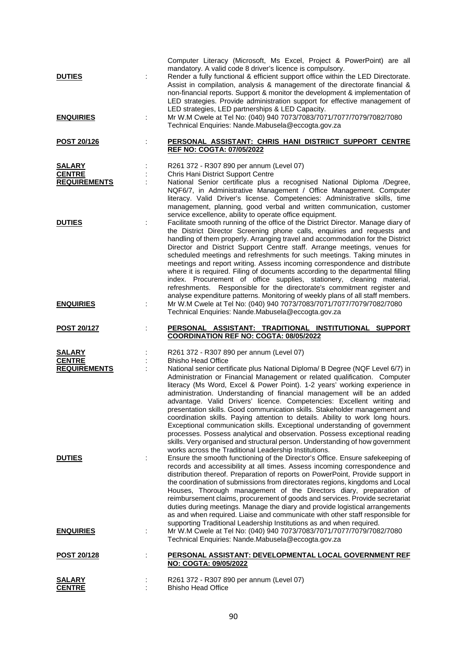| <b>DUTIES</b><br><b>ENQUIRIES</b>                     | Computer Literacy (Microsoft, Ms Excel, Project & PowerPoint) are all<br>mandatory. A valid code 8 driver's licence is compulsory.<br>Render a fully functional & efficient support office within the LED Directorate.<br>Assist in compilation, analysis & management of the directorate financial &<br>non-financial reports. Support & monitor the development & implementation of<br>LED strategies. Provide administration support for effective management of<br>LED strategies, LED partnerships & LED Capacity.<br>Mr W.M Cwele at Tel No: (040) 940 7073/7083/7071/7077/7079/7082/7080<br>Technical Enquiries: Nande.Mabusela@eccogta.gov.za                                                                                                                                                                                                                                                                                     |
|-------------------------------------------------------|-------------------------------------------------------------------------------------------------------------------------------------------------------------------------------------------------------------------------------------------------------------------------------------------------------------------------------------------------------------------------------------------------------------------------------------------------------------------------------------------------------------------------------------------------------------------------------------------------------------------------------------------------------------------------------------------------------------------------------------------------------------------------------------------------------------------------------------------------------------------------------------------------------------------------------------------|
| <b>POST 20/126</b><br>÷                               | PERSONAL ASSISTANT: CHRIS HANI DISTRIICT SUPPORT CENTRE<br><b>REF NO: COGTA: 07/05/2022</b>                                                                                                                                                                                                                                                                                                                                                                                                                                                                                                                                                                                                                                                                                                                                                                                                                                               |
| <b>SALARY</b><br><b>CENTRE</b><br><b>REQUIREMENTS</b> | R261 372 - R307 890 per annum (Level 07)<br>Chris Hani District Support Centre<br>National Senior certificate plus a recognised National Diploma /Degree,<br>NQF6/7, in Administrative Management / Office Management. Computer<br>literacy. Valid Driver's license. Competencies: Administrative skills, time<br>management, planning, good verbal and written communication, customer<br>service excellence, ability to operate office equipment.                                                                                                                                                                                                                                                                                                                                                                                                                                                                                       |
| <b>DUTIES</b>                                         | Facilitate smooth running of the office of the District Director. Manage diary of<br>the District Director Screening phone calls, enquiries and requests and<br>handling of them properly. Arranging travel and accommodation for the District<br>Director and District Support Centre staff. Arrange meetings, venues for<br>scheduled meetings and refreshments for such meetings. Taking minutes in<br>meetings and report writing. Assess incoming correspondence and distribute<br>where it is required. Filing of documents according to the departmental filling<br>index. Procurement of office supplies, stationery, cleaning material,<br>refreshments. Responsible for the directorate's commitment register and<br>analyse expenditure patterns. Monitoring of weekly plans of all staff members.                                                                                                                             |
| <b>ENQUIRIES</b>                                      | Mr W.M Cwele at Tel No: (040) 940 7073/7083/7071/7077/7079/7082/7080<br>Technical Enquiries: Nande.Mabusela@eccogta.gov.za                                                                                                                                                                                                                                                                                                                                                                                                                                                                                                                                                                                                                                                                                                                                                                                                                |
| <b>POST 20/127</b>                                    | PERSONAL ASSISTANT: TRADITIONAL INSTITUTIONAL SUPPORT<br><b>COORDINATION REF NO: COGTA: 08/05/2022</b>                                                                                                                                                                                                                                                                                                                                                                                                                                                                                                                                                                                                                                                                                                                                                                                                                                    |
| <b>SALARY</b><br><b>CENTRE</b><br><b>REQUIREMENTS</b> | R261 372 - R307 890 per annum (Level 07)<br><b>Bhisho Head Office</b><br>National senior certificate plus National Diploma/ B Degree (NQF Level 6/7) in<br>Administration or Financial Management or related qualification. Computer<br>literacy (Ms Word, Excel & Power Point). 1-2 years' working experience in<br>administration. Understanding of financial management will be an added<br>advantage. Valid Drivers' licence. Competencies: Excellent writing and<br>presentation skills. Good communication skills. Stakeholder management and<br>coordination skills. Paying attention to details. Ability to work long hours.<br>Exceptional communication skills. Exceptional understanding of government<br>processes. Possess analytical and observation. Possess exceptional reading<br>skills. Very organised and structural person. Understanding of how government<br>works across the Traditional Leadership Institutions. |
| <b>DUTIES</b>                                         | Ensure the smooth functioning of the Director's Office. Ensure safekeeping of<br>records and accessibility at all times. Assess incoming correspondence and<br>distribution thereof. Preparation of reports on PowerPoint, Provide support in<br>the coordination of submissions from directorates regions, kingdoms and Local<br>Houses, Thorough management of the Directors diary, preparation of<br>reimbursement claims, procurement of goods and services. Provide secretariat<br>duties during meetings. Manage the diary and provide logistical arrangements<br>as and when required. Liaise and communicate with other staff responsible for<br>supporting Traditional Leadership Institutions as and when required.                                                                                                                                                                                                             |
| <b>ENQUIRIES</b>                                      | Mr W.M Cwele at Tel No: (040) 940 7073/7083/7071/7077/7079/7082/7080<br>Technical Enquiries: Nande.Mabusela@eccogta.gov.za                                                                                                                                                                                                                                                                                                                                                                                                                                                                                                                                                                                                                                                                                                                                                                                                                |
| POST 20/128                                           | PERSONAL ASSISTANT: DEVELOPMENTAL LOCAL GOVERNMENT REF                                                                                                                                                                                                                                                                                                                                                                                                                                                                                                                                                                                                                                                                                                                                                                                                                                                                                    |
|                                                       | NO: COGTA: 09/05/2022                                                                                                                                                                                                                                                                                                                                                                                                                                                                                                                                                                                                                                                                                                                                                                                                                                                                                                                     |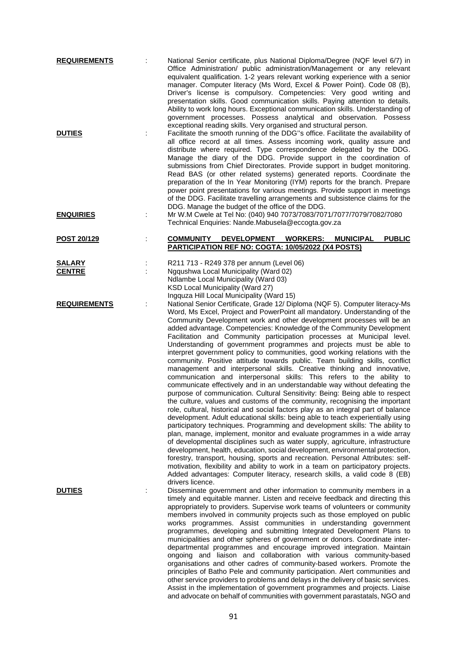| <b>REQUIREMENTS</b>            |   | National Senior certificate, plus National Diploma/Degree (NQF level 6/7) in<br>Office Administration/ public administration/Management or any relevant<br>equivalent qualification. 1-2 years relevant working experience with a senior<br>manager. Computer literacy (Ms Word, Excel & Power Point). Code 08 (B),<br>Driver's license is compulsory. Competencies: Very good writing and<br>presentation skills. Good communication skills. Paying attention to details.<br>Ability to work long hours. Exceptional communication skills. Understanding of<br>government processes. Possess analytical and observation. Possess<br>exceptional reading skills. Very organised and structural person.                                                                                                                                                                                                                                                                                                                                                                                                                                                                                                                                                                                                                                                                                                                                                                                                                                                                                                                                                                                                                                                                                                     |
|--------------------------------|---|------------------------------------------------------------------------------------------------------------------------------------------------------------------------------------------------------------------------------------------------------------------------------------------------------------------------------------------------------------------------------------------------------------------------------------------------------------------------------------------------------------------------------------------------------------------------------------------------------------------------------------------------------------------------------------------------------------------------------------------------------------------------------------------------------------------------------------------------------------------------------------------------------------------------------------------------------------------------------------------------------------------------------------------------------------------------------------------------------------------------------------------------------------------------------------------------------------------------------------------------------------------------------------------------------------------------------------------------------------------------------------------------------------------------------------------------------------------------------------------------------------------------------------------------------------------------------------------------------------------------------------------------------------------------------------------------------------------------------------------------------------------------------------------------------------|
| <b>DUTIES</b>                  | ÷ | Facilitate the smooth running of the DDG"s office. Facilitate the availability of<br>all office record at all times. Assess incoming work, quality assure and<br>distribute where required. Type correspondence delegated by the DDG.<br>Manage the diary of the DDG. Provide support in the coordination of<br>submissions from Chief Directorates. Provide support in budget monitoring.<br>Read BAS (or other related systems) generated reports. Coordinate the<br>preparation of the In Year Monitoring (IYM) reports for the branch. Prepare<br>power point presentations for various meetings. Provide support in meetings<br>of the DDG. Facilitate travelling arrangements and subsistence claims for the<br>DDG. Manage the budget of the office of the DDG.                                                                                                                                                                                                                                                                                                                                                                                                                                                                                                                                                                                                                                                                                                                                                                                                                                                                                                                                                                                                                                     |
| <u>ENQUIRIES</u>               | ÷ | Mr W.M Cwele at Tel No: (040) 940 7073/7083/7071/7077/7079/7082/7080<br>Technical Enquiries: Nande.Mabusela@eccogta.gov.za                                                                                                                                                                                                                                                                                                                                                                                                                                                                                                                                                                                                                                                                                                                                                                                                                                                                                                                                                                                                                                                                                                                                                                                                                                                                                                                                                                                                                                                                                                                                                                                                                                                                                 |
| POST 20/129                    | t | <b>PUBLIC</b><br><b>COMMUNITY</b><br><b>DEVELOPMENT</b><br><b>WORKERS:</b><br><b>MUNICIPAL</b><br>PARTICIPATION REF NO: COGTA: 10/05/2022 (X4 POSTS)                                                                                                                                                                                                                                                                                                                                                                                                                                                                                                                                                                                                                                                                                                                                                                                                                                                                                                                                                                                                                                                                                                                                                                                                                                                                                                                                                                                                                                                                                                                                                                                                                                                       |
| <b>SALARY</b><br><b>CENTRE</b> |   | R211 713 - R249 378 per annum (Level 06)<br>Ngqushwa Local Municipality (Ward 02)<br>Ndlambe Local Municipality (Ward 03)<br>KSD Local Municipality (Ward 27)<br>Ingquza Hill Local Municipality (Ward 15)                                                                                                                                                                                                                                                                                                                                                                                                                                                                                                                                                                                                                                                                                                                                                                                                                                                                                                                                                                                                                                                                                                                                                                                                                                                                                                                                                                                                                                                                                                                                                                                                 |
| <b>REQUIREMENTS</b>            |   | National Senior Certificate, Grade 12/ Diploma (NQF 5). Computer literacy-Ms<br>Word, Ms Excel, Project and PowerPoint all mandatory. Understanding of the<br>Community Development work and other development processes will be an<br>added advantage. Competencies: Knowledge of the Community Development<br>Facilitation and Community participation processes at Municipal level.<br>Understanding of government programmes and projects must be able to<br>interpret government policy to communities, good working relations with the<br>community. Positive attitude towards public. Team building skills, conflict<br>management and interpersonal skills. Creative thinking and innovative,<br>communication and interpersonal skills: This refers to the ability to<br>communicate effectively and in an understandable way without defeating the<br>purpose of communication. Cultural Sensitivity: Being: Being able to respect<br>the culture, values and customs of the community, recognising the important<br>role, cultural, historical and social factors play as an integral part of balance<br>development. Adult educational skills: being able to teach experientially using<br>participatory techniques. Programming and development skills: The ability to<br>plan, manage, implement, monitor and evaluate programmes in a wide array<br>of developmental disciplines such as water supply, agriculture, infrastructure<br>development, health, education, social development, environmental protection,<br>forestry, transport, housing, sports and recreation. Personal Attributes: self-<br>motivation, flexibility and ability to work in a team on participatory projects.<br>Added advantages: Computer literacy, research skills, a valid code 8 (EB)<br>drivers licence. |
| <b>DUTIES</b>                  |   | Disseminate government and other information to community members in a<br>timely and equitable manner. Listen and receive feedback and directing this<br>appropriately to providers. Supervise work teams of volunteers or community<br>members involved in community projects such as those employed on public<br>works programmes. Assist communities in understanding government<br>programmes, developing and submitting Integrated Development Plans to<br>municipalities and other spheres of government or donors. Coordinate inter-<br>departmental programmes and encourage improved integration. Maintain<br>ongoing and liaison and collaboration with various community-based<br>organisations and other cadres of community-based workers. Promote the<br>principles of Batho Pele and community participation. Alert communities and<br>other service providers to problems and delays in the delivery of basic services.<br>Assist in the implementation of government programmes and projects. Liaise<br>and advocate on behalf of communities with government parastatals, NGO and                                                                                                                                                                                                                                                                                                                                                                                                                                                                                                                                                                                                                                                                                                        |

91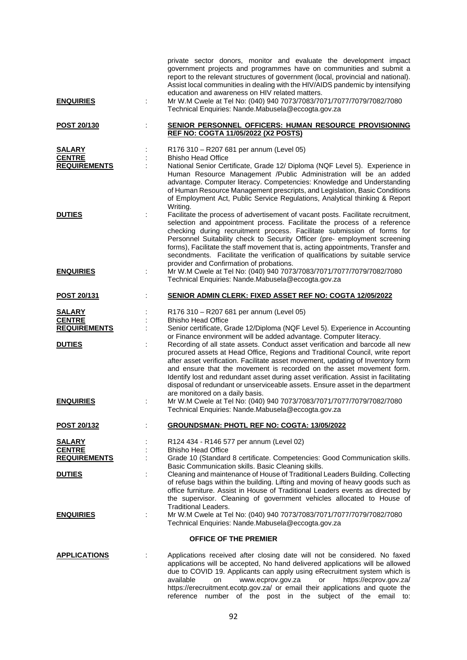| <b>ENQUIRIES</b>                                      | private sector donors, monitor and evaluate the development impact<br>government projects and programmes have on communities and submit a<br>report to the relevant structures of government (local, provincial and national).<br>Assist local communities in dealing with the HIV/AIDS pandemic by intensifying<br>education and awareness on HIV related matters.<br>Mr W.M Cwele at Tel No: (040) 940 7073/7083/7071/7077/7079/7082/7080<br>Technical Enquiries: Nande.Mabusela@eccogta.gov.za                                       |
|-------------------------------------------------------|-----------------------------------------------------------------------------------------------------------------------------------------------------------------------------------------------------------------------------------------------------------------------------------------------------------------------------------------------------------------------------------------------------------------------------------------------------------------------------------------------------------------------------------------|
| POST 20/130                                           | <b>SENIOR PERSONNEL OFFICERS: HUMAN RESOURCE PROVISIONING</b><br><b>REF NO: COGTA 11/05/2022 (X2 POSTS)</b>                                                                                                                                                                                                                                                                                                                                                                                                                             |
| <b>SALARY</b><br><b>CENTRE</b>                        | R176 310 - R207 681 per annum (Level 05)<br><b>Bhisho Head Office</b>                                                                                                                                                                                                                                                                                                                                                                                                                                                                   |
| <b>REQUIREMENTS</b>                                   | National Senior Certificate, Grade 12/ Diploma (NQF Level 5). Experience in<br>Human Resource Management /Public Administration will be an added<br>advantage. Computer literacy. Competencies: Knowledge and Understanding<br>of Human Resource Management prescripts, and Legislation, Basic Conditions<br>of Employment Act, Public Service Regulations, Analytical thinking & Report<br>Writing.                                                                                                                                    |
| <b>DUTIES</b>                                         | Facilitate the process of advertisement of vacant posts. Facilitate recruitment,<br>selection and appointment process. Facilitate the process of a reference<br>checking during recruitment process. Facilitate submission of forms for<br>Personnel Suitability check to Security Officer (pre- employment screening<br>forms), Facilitate the staff movement that is, acting appointments, Transfer and<br>secondments. Facilitate the verification of qualifications by suitable service<br>provider and Confirmation of probations. |
| <b>ENQUIRIES</b>                                      | Mr W.M Cwele at Tel No: (040) 940 7073/7083/7071/7077/7079/7082/7080<br>Technical Enquiries: Nande.Mabusela@eccogta.gov.za                                                                                                                                                                                                                                                                                                                                                                                                              |
| POST 20/131                                           | SENIOR ADMIN CLERK: FIXED ASSET REF NO: COGTA 12/05/2022                                                                                                                                                                                                                                                                                                                                                                                                                                                                                |
| <b>SALARY</b><br><b>CENTRE</b><br><b>REQUIREMENTS</b> | R176 310 - R207 681 per annum (Level 05)<br><b>Bhisho Head Office</b><br>Senior certificate, Grade 12/Diploma (NQF Level 5). Experience in Accounting<br>or Finance environment will be added advantage. Computer literacy.                                                                                                                                                                                                                                                                                                             |
| <b>DUTIES</b>                                         | Recording of all state assets. Conduct asset verification and barcode all new<br>procured assets at Head Office, Regions and Traditional Council, write report<br>after asset verification. Facilitate asset movement, updating of Inventory form<br>and ensure that the movement is recorded on the asset movement form.<br>Identify lost and redundant asset during asset verification. Assist in facilitating<br>disposal of redundant or unserviceable assets. Ensure asset in the department<br>are monitored on a daily basis.    |
| <b>ENQUIRIES</b>                                      | Mr W.M Cwele at Tel No: (040) 940 7073/7083/7071/7077/7079/7082/7080<br>Technical Enquiries: Nande.Mabusela@eccogta.gov.za                                                                                                                                                                                                                                                                                                                                                                                                              |
| <b>POST 20/132</b>                                    | <b>GROUNDSMAN: PHOTL REF NO: COGTA: 13/05/2022</b>                                                                                                                                                                                                                                                                                                                                                                                                                                                                                      |
| <b>SALARY</b>                                         | R124 434 - R146 577 per annum (Level 02)                                                                                                                                                                                                                                                                                                                                                                                                                                                                                                |
| <b>CENTRE</b><br><b>REQUIREMENTS</b>                  | <b>Bhisho Head Office</b><br>Grade 10 (Standard 8 certificate. Competencies: Good Communication skills.                                                                                                                                                                                                                                                                                                                                                                                                                                 |
| <b>DUTIES</b>                                         | Basic Communication skills. Basic Cleaning skills.<br>Cleaning and maintenance of House of Traditional Leaders Building. Collecting<br>of refuse bags within the building. Lifting and moving of heavy goods such as<br>office furniture. Assist in House of Traditional Leaders events as directed by<br>the supervisor. Cleaning of government vehicles allocated to House of<br><b>Traditional Leaders.</b>                                                                                                                          |
| <b>ENQUIRIES</b><br>÷                                 | Mr W.M Cwele at Tel No: (040) 940 7073/7083/7071/7077/7079/7082/7080<br>Technical Enquiries: Nande.Mabusela@eccogta.gov.za                                                                                                                                                                                                                                                                                                                                                                                                              |
|                                                       | <b>OFFICE OF THE PREMIER</b>                                                                                                                                                                                                                                                                                                                                                                                                                                                                                                            |
| <b>APPLICATIONS</b>                                   | Applications received after closing date will not be considered. No faxed<br>applications will be accepted, No hand delivered applications will be allowed<br>due to COVID 19. Applicants can apply using eRecruitment system which is<br>available<br>www.ecprov.gov.za<br>https://ecprov.gov.za/<br>on<br>or<br>https://erecruitment.ecotp.gov.za/ or email their applications and quote the<br>reference number of the post in the subject of the email to:                                                                          |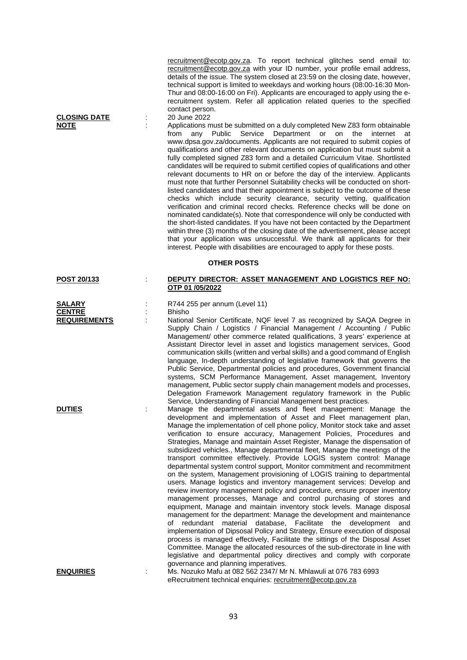[recruitment@ecotp.gov.za.](mailto:recruitment@ecotp.gov.za) To report technical glitches send email to: [recruitment@ecotp.gov.za](mailto:recruitment@ecotp.gov.za) with your ID number, your profile email address, details of the issue. The system closed at 23:59 on the closing date, however, technical support is limited to weekdays and working hours (08:00-16:30 Mon-Thur and 08:00-16:00 on Fri). Applicants are encouraged to apply using the erecruitment system. Refer all application related queries to the specified contact person.<br>20 June 2022

**NOTE** : Applications must be submitted on a duly completed New Z83 form obtainable from any Public Service Department or on the internet at www.dpsa.gov.za/documents. Applicants are not required to submit copies of qualifications and other relevant documents on application but must submit a fully completed signed Z83 form and a detailed Curriculum Vitae. Shortlisted candidates will be required to submit certified copies of qualifications and other relevant documents to HR on or before the day of the interview. Applicants must note that further Personnel Suitability checks will be conducted on shortlisted candidates and that their appointment is subject to the outcome of these checks which include security clearance, security vetting, qualification verification and criminal record checks. Reference checks will be done on nominated candidate(s). Note that correspondence will only be conducted with the short-listed candidates. If you have not been contacted by the Department within three (3) months of the closing date of the advertisement, please accept that your application was unsuccessful. We thank all applicants for their interest. People with disabilities are encouraged to apply for these posts.

## **OTHER POSTS**

### **POST 20/133** : **DEPUTY DIRECTOR: ASSET MANAGEMENT AND LOGISTICS REF NO:**

**CLOSING DATE** 

| <b>SALARY</b>       |
|---------------------|
| <b>CENTRE</b>       |
| <b>REQUIREMENTS</b> |

**SALARY** : R744 255 per annum (Level 11) : **Bhisho** 

**OTP 01 /05/2022**

National Senior Certificate, NQF level 7 as recognized by SAQA Degree in Supply Chain / Logistics / Financial Management / Accounting / Public Management/ other commerce related qualifications, 3 years' experience at Assistant Director level in asset and logistics management services, Good communication skills (written and verbal skills) and a good command of English language, In-depth understanding of legislative framework that governs the Public Service, Departmental policies and procedures, Government financial systems, SCM Performance Management, Asset management, Inventory management. Public sector supply chain management models and processes. Delegation Framework Management regulatory framework in the Public Service, Understanding of Financial Management best practices.

**DUTIES** : Manage the departmental assets and fleet management: Manage the development and implementation of Asset and Fleet management plan, Manage the implementation of cell phone policy, Monitor stock take and asset verification to ensure accuracy, Management Policies, Procedures and Strategies, Manage and maintain Asset Register, Manage the dispensation of subsidized vehicles., Manage departmental fleet, Manage the meetings of the transport committee effectively. Provide LOGIS system control: Manage departmental system control support, Monitor commitment and recommitment on the system, Management provisioning of LOGIS training to departmental users. Manage logistics and inventory management services: Develop and review inventory management policy and procedure, ensure proper inventory management processes, Manage and control purchasing of stores and equipment, Manage and maintain inventory stock levels. Manage disposal management for the department: Manage the development and maintenance of redundant material database, Facilitate the development and implementation of Dipsosal Policy and Strategy, Ensure execution of disposal process is managed effectively, Facilitate the sittings of the Disposal Asset Committee. Manage the allocated resources of the sub-directorate in line with legislative and departmental policy directives and comply with corporate governance and planning imperatives.

**ENQUIRIES** : Ms. Nozuko Mafu at 082 562 2347/ Mr N. Mhlawuli at 076 783 6993 eRecruitment technical enquiries: [recruitment@ecotp.gov.za](mailto:recruitment@ecotp.gov.za)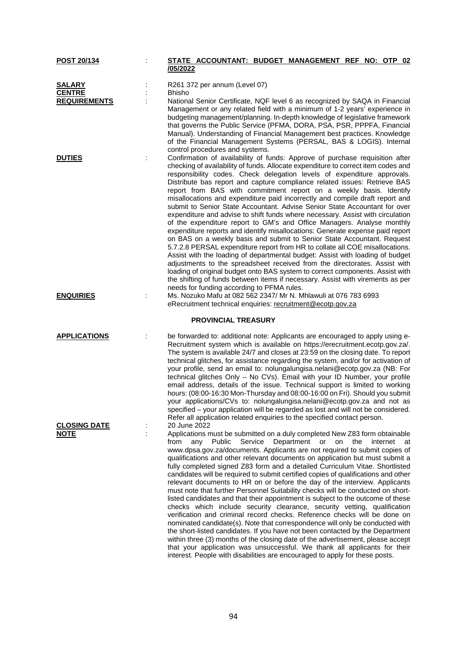| POST 20/134                                           | STATE ACCOUNTANT: BUDGET MANAGEMENT REF NO: OTP 02                                                                                                                                                                                                                                                                                                                                                                                                                                                                                                                                                                                                                                                                                                                                                                                                                                                                                                                                                                                                                                                                                                                                                                                                                                                                                                    |
|-------------------------------------------------------|-------------------------------------------------------------------------------------------------------------------------------------------------------------------------------------------------------------------------------------------------------------------------------------------------------------------------------------------------------------------------------------------------------------------------------------------------------------------------------------------------------------------------------------------------------------------------------------------------------------------------------------------------------------------------------------------------------------------------------------------------------------------------------------------------------------------------------------------------------------------------------------------------------------------------------------------------------------------------------------------------------------------------------------------------------------------------------------------------------------------------------------------------------------------------------------------------------------------------------------------------------------------------------------------------------------------------------------------------------|
|                                                       | /05/2022                                                                                                                                                                                                                                                                                                                                                                                                                                                                                                                                                                                                                                                                                                                                                                                                                                                                                                                                                                                                                                                                                                                                                                                                                                                                                                                                              |
| <b>SALARY</b><br><b>CENTRE</b><br><b>REQUIREMENTS</b> | R261 372 per annum (Level 07)<br>Bhisho<br>National Senior Certificate, NQF level 6 as recognized by SAQA in Financial<br>Management or any related field with a minimum of 1-2 years' experience in<br>budgeting management/planning. In-depth knowledge of legislative framework<br>that governs the Public Service (PFMA, DORA, PSA, PSR, PPPFA, Financial<br>Manual). Understanding of Financial Management best practices. Knowledge<br>of the Financial Management Systems (PERSAL, BAS & LOGIS). Internal<br>control procedures and systems.                                                                                                                                                                                                                                                                                                                                                                                                                                                                                                                                                                                                                                                                                                                                                                                                   |
| <b>DUTIES</b>                                         | Confirmation of availability of funds: Approve of purchase requisition after<br>checking of availability of funds. Allocate expenditure to correct item codes and<br>responsibility codes. Check delegation levels of expenditure approvals.<br>Distribute bas report and capture compliance related issues: Retrieve BAS<br>report from BAS with commitment report on a weekly basis. Identify<br>misallocations and expenditure paid incorrectly and compile draft report and<br>submit to Senior State Accountant. Advise Senior State Accountant for over<br>expenditure and advise to shift funds where necessary. Assist with circulation<br>of the expenditure report to GM's and Office Managers. Analyse monthly<br>expenditure reports and identify misallocations: Generate expense paid report<br>on BAS on a weekly basis and submit to Senior State Accountant. Request<br>5.7.2.8 PERSAL expenditure report from HR to collate all COE misallocations.<br>Assist with the loading of departmental budget: Assist with loading of budget<br>adjustments to the spreadsheet received from the directorates. Assist with<br>loading of original budget onto BAS system to correct components. Assist with<br>the shifting of funds between items if necessary. Assist with virements as per<br>needs for funding according to PFMA rules. |
| <u>ENQUIRIES</u>                                      | Ms. Nozuko Mafu at 082 562 2347/ Mr N. Mhlawuli at 076 783 6993<br>eRecruitment technical enquiries: recruitment@ecotp.gov.za                                                                                                                                                                                                                                                                                                                                                                                                                                                                                                                                                                                                                                                                                                                                                                                                                                                                                                                                                                                                                                                                                                                                                                                                                         |
|                                                       | <b>PROVINCIAL TREASURY</b>                                                                                                                                                                                                                                                                                                                                                                                                                                                                                                                                                                                                                                                                                                                                                                                                                                                                                                                                                                                                                                                                                                                                                                                                                                                                                                                            |
| <b>APPLICATIONS</b>                                   | be forwarded to: additional note: Applicants are encouraged to apply using e-<br>Recruitment system which is available on https://erecruitment.ecotp.gov.za/.<br>The system is available 24/7 and closes at 23:59 on the closing date. To report<br>technical glitches, for assistance regarding the system, and/or for activation of<br>your profile, send an email to: nolungalungisa.nelani@ecotp.gov.za (NB: For<br>technical glitches Only - No CVs). Email with your ID Number, your profile<br>email address, details of the issue. Technical support is limited to working<br>hours: (08:00-16:30 Mon-Thursday and 08:00-16:00 on Fri). Should you submit<br>your applications/CVs to: nolungalungisa.nelani@ecotp.gov.za and not as<br>specified - your application will be regarded as lost and will not be considered.<br>Refer all application related enquiries to the specified contact person.<br>20 June 2022                                                                                                                                                                                                                                                                                                                                                                                                                         |
| <u>CLOSING DATE</u><br><b>NOTE</b>                    | Applications must be submitted on a duly completed New Z83 form obtainable<br>Public Service<br>Department or<br>the<br>from<br>any<br>on<br>internet<br>at<br>www.dpsa.gov.za/documents. Applicants are not required to submit copies of<br>qualifications and other relevant documents on application but must submit a<br>fully completed signed Z83 form and a detailed Curriculum Vitae. Shortlisted<br>candidates will be required to submit certified copies of qualifications and other<br>relevant documents to HR on or before the day of the interview. Applicants<br>must note that further Personnel Suitability checks will be conducted on short-<br>listed candidates and that their appointment is subject to the outcome of these<br>checks which include security clearance, security vetting, qualification<br>verification and criminal record checks. Reference checks will be done on<br>nominated candidate(s). Note that correspondence will only be conducted with<br>the short-listed candidates. If you have not been contacted by the Department<br>within three (3) months of the closing date of the advertisement, please accept<br>that your application was unsuccessful. We thank all applicants for their<br>interest. People with disabilities are encouraged to apply for these posts.                          |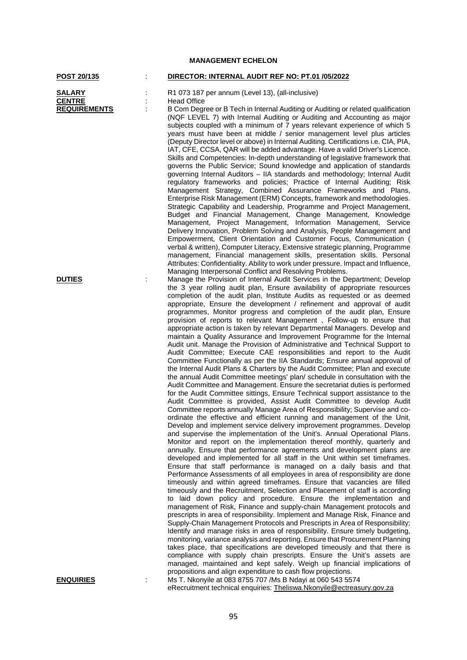## **POST 20/135** : **DIRECTOR: INTERNAL AUDIT REF NO: PT.01 /05/2022 SALARY** : R1 073 187 per annum (Level 13), (all-inclusive)<br> **CENTRE** : Head Office **CENTRE** : Head Office<br> **REQUIREMENTS** : B Com Degr **B Com Degree or B Tech in Internal Auditing or Auditing or related qualification** (NQF LEVEL 7) with Internal Auditing or Auditing and Accounting as major subjects coupled with a minimum of  $\overline{7}$  years relevant experience of which 5 years must have been at middle / senior management level plus articles (Deputy Director level or above) in Internal Auditing. Certifications i.e. CIA, PIA, IAT, CFE, CCSA, QAR will be added advantage. Have a valid Driver's Licence. Skills and Competencies: In-depth understanding of legislative framework that governs the Public Service; Sound knowledge and application of standards governing Internal Auditors – IIA standards and methodology; Internal Audit regulatory frameworks and policies; Practice of Internal Auditing; Risk Management Strategy, Combined Assurance Frameworks and Plans, Enterprise Risk Management (ERM) Concepts, framework and methodologies. Strategic Capability and Leadership, Programme and Project Management, Budget and Financial Management, Change Management, Knowledge Management, Project Management, Information Management, Service Delivery Innovation, Problem Solving and Analysis, People Management and Empowerment, Client Orientation and Customer Focus, Communication ( verbal & written), Computer Literacy, Extensive strategic planning, Programme management, Financial management skills, presentation skills. Personal Attributes: Confidentiality. Ability to work under pressure. Impact and Influence, Managing Interpersonal Conflict and Resolving Problems. **DUTIES** : Manage the Provision of Internal Audit Services in the Department; Develop the 3 year rolling audit plan, Ensure availability of appropriate resources completion of the audit plan, Institute Audits as requested or as deemed appropriate, Ensure the development / refinement and approval of audit programmes, Monitor progress and completion of the audit plan, Ensure provision of reports to relevant Management , Follow-up to ensure that appropriate action is taken by relevant Departmental Managers. Develop and maintain a Quality Assurance and Improvement Programme for the Internal Audit unit. Manage the Provision of Administrative and Technical Support to Audit Committee; Execute CAE responsibilities and report to the Audit Committee Functionally as per the IIA Standards; Ensure annual approval of the Internal Audit Plans & Charters by the Audit Committee; Plan and execute the annual Audit Committee meetings' plan/ schedule in consultation with the Audit Committee and Management. Ensure the secretariat duties is performed for the Audit Committee sittings, Ensure Technical support assistance to the Audit Committee is provided, Assist Audit Committee to develop Audit Committee reports annually Manage Area of Responsibility; Supervise and coordinate the effective and efficient running and management of the Unit, Develop and implement service delivery improvement programmes. Develop and supervise the implementation of the Unit's. Annual Operational Plans. Monitor and report on the implementation thereof monthly, quarterly and annually. Ensure that performance agreements and development plans are developed and implemented for all staff in the Unit within set timeframes. Ensure that staff performance is managed on a daily basis and that Performance Assessments of all employees in area of responsibility are done timeously and within agreed timeframes. Ensure that vacancies are filled timeously and the Recruitment, Selection and Placement of staff is according to laid down policy and procedure. Ensure the implementation and management of Risk, Finance and supply-chain Management protocols and prescripts in area of responsibility. Implement and Manage Risk, Finance and Supply-Chain Management Protocols and Prescripts in Area of Responsibility; Identify and manage risks in area of responsibility. Ensure timely budgeting, monitoring, variance analysis and reporting. Ensure that Procurement Planning takes place, that specifications are developed timeously and that there is compliance with supply chain prescripts. Ensure the Unit's assets are managed, maintained and kept safely. Weigh up financial implications of propositions and align expenditure to cash flow projections. **ENQUIRIES** : Ms T. Nkonyile at 083 8755 707 /Ms B Ndayi at 060 543 5574

**MANAGEMENT ECHELON**

eRecruitment technical enquiries: [Theliswa.Nkonyile@ectreasury.gov.za](mailto:Theliswa.Nkonyile@ectreasury.gov.za)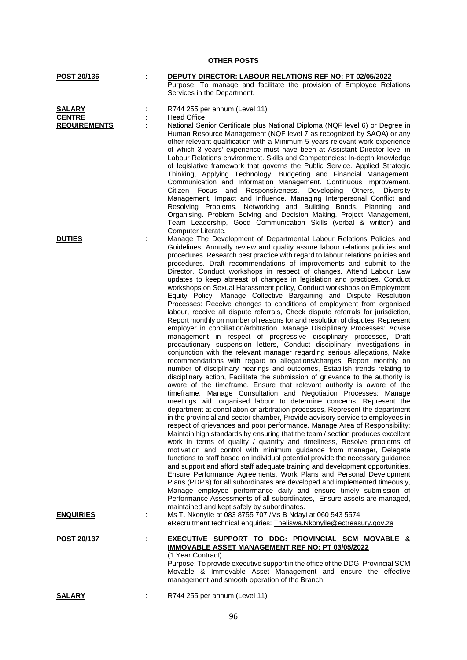# **POST 20/136** : **DEPUTY DIRECTOR: LABOUR RELATIONS REF NO: PT 02/05/2022** Purpose: To manage and facilitate the provision of Employee Relations Services in the Department. **SALARY** : R744 255 per annum (Level 11)<br> **CENTRE** : Head Office : **Head Office REQUIREMENTS** : National Senior Certificate plus National Diploma (NQF level 6) or Degree in Human Resource Management (NQF level 7 as recognized by SAQA) or any other relevant qualification with a Minimum 5 years relevant work experience of which 3 years' experience must have been at Assistant Director level in Labour Relations environment. Skills and Competencies: In-depth knowledge of legislative framework that governs the Public Service. Applied Strategic Thinking, Applying Technology, Budgeting and Financial Management. Communication and Information Management. Continuous Improvement. Citizen Focus and Responsiveness. Developing Others, Diversity Management, Impact and Influence. Managing Interpersonal Conflict and Resolving Problems. Networking and Building Bonds. Planning and Organising. Problem Solving and Decision Making. Project Management, Team Leadership, Good Communication Skills (verbal & written) and Computer Literate. **DUTIES** : Manage The Development of Departmental Labour Relations Policies and Guidelines: Annually review and quality assure labour relations policies and procedures. Research best practice with regard to labour relations policies and procedures. Draft recommendations of improvements and submit to the Director. Conduct workshops in respect of changes. Attend Labour Law updates to keep abreast of changes in legislation and practices, Conduct workshops on Sexual Harassment policy, Conduct workshops on Employment Equity Policy. Manage Collective Bargaining and Dispute Resolution Processes: Receive changes to conditions of employment from organised labour, receive all dispute referrals, Check dispute referrals for jurisdiction, Report monthly on number of reasons for and resolution of disputes. Represent employer in conciliation/arbitration. Manage Disciplinary Processes: Advise management in respect of progressive disciplinary processes, Draft precautionary suspension letters, Conduct disciplinary investigations in conjunction with the relevant manager regarding serious allegations, Make recommendations with regard to allegations/charges, Report monthly on number of disciplinary hearings and outcomes, Establish trends relating to disciplinary action, Facilitate the submission of grievance to the authority is aware of the timeframe, Ensure that relevant authority is aware of the timeframe. Manage Consultation and Negotiation Processes: Manage meetings with organised labour to determine concerns, Represent the department at conciliation or arbitration processes, Represent the department in the provincial and sector chamber, Provide advisory service to employees in respect of grievances and poor performance. Manage Area of Responsibility: Maintain high standards by ensuring that the team / section produces excellent work in terms of quality / quantity and timeliness, Resolve problems of motivation and control with minimum guidance from manager, Delegate functions to staff based on individual potential provide the necessary guidance and support and afford staff adequate training and development opportunities, Ensure Performance Agreements, Work Plans and Personal Development Plans (PDP's) for all subordinates are developed and implemented timeously, Manage employee performance daily and ensure timely submission of Performance Assessments of all subordinates, Ensure assets are managed, maintained and kept safely by subordinates. **ENQUIRIES** : Ms T. Nkonyile at 083 8755 707 /Ms B Ndayi at 060 543 5574 eRecruitment technical enquiries: [Theliswa.Nkonyile@ectreasury.gov.za](mailto:Theliswa.Nkonyile@ectreasury.gov.za) **POST 20/137** : **EXECUTIVE SUPPORT TO DDG: PROVINCIAL SCM MOVABLE & IMMOVABLE ASSET MANAGEMENT REF NO: PT 03/05/2022** (1 Year Contract) Purpose: To provide executive support in the office of the DDG: Provincial SCM Movable & Immovable Asset Management and ensure the effective management and smooth operation of the Branch. **SALARY** : R744 255 per annum (Level 11)

**OTHER POSTS**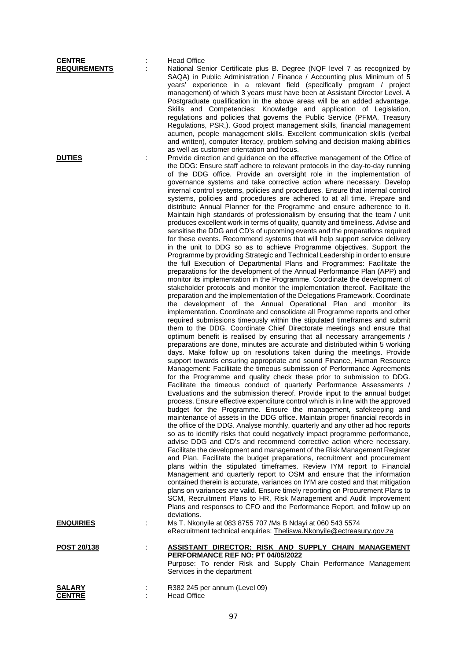| <b>CENTRE</b>                        |   | <b>Head Office</b>                                                                                                                                                                                                                                                                                                                                                                                                                                                                                                                                                                                                                                                                                                                                                                                                                                                                                                                                                                                                                                                                                                                                                                                                                                                                                                                                                                                                                                                                                                                                                                                                                                                                                                                                                                                                                                                                                                                                                                                                                                                                                                                                                                                                                                                                                                                                                                                                                                                                                                                                                                                                                                                                                                                                                                                                                                                                                                                                                                                                                                                                                                                                                                                                                                                                                                                                                                                                                |
|--------------------------------------|---|-----------------------------------------------------------------------------------------------------------------------------------------------------------------------------------------------------------------------------------------------------------------------------------------------------------------------------------------------------------------------------------------------------------------------------------------------------------------------------------------------------------------------------------------------------------------------------------------------------------------------------------------------------------------------------------------------------------------------------------------------------------------------------------------------------------------------------------------------------------------------------------------------------------------------------------------------------------------------------------------------------------------------------------------------------------------------------------------------------------------------------------------------------------------------------------------------------------------------------------------------------------------------------------------------------------------------------------------------------------------------------------------------------------------------------------------------------------------------------------------------------------------------------------------------------------------------------------------------------------------------------------------------------------------------------------------------------------------------------------------------------------------------------------------------------------------------------------------------------------------------------------------------------------------------------------------------------------------------------------------------------------------------------------------------------------------------------------------------------------------------------------------------------------------------------------------------------------------------------------------------------------------------------------------------------------------------------------------------------------------------------------------------------------------------------------------------------------------------------------------------------------------------------------------------------------------------------------------------------------------------------------------------------------------------------------------------------------------------------------------------------------------------------------------------------------------------------------------------------------------------------------------------------------------------------------------------------------------------------------------------------------------------------------------------------------------------------------------------------------------------------------------------------------------------------------------------------------------------------------------------------------------------------------------------------------------------------------------------------------------------------------------------------------------------------------|
| <b>REQUIREMENTS</b><br><b>DUTIES</b> |   | National Senior Certificate plus B. Degree (NQF level 7 as recognized by<br>SAQA) in Public Administration / Finance / Accounting plus Minimum of 5<br>years' experience in a relevant field (specifically program / project<br>management) of which 3 years must have been at Assistant Director Level. A<br>Postgraduate qualification in the above areas will be an added advantage.<br>Skills and Competencies: Knowledge and application of Legislation,<br>regulations and policies that governs the Public Service (PFMA, Treasury<br>Regulations, PSR,). Good project management skills, financial management<br>acumen, people management skills. Excellent communication skills (verbal<br>and written), computer literacy, problem solving and decision making abilities<br>as well as customer orientation and focus.<br>Provide direction and guidance on the effective management of the Office of                                                                                                                                                                                                                                                                                                                                                                                                                                                                                                                                                                                                                                                                                                                                                                                                                                                                                                                                                                                                                                                                                                                                                                                                                                                                                                                                                                                                                                                                                                                                                                                                                                                                                                                                                                                                                                                                                                                                                                                                                                                                                                                                                                                                                                                                                                                                                                                                                                                                                                                  |
|                                      |   | the DDG: Ensure staff adhere to relevant protocols in the day-to-day running<br>of the DDG office. Provide an oversight role in the implementation of<br>governance systems and take corrective action where necessary. Develop<br>internal control systems, policies and procedures. Ensure that internal control<br>systems, policies and procedures are adhered to at all time. Prepare and<br>distribute Annual Planner for the Programme and ensure adherence to it.<br>Maintain high standards of professionalism by ensuring that the team / unit<br>produces excellent work in terms of quality, quantity and timeliness. Advise and<br>sensitise the DDG and CD's of upcoming events and the preparations required<br>for these events. Recommend systems that will help support service delivery<br>in the unit to DDG so as to achieve Programme objectives. Support the<br>Programme by providing Strategic and Technical Leadership in order to ensure<br>the full Execution of Departmental Plans and Programmes: Facilitate the<br>preparations for the development of the Annual Performance Plan (APP) and<br>monitor its implementation in the Programme. Coordinate the development of<br>stakeholder protocols and monitor the implementation thereof. Facilitate the<br>preparation and the implementation of the Delegations Framework. Coordinate<br>the development of the Annual Operational Plan and monitor its<br>implementation. Coordinate and consolidate all Programme reports and other<br>required submissions timeously within the stipulated timeframes and submit<br>them to the DDG. Coordinate Chief Directorate meetings and ensure that<br>optimum benefit is realised by ensuring that all necessary arrangements /<br>preparations are done, minutes are accurate and distributed within 5 working<br>days. Make follow up on resolutions taken during the meetings. Provide<br>support towards ensuring appropriate and sound Finance, Human Resource<br>Management: Facilitate the timeous submission of Performance Agreements<br>for the Programme and quality check these prior to submission to DDG.<br>Facilitate the timeous conduct of quarterly Performance Assessments /<br>Evaluations and the submission thereof. Provide input to the annual budget<br>process. Ensure effective expenditure control which is in line with the approved<br>budget for the Programme. Ensure the management, safekeeping and<br>maintenance of assets in the DDG office. Maintain proper financial records in<br>the office of the DDG. Analyse monthly, quarterly and any other ad hoc reports<br>so as to identify risks that could negatively impact programme performance,<br>advise DDG and CD's and recommend corrective action where necessary.<br>Facilitate the development and management of the Risk Management Register<br>and Plan. Facilitate the budget preparations, recruitment and procurement<br>plans within the stipulated timeframes. Review IYM report to Financial<br>Management and quarterly report to OSM and ensure that the information<br>contained therein is accurate, variances on IYM are costed and that mitigation<br>plans on variances are valid. Ensure timely reporting on Procurement Plans to<br>SCM, Recruitment Plans to HR, Risk Management and Audit Improvement<br>Plans and responses to CFO and the Performance Report, and follow up on |
| <b>ENQUIRIES</b>                     | ÷ | deviations.<br>Ms T. Nkonyile at 083 8755 707 /Ms B Ndayi at 060 543 5574<br>eRecruitment technical enquiries: Theliswa.Nkonyile@ectreasury.gov.za                                                                                                                                                                                                                                                                                                                                                                                                                                                                                                                                                                                                                                                                                                                                                                                                                                                                                                                                                                                                                                                                                                                                                                                                                                                                                                                                                                                                                                                                                                                                                                                                                                                                                                                                                                                                                                                                                                                                                                                                                                                                                                                                                                                                                                                                                                                                                                                                                                                                                                                                                                                                                                                                                                                                                                                                                                                                                                                                                                                                                                                                                                                                                                                                                                                                                |
| POST 20/138                          |   | <b>ASSISTANT DIRECTOR: RISK AND SUPPLY CHAIN MANAGEMENT</b><br>PERFORMANCE REF NO: PT 04/05/2022<br>Purpose: To render Risk and Supply Chain Performance Management<br>Services in the department                                                                                                                                                                                                                                                                                                                                                                                                                                                                                                                                                                                                                                                                                                                                                                                                                                                                                                                                                                                                                                                                                                                                                                                                                                                                                                                                                                                                                                                                                                                                                                                                                                                                                                                                                                                                                                                                                                                                                                                                                                                                                                                                                                                                                                                                                                                                                                                                                                                                                                                                                                                                                                                                                                                                                                                                                                                                                                                                                                                                                                                                                                                                                                                                                                 |
| SALARY<br><b>CENTRE</b>              |   | R382 245 per annum (Level 09)<br><b>Head Office</b>                                                                                                                                                                                                                                                                                                                                                                                                                                                                                                                                                                                                                                                                                                                                                                                                                                                                                                                                                                                                                                                                                                                                                                                                                                                                                                                                                                                                                                                                                                                                                                                                                                                                                                                                                                                                                                                                                                                                                                                                                                                                                                                                                                                                                                                                                                                                                                                                                                                                                                                                                                                                                                                                                                                                                                                                                                                                                                                                                                                                                                                                                                                                                                                                                                                                                                                                                                               |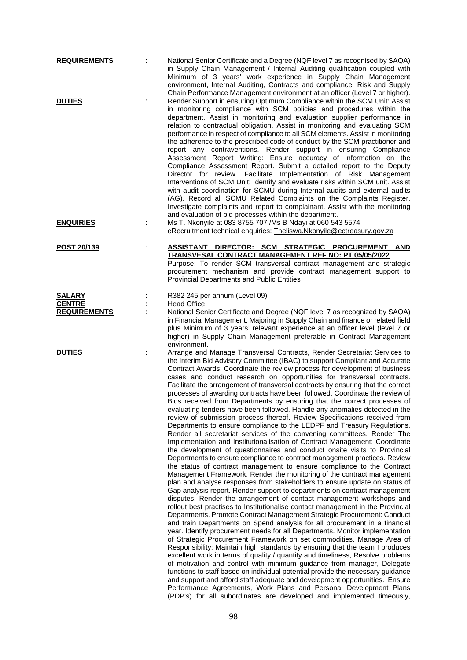| <b>REQUIREMENTS</b>                  |   | National Senior Certificate and a Degree (NQF level 7 as recognised by SAQA)<br>in Supply Chain Management / Internal Auditing qualification coupled with<br>Minimum of 3 years' work experience in Supply Chain Management<br>environment, Internal Auditing, Contracts and compliance, Risk and Supply                                                                                                                                                                                                                                                                                                                                                                                                                                                                                                                                                                                                                                                                                                                                                                                                                                                                                                                                                                                                                                                                                                                                                                                                                                                                                                                                                                                                                                                                                                                                                                                                                                                                                                                                                                                                                                                                                                                                                                                                                                                                                                                                                                          |
|--------------------------------------|---|-----------------------------------------------------------------------------------------------------------------------------------------------------------------------------------------------------------------------------------------------------------------------------------------------------------------------------------------------------------------------------------------------------------------------------------------------------------------------------------------------------------------------------------------------------------------------------------------------------------------------------------------------------------------------------------------------------------------------------------------------------------------------------------------------------------------------------------------------------------------------------------------------------------------------------------------------------------------------------------------------------------------------------------------------------------------------------------------------------------------------------------------------------------------------------------------------------------------------------------------------------------------------------------------------------------------------------------------------------------------------------------------------------------------------------------------------------------------------------------------------------------------------------------------------------------------------------------------------------------------------------------------------------------------------------------------------------------------------------------------------------------------------------------------------------------------------------------------------------------------------------------------------------------------------------------------------------------------------------------------------------------------------------------------------------------------------------------------------------------------------------------------------------------------------------------------------------------------------------------------------------------------------------------------------------------------------------------------------------------------------------------------------------------------------------------------------------------------------------------|
| <b>DUTIES</b>                        |   | Chain Performance Management environment at an officer (Level 7 or higher).<br>Render Support in ensuring Optimum Compliance within the SCM Unit: Assist<br>in monitoring compliance with SCM policies and procedures within the<br>department. Assist in monitoring and evaluation supplier performance in<br>relation to contractual obligation. Assist in monitoring and evaluating SCM<br>performance in respect of compliance to all SCM elements. Assist in monitoring<br>the adherence to the prescribed code of conduct by the SCM practitioner and<br>report any contraventions. Render support in ensuring Compliance<br>Assessment Report Writing: Ensure accuracy of information on the<br>Compliance Assessment Report. Submit a detailed report to the Deputy<br>Director for review. Facilitate Implementation of Risk Management<br>Interventions of SCM Unit: Identify and evaluate risks within SCM unit. Assist<br>with audit coordination for SCMU during Internal audits and external audits<br>(AG). Record all SCMU Related Complaints on the Complaints Register.<br>Investigate complaints and report to complainant. Assist with the monitoring<br>and evaluation of bid processes within the department.                                                                                                                                                                                                                                                                                                                                                                                                                                                                                                                                                                                                                                                                                                                                                                                                                                                                                                                                                                                                                                                                                                                                                                                                                                               |
| <b>ENQUIRIES</b>                     |   | Ms T. Nkonyile at 083 8755 707 /Ms B Ndayi at 060 543 5574<br>eRecruitment technical enquiries: Theliswa.Nkonyile@ectreasury.gov.za                                                                                                                                                                                                                                                                                                                                                                                                                                                                                                                                                                                                                                                                                                                                                                                                                                                                                                                                                                                                                                                                                                                                                                                                                                                                                                                                                                                                                                                                                                                                                                                                                                                                                                                                                                                                                                                                                                                                                                                                                                                                                                                                                                                                                                                                                                                                               |
| POST 20/139                          | ÷ | ASSISTANT DIRECTOR: SCM STRATEGIC PROCUREMENT AND<br>TRANSVESAL CONTRACT MANAGEMENT REF NO: PT 05/05/2022<br>Purpose: To render SCM transversal contract management and strategic<br>procurement mechanism and provide contract management support to<br><b>Provincial Departments and Public Entities</b>                                                                                                                                                                                                                                                                                                                                                                                                                                                                                                                                                                                                                                                                                                                                                                                                                                                                                                                                                                                                                                                                                                                                                                                                                                                                                                                                                                                                                                                                                                                                                                                                                                                                                                                                                                                                                                                                                                                                                                                                                                                                                                                                                                        |
| <b>SALARY</b>                        |   | R382 245 per annum (Level 09)                                                                                                                                                                                                                                                                                                                                                                                                                                                                                                                                                                                                                                                                                                                                                                                                                                                                                                                                                                                                                                                                                                                                                                                                                                                                                                                                                                                                                                                                                                                                                                                                                                                                                                                                                                                                                                                                                                                                                                                                                                                                                                                                                                                                                                                                                                                                                                                                                                                     |
| <b>CENTRE</b><br><b>REQUIREMENTS</b> |   | <b>Head Office</b><br>National Senior Certificate and Degree (NQF level 7 as recognized by SAQA)<br>in Financial Management, Majoring in Supply Chain and finance or related field<br>plus Minimum of 3 years' relevant experience at an officer level (level 7 or<br>higher) in Supply Chain Management preferable in Contract Management<br>environment.                                                                                                                                                                                                                                                                                                                                                                                                                                                                                                                                                                                                                                                                                                                                                                                                                                                                                                                                                                                                                                                                                                                                                                                                                                                                                                                                                                                                                                                                                                                                                                                                                                                                                                                                                                                                                                                                                                                                                                                                                                                                                                                        |
| <b>DUTIES</b>                        |   | Arrange and Manage Transversal Contracts, Render Secretariat Services to<br>the Interim Bid Advisory Committee (IBAC) to support Compliant and Accurate<br>Contract Awards: Coordinate the review process for development of business<br>cases and conduct research on opportunities for transversal contracts.<br>Facilitate the arrangement of transversal contracts by ensuring that the correct<br>processes of awarding contracts have been followed. Coordinate the review of<br>Bids received from Departments by ensuring that the correct processes of<br>evaluating tenders have been followed. Handle any anomalies detected in the<br>review of submission process thereof. Review Specifications received from<br>Departments to ensure compliance to the LEDPF and Treasury Regulations.<br>Render all secretariat services of the convening committees. Render The<br>Implementation and Institutionalisation of Contract Management: Coordinate<br>the development of questionnaires and conduct onsite visits to Provincial<br>Departments to ensure compliance to contract management practices. Review<br>the status of contract management to ensure compliance to the Contract<br>Management Framework. Render the monitoring of the contract management<br>plan and analyse responses from stakeholders to ensure update on status of<br>Gap analysis report. Render support to departments on contract management<br>disputes. Render the arrangement of contact management workshops and<br>rollout best practises to Institutionalise contact management in the Provincial<br>Departments. Promote Contract Management Strategic Procurement: Conduct<br>and train Departments on Spend analysis for all procurement in a financial<br>year. Identify procurement needs for all Departments. Monitor implementation<br>of Strategic Procurement Framework on set commodities. Manage Area of<br>Responsibility: Maintain high standards by ensuring that the team I produces<br>excellent work in terms of quality / quantity and timeliness, Resolve problems<br>of motivation and control with minimum guidance from manager, Delegate<br>functions to staff based on individual potential provide the necessary guidance<br>and support and afford staff adequate and development opportunities. Ensure<br>Performance Agreements, Work Plans and Personal Development Plans<br>(PDP's) for all subordinates are developed and implemented timeously, |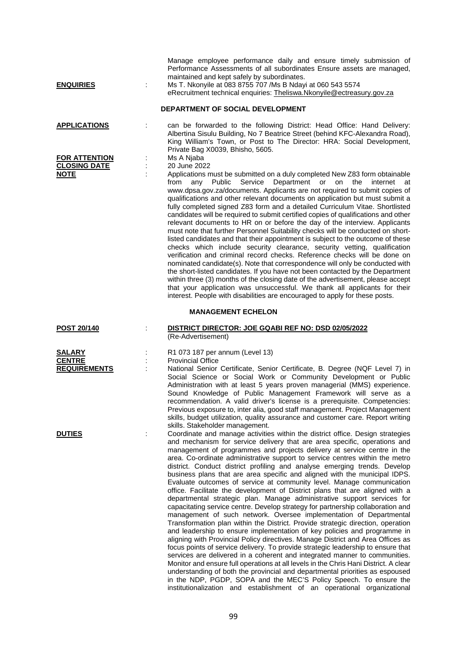| <b>ENQUIRIES</b>                                      | Manage employee performance daily and ensure timely submission of<br>Performance Assessments of all subordinates Ensure assets are managed,<br>maintained and kept safely by subordinates.<br>Ms T. Nkonyile at 083 8755 707 /Ms B Ndayi at 060 543 5574<br>eRecruitment technical enquiries: Theliswa.Nkonyile@ectreasury.gov.za<br>DEPARTMENT OF SOCIAL DEVELOPMENT                                                                                                                                                                                                                                                                                                                                                                                                                                                                                                                                                                                                                                                                                                                                                                                                                                                                                                                                                                                                                                                                                                                                                                                                                                                      |
|-------------------------------------------------------|----------------------------------------------------------------------------------------------------------------------------------------------------------------------------------------------------------------------------------------------------------------------------------------------------------------------------------------------------------------------------------------------------------------------------------------------------------------------------------------------------------------------------------------------------------------------------------------------------------------------------------------------------------------------------------------------------------------------------------------------------------------------------------------------------------------------------------------------------------------------------------------------------------------------------------------------------------------------------------------------------------------------------------------------------------------------------------------------------------------------------------------------------------------------------------------------------------------------------------------------------------------------------------------------------------------------------------------------------------------------------------------------------------------------------------------------------------------------------------------------------------------------------------------------------------------------------------------------------------------------------|
| <b>APPLICATIONS</b>                                   | can be forwarded to the following District: Head Office: Hand Delivery:<br>Albertina Sisulu Building, No 7 Beatrice Street (behind KFC-Alexandra Road),<br>King William's Town, or Post to The Director: HRA: Social Development,                                                                                                                                                                                                                                                                                                                                                                                                                                                                                                                                                                                                                                                                                                                                                                                                                                                                                                                                                                                                                                                                                                                                                                                                                                                                                                                                                                                          |
| <b>FOR ATTENTION</b><br><b>CLOSING DATE</b>           | Private Bag X0039, Bhisho, 5605.<br>Ms A Njaba<br>20 June 2022                                                                                                                                                                                                                                                                                                                                                                                                                                                                                                                                                                                                                                                                                                                                                                                                                                                                                                                                                                                                                                                                                                                                                                                                                                                                                                                                                                                                                                                                                                                                                             |
| <b>NOTE</b>                                           | Applications must be submitted on a duly completed New Z83 form obtainable<br>Department or<br>from<br>Public<br>Service<br>on<br>the<br>internet<br>any<br>at<br>www.dpsa.gov.za/documents. Applicants are not required to submit copies of<br>qualifications and other relevant documents on application but must submit a<br>fully completed signed Z83 form and a detailed Curriculum Vitae. Shortlisted<br>candidates will be required to submit certified copies of qualifications and other<br>relevant documents to HR on or before the day of the interview. Applicants<br>must note that further Personnel Suitability checks will be conducted on short-<br>listed candidates and that their appointment is subject to the outcome of these<br>checks which include security clearance, security vetting, qualification<br>verification and criminal record checks. Reference checks will be done on<br>nominated candidate(s). Note that correspondence will only be conducted with<br>the short-listed candidates. If you have not been contacted by the Department<br>within three (3) months of the closing date of the advertisement, please accept<br>that your application was unsuccessful. We thank all applicants for their<br>interest. People with disabilities are encouraged to apply for these posts.                                                                                                                                                                                                                                                                                            |
|                                                       | <b>MANAGEMENT ECHELON</b>                                                                                                                                                                                                                                                                                                                                                                                                                                                                                                                                                                                                                                                                                                                                                                                                                                                                                                                                                                                                                                                                                                                                                                                                                                                                                                                                                                                                                                                                                                                                                                                                  |
| <b>POST 20/140</b>                                    | DISTRICT DIRECTOR: JOE GQABI REF NO: DSD 02/05/2022<br>(Re-Advertisement)                                                                                                                                                                                                                                                                                                                                                                                                                                                                                                                                                                                                                                                                                                                                                                                                                                                                                                                                                                                                                                                                                                                                                                                                                                                                                                                                                                                                                                                                                                                                                  |
| <b>SALARY</b><br><b>CENTRE</b><br><b>REQUIREMENTS</b> | R1 073 187 per annum (Level 13)<br><b>Provincial Office</b><br>National Senior Certificate, Senior Certificate, B. Degree (NQF Level 7) in<br>Social Science or Social Work or Community Development or Public<br>Administration with at least 5 years proven managerial (MMS) experience.<br>Sound Knowledge of Public Management Framework will serve as a<br>recommendation. A valid driver's license is a prerequisite. Competencies:<br>Previous exposure to, inter alia, good staff management. Project Management<br>skills, budget utilization, quality assurance and customer care. Report writing<br>skills. Stakeholder management.                                                                                                                                                                                                                                                                                                                                                                                                                                                                                                                                                                                                                                                                                                                                                                                                                                                                                                                                                                             |
| <b>DUTIES</b>                                         | Coordinate and manage activities within the district office. Design strategies<br>and mechanism for service delivery that are area specific, operations and<br>management of programmes and projects delivery at service centre in the<br>area. Co-ordinate administrative support to service centres within the metro<br>district. Conduct district profiling and analyse emerging trends. Develop<br>business plans that are area specific and aligned with the municipal IDPS.<br>Evaluate outcomes of service at community level. Manage communication<br>office. Facilitate the development of District plans that are aligned with a<br>departmental strategic plan. Manage administrative support services for<br>capacitating service centre. Develop strategy for partnership collaboration and<br>management of such network. Oversee implementation of Departmental<br>Transformation plan within the District. Provide strategic direction, operation<br>and leadership to ensure implementation of key policies and programme in<br>aligning with Provincial Policy directives. Manage District and Area Offices as<br>focus points of service delivery. To provide strategic leadership to ensure that<br>services are delivered in a coherent and integrated manner to communities.<br>Monitor and ensure full operations at all levels in the Chris Hani District. A clear<br>understanding of both the provincial and departmental priorities as espoused<br>in the NDP, PGDP, SOPA and the MEC'S Policy Speech. To ensure the<br>institutionalization and establishment of an operational organizational |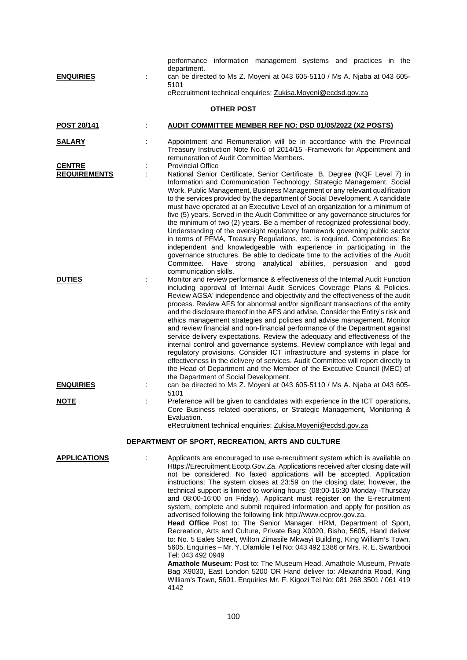| <b>ENQUIRIES</b>                     | performance information management systems and practices in the<br>department.<br>can be directed to Ms Z. Moyeni at 043 605-5110 / Ms A. Njaba at 043 605-<br>5101<br>eRecruitment technical enquiries: Zukisa.Moyeni@ecdsd.gov.za                                                                                                                                                                                                                                                                                                                                                                                                                                                                                                                                                                                                                                                                                                                                                                                              |
|--------------------------------------|----------------------------------------------------------------------------------------------------------------------------------------------------------------------------------------------------------------------------------------------------------------------------------------------------------------------------------------------------------------------------------------------------------------------------------------------------------------------------------------------------------------------------------------------------------------------------------------------------------------------------------------------------------------------------------------------------------------------------------------------------------------------------------------------------------------------------------------------------------------------------------------------------------------------------------------------------------------------------------------------------------------------------------|
|                                      | <b>OTHER POST</b>                                                                                                                                                                                                                                                                                                                                                                                                                                                                                                                                                                                                                                                                                                                                                                                                                                                                                                                                                                                                                |
| POST 20/141                          | <b>AUDIT COMMITTEE MEMBER REF NO: DSD 01/05/2022 (X2 POSTS)</b>                                                                                                                                                                                                                                                                                                                                                                                                                                                                                                                                                                                                                                                                                                                                                                                                                                                                                                                                                                  |
| <b>SALARY</b>                        | Appointment and Remuneration will be in accordance with the Provincial<br>Treasury Instruction Note No.6 of 2014/15 - Framework for Appointment and<br>remuneration of Audit Committee Members.                                                                                                                                                                                                                                                                                                                                                                                                                                                                                                                                                                                                                                                                                                                                                                                                                                  |
| <b>CENTRE</b><br><b>REQUIREMENTS</b> | <b>Provincial Office</b><br>National Senior Certificate, Senior Certificate, B. Degree (NQF Level 7) in<br>Information and Communication Technology, Strategic Management, Social<br>Work, Public Management, Business Management or any relevant qualification<br>to the services provided by the department of Social Development. A candidate<br>must have operated at an Executive Level of an organization for a minimum of<br>five (5) years. Served in the Audit Committee or any governance structures for<br>the minimum of two (2) years. Be a member of recognized professional body.<br>Understanding of the oversight regulatory framework governing public sector<br>in terms of PFMA, Treasury Regulations, etc. is required. Competencies: Be<br>independent and knowledgeable with experience in participating in the<br>governance structures. Be able to dedicate time to the activities of the Audit<br>Committee.<br>Have strong<br>analytical abilities, persuasion and<br>good<br>communication skills.   |
| <b>DUTIES</b>                        | Monitor and review performance & effectiveness of the Internal Audit Function<br>including approval of Internal Audit Services Coverage Plans & Policies.<br>Review AGSA' independence and objectivity and the effectiveness of the audit<br>process. Review AFS for abnormal and/or significant transactions of the entity<br>and the disclosure thereof in the AFS and advise. Consider the Entity's risk and<br>ethics management strategies and policies and advise management. Monitor<br>and review financial and non-financial performance of the Department against<br>service delivery expectations. Review the adequacy and effectiveness of the<br>internal control and governance systems. Review compliance with legal and<br>regulatory provisions. Consider ICT infrastructure and systems in place for<br>effectiveness in the delivery of services. Audit Committee will report directly to<br>the Head of Department and the Member of the Executive Council (MEC) of<br>the Department of Social Development. |
| <b>ENQUIRIES</b>                     | can be directed to Ms Z. Moyeni at 043 605-5110 / Ms A. Njaba at 043 605-<br>5101                                                                                                                                                                                                                                                                                                                                                                                                                                                                                                                                                                                                                                                                                                                                                                                                                                                                                                                                                |
| <b>NOTE</b>                          | Preference will be given to candidates with experience in the ICT operations,<br>Core Business related operations, or Strategic Management, Monitoring &<br>Evaluation.<br>eRecruitment technical enquiries: Zukisa.Moyeni@ecdsd.gov.za                                                                                                                                                                                                                                                                                                                                                                                                                                                                                                                                                                                                                                                                                                                                                                                          |
|                                      | DEPARTMENT OF SPORT, RECREATION, ARTS AND CULTURE                                                                                                                                                                                                                                                                                                                                                                                                                                                                                                                                                                                                                                                                                                                                                                                                                                                                                                                                                                                |
| <b>APPLICATIONS</b>                  | Applicants are encouraged to use e-recruitment system which is available on<br>Https://Erecruitment.Ecotp.Gov.Za. Applications received after closing date will<br>not be considered. No faxed applications will be accepted. Application<br>instructions: The system closes at 23:59 on the closing date; however, the<br>technical support is limited to working hours: (08:00-16:30 Monday -Thursday<br>and 08:00-16:00 on Friday). Applicant must register on the E-recruitment<br>system, complete and submit required information and apply for position as<br>advertised following the following link http://www.ecprov.gov.za.<br>Head Office Post to: The Senior Manager: HRM, Department of Sport,<br>Recreation, Arts and Culture, Private Bag X0020, Bisho, 5605, Hand deliver<br>to: No. 5 Eales Street, Wilton Zimasile Mkwayi Building, King William's Town,<br>5605. Enquiries - Mr. Y. Dlamkile Tel No: 043 492 1386 or Mrs. R. E. Swartbooi                                                                    |

Tel: 043 492 0949 **Amathole Museum**: Post to: The Museum Head, Amathole Museum, Private Bag X9030, East London 5200 OR Hand deliver to: Alexandria Road, King William's Town, 5601. Enquiries Mr. F. Kigozi Tel No: 081 268 3501 / 061 419 4142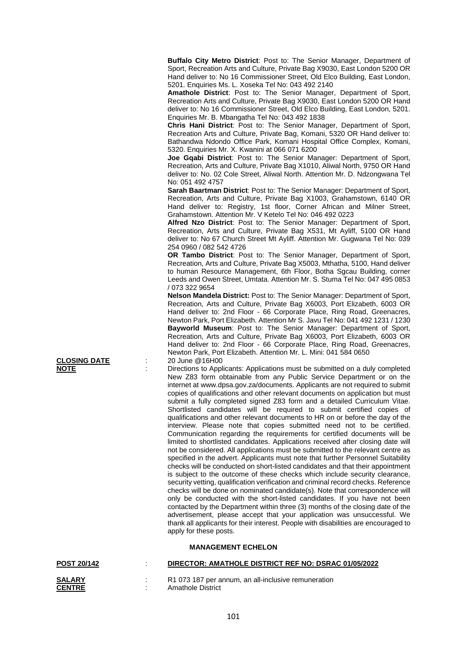**Buffalo City Metro District**: Post to: The Senior Manager, Department of Sport, Recreation Arts and Culture, Private Bag X9030, East London 5200 OR Hand deliver to: No 16 Commissioner Street, Old Elco Building, East London, 5201. Enquiries Ms. L. Xoseka Tel No: 043 492 2140

**Amathole District**: Post to: The Senior Manager, Department of Sport, Recreation Arts and Culture, Private Bag X9030, East London 5200 OR Hand deliver to: No 16 Commissioner Street, Old Elco Building, East London, 5201. Enquiries Mr. B. Mbangatha Tel No: 043 492 1838

**Chris Hani District**: Post to: The Senior Manager, Department of Sport, Recreation Arts and Culture, Private Bag, Komani, 5320 OR Hand deliver to: Bathandwa Ndondo Office Park, Komani Hospital Office Complex, Komani, 5320. Enquiries Mr. X. Kwanini at 066 071 6200

**Joe Gqabi District**: Post to: The Senior Manager: Department of Sport, Recreation, Arts and Culture, Private Bag X1010, Aliwal North, 9750 OR Hand deliver to: No. 02 Cole Street, Aliwal North. Attention Mr. D. Ndzongwana Tel No: 051 492 4757

**Sarah Baartman District**: Post to: The Senior Manager: Department of Sport, Recreation, Arts and Culture, Private Bag X1003, Grahamstown, 6140 OR Hand deliver to: Registry, 1st floor, Corner African and Milner Street, Grahamstown. Attention Mr. V Ketelo Tel No: 046 492 0223

**Alfred Nzo District**: Post to: The Senior Manager: Department of Sport, Recreation, Arts and Culture, Private Bag X531, Mt Ayliff, 5100 OR Hand deliver to: No 67 Church Street Mt Ayliff. Attention Mr. Gugwana Tel No: 039 254 0960 / 082 542 4726

**OR Tambo District**: Post to: The Senior Manager, Department of Sport, Recreation, Arts and Culture, Private Bag X5003, Mthatha, 5100, Hand deliver to human Resource Management, 6th Floor, Botha Sgcau Building, corner Leeds and Owen Street, Umtata. Attention Mr. S. Stuma Tel No: 047 495 0853 / 073 322 9654

**Nelson Mandela District:** Post to: The Senior Manager: Department of Sport, Recreation, Arts and Culture, Private Bag X6003, Port Elizabeth, 6003 OR Hand deliver to: 2nd Floor - 66 Corporate Place, Ring Road, Greenacres, Newton Park, Port Elizabeth. Attention Mr S. Javu Tel No: 041 492 1231 / 1230 **Bayworld Museum**: Post to: The Senior Manager: Department of Sport, Recreation, Arts and Culture, Private Bag X6003, Port Elizabeth, 6003 OR Hand deliver to: 2nd Floor - 66 Corporate Place, Ring Road, Greenacres, Newton Park, Port Elizabeth. Attention Mr. L. Mini: 041 584 0650

**NOTE Example 1** : Directions to Applicants: Applications must be submitted on a duly completed New Z83 form obtainable from any Public Service Department or on the internet at www.dpsa.gov.za/documents. Applicants are not required to submit copies of qualifications and other relevant documents on application but must submit a fully completed signed Z83 form and a detailed Curriculum Vitae. Shortlisted candidates will be required to submit certified copies of qualifications and other relevant documents to HR on or before the day of the interview. Please note that copies submitted need not to be certified. Communication regarding the requirements for certified documents will be limited to shortlisted candidates. Applications received after closing date will not be considered. All applications must be submitted to the relevant centre as specified in the advert. Applicants must note that further Personnel Suitability checks will be conducted on short-listed candidates and that their appointment is subject to the outcome of these checks which include security clearance, security vetting, qualification verification and criminal record checks. Reference checks will be done on nominated candidate(s). Note that correspondence will only be conducted with the short-listed candidates. If you have not been contacted by the Department within three (3) months of the closing date of the advertisement, please accept that your application was unsuccessful. We thank all applicants for their interest. People with disabilities are encouraged to apply for these posts.

### **MANAGEMENT ECHELON**

| <b>POST 20/142</b>             | ٠. | DIRECTOR: AMATHOLE DISTRICT REF NO: DSRAC 01/05/2022                     |
|--------------------------------|----|--------------------------------------------------------------------------|
| <b>SALARY</b><br><b>CENTRE</b> |    | R1 073 187 per annum, an all-inclusive remuneration<br>Amathole District |

**CLOSING DATE** : 20 June @16H00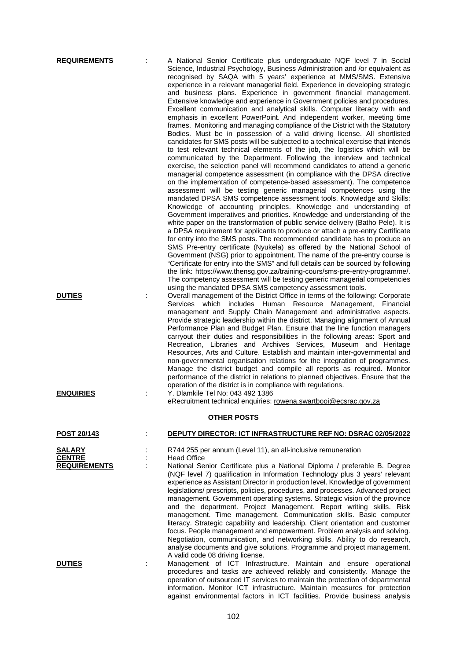| <b>REQUIREMENTS</b>                                   | A National Senior Certificate plus undergraduate NQF level 7 in Social<br>Science, Industrial Psychology, Business Administration and /or equivalent as<br>recognised by SAQA with 5 years' experience at MMS/SMS. Extensive<br>experience in a relevant managerial field. Experience in developing strategic<br>and business plans. Experience in government financial management.<br>Extensive knowledge and experience in Government policies and procedures.<br>Excellent communication and analytical skills. Computer literacy with and<br>emphasis in excellent PowerPoint. And independent worker, meeting time<br>frames. Monitoring and managing compliance of the District with the Statutory<br>Bodies. Must be in possession of a valid driving license. All shortlisted<br>candidates for SMS posts will be subjected to a technical exercise that intends<br>to test relevant technical elements of the job, the logistics which will be<br>communicated by the Department. Following the interview and technical<br>exercise, the selection panel will recommend candidates to attend a generic<br>managerial competence assessment (in compliance with the DPSA directive<br>on the implementation of competence-based assessment). The competence<br>assessment will be testing generic managerial competences using the<br>mandated DPSA SMS competence assessment tools. Knowledge and Skills:<br>Knowledge of accounting principles. Knowledge and understanding of<br>Government imperatives and priorities. Knowledge and understanding of the<br>white paper on the transformation of public service delivery (Batho Pele). It is<br>a DPSA requirement for applicants to produce or attach a pre-entry Certificate<br>for entry into the SMS posts. The recommended candidate has to produce an<br>SMS Pre-entry certificate (Nyukela) as offered by the National School of<br>Government (NSG) prior to appointment. The name of the pre-entry course is<br>"Certificate for entry into the SMS" and full details can be sourced by following<br>the link: https://www.thensg.gov.za/training-cours/sms-pre-entry-programme/.<br>The competency assessment will be testing generic managerial competencies<br>using the mandated DPSA SMS competency assessment tools. |
|-------------------------------------------------------|--------------------------------------------------------------------------------------------------------------------------------------------------------------------------------------------------------------------------------------------------------------------------------------------------------------------------------------------------------------------------------------------------------------------------------------------------------------------------------------------------------------------------------------------------------------------------------------------------------------------------------------------------------------------------------------------------------------------------------------------------------------------------------------------------------------------------------------------------------------------------------------------------------------------------------------------------------------------------------------------------------------------------------------------------------------------------------------------------------------------------------------------------------------------------------------------------------------------------------------------------------------------------------------------------------------------------------------------------------------------------------------------------------------------------------------------------------------------------------------------------------------------------------------------------------------------------------------------------------------------------------------------------------------------------------------------------------------------------------------------------------------------------------------------------------------------------------------------------------------------------------------------------------------------------------------------------------------------------------------------------------------------------------------------------------------------------------------------------------------------------------------------------------------------------------------------------------------------------------------------------------------------------------------------------|
| <b>DUTIES</b>                                         | Overall management of the District Office in terms of the following: Corporate<br>Services which includes Human Resource Management, Financial<br>management and Supply Chain Management and administrative aspects.<br>Provide strategic leadership within the district. Managing alignment of Annual<br>Performance Plan and Budget Plan. Ensure that the line function managers<br>carryout their duties and responsibilities in the following areas: Sport and<br>Recreation, Libraries and Archives Services, Museum and Heritage<br>Resources, Arts and Culture. Establish and maintain inter-governmental and<br>non-governmental organisation relations for the integration of programmes.<br>Manage the district budget and compile all reports as required. Monitor<br>performance of the district in relations to planned objectives. Ensure that the<br>operation of the district is in compliance with regulations.                                                                                                                                                                                                                                                                                                                                                                                                                                                                                                                                                                                                                                                                                                                                                                                                                                                                                                                                                                                                                                                                                                                                                                                                                                                                                                                                                                 |
| <b>ENQUIRIES</b>                                      | Y. Dlamkile Tel No: 043 492 1386<br>eRecruitment technical enquiries: rowena.swartbooi@ecsrac.gov.za                                                                                                                                                                                                                                                                                                                                                                                                                                                                                                                                                                                                                                                                                                                                                                                                                                                                                                                                                                                                                                                                                                                                                                                                                                                                                                                                                                                                                                                                                                                                                                                                                                                                                                                                                                                                                                                                                                                                                                                                                                                                                                                                                                                             |
|                                                       | <b>OTHER POSTS</b>                                                                                                                                                                                                                                                                                                                                                                                                                                                                                                                                                                                                                                                                                                                                                                                                                                                                                                                                                                                                                                                                                                                                                                                                                                                                                                                                                                                                                                                                                                                                                                                                                                                                                                                                                                                                                                                                                                                                                                                                                                                                                                                                                                                                                                                                               |
| <u>POST 20/143</u>                                    | DEPUTY DIRECTOR: ICT INFRASTRUCTURE REF NO: DSRAC 02/05/2022                                                                                                                                                                                                                                                                                                                                                                                                                                                                                                                                                                                                                                                                                                                                                                                                                                                                                                                                                                                                                                                                                                                                                                                                                                                                                                                                                                                                                                                                                                                                                                                                                                                                                                                                                                                                                                                                                                                                                                                                                                                                                                                                                                                                                                     |
| <b>SALARY</b><br><b>CENTRE</b><br><b>REQUIREMENTS</b> | R744 255 per annum (Level 11), an all-inclusive remuneration<br><b>Head Office</b><br>National Senior Certificate plus a National Diploma / preferable B. Degree<br>(NQF level 7) qualification in Information Technology plus 3 years' relevant<br>experience as Assistant Director in production level. Knowledge of government<br>legislations/ prescripts, policies, procedures, and processes. Advanced project<br>management. Government operating systems. Strategic vision of the province<br>and the department. Project Management. Report writing skills. Risk<br>management. Time management. Communication skills. Basic computer<br>literacy. Strategic capability and leadership. Client orientation and customer<br>focus. People management and empowerment. Problem analysis and solving.<br>Negotiation, communication, and networking skills. Ability to do research,                                                                                                                                                                                                                                                                                                                                                                                                                                                                                                                                                                                                                                                                                                                                                                                                                                                                                                                                                                                                                                                                                                                                                                                                                                                                                                                                                                                                        |
| <b>DUTIES</b>                                         | analyse documents and give solutions. Programme and project management.<br>A valid code 08 driving license.<br>Management of ICT Infrastructure. Maintain and ensure operational<br>procedures and tasks are achieved reliably and consistently. Manage the<br>operation of outsourced IT services to maintain the protection of departmental<br>information. Monitor ICT infrastructure. Maintain measures for protection                                                                                                                                                                                                                                                                                                                                                                                                                                                                                                                                                                                                                                                                                                                                                                                                                                                                                                                                                                                                                                                                                                                                                                                                                                                                                                                                                                                                                                                                                                                                                                                                                                                                                                                                                                                                                                                                       |

against environmental factors in ICT facilities. Provide business analysis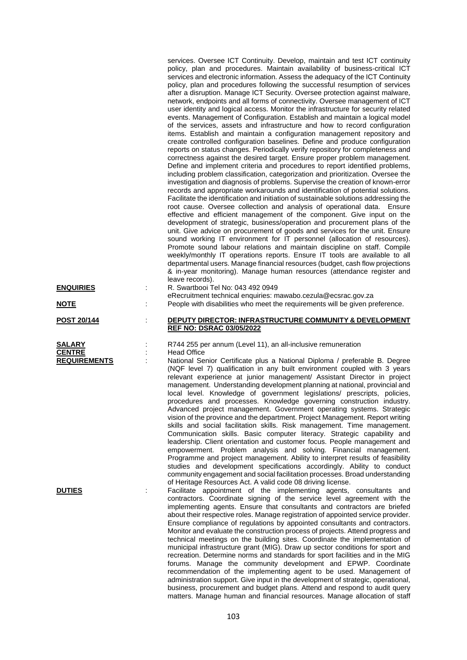services. Oversee ICT Continuity. Develop, maintain and test ICT continuity policy, plan and procedures. Maintain availability of business-critical ICT services and electronic information. Assess the adequacy of the ICT Continuity policy, plan and procedures following the successful resumption of services after a disruption. Manage ICT Security. Oversee protection against malware, network, endpoints and all forms of connectivity. Oversee management of ICT user identity and logical access. Monitor the infrastructure for security related events. Management of Configuration. Establish and maintain a logical model of the services, assets and infrastructure and how to record configuration items. Establish and maintain a configuration management repository and create controlled configuration baselines. Define and produce configuration reports on status changes. Periodically verify repository for completeness and correctness against the desired target. Ensure proper problem management. Define and implement criteria and procedures to report identified problems, including problem classification, categorization and prioritization. Oversee the investigation and diagnosis of problems. Supervise the creation of known-error records and appropriate workarounds and identification of potential solutions. Facilitate the identification and initiation of sustainable solutions addressing the root cause. Oversee collection and analysis of operational data. Ensure effective and efficient management of the component. Give input on the development of strategic, business/operation and procurement plans of the unit. Give advice on procurement of goods and services for the unit. Ensure sound working IT environment for IT personnel (allocation of resources). Promote sound labour relations and maintain discipline on staff. Compile weekly/monthly IT operations reports. Ensure IT tools are available to all departmental users. Manage financial resources (budget, cash flow projections & in-year monitoring). Manage human resources (attendance register and leave records).

| <b>ENQUIRIES</b>                                                | R. Swartbooi Tel No: 043 492 0949                                                                                                                                                                                                                                                                                                                                                                                                                                                                                                                                                                                                                                                                                                                                                                                                                                                                                                                                                                                                                                                                                                                                                                                                                                                                                                                                                                                                                                                                                                                                                                                                                                                                                                                                                                                    |
|-----------------------------------------------------------------|----------------------------------------------------------------------------------------------------------------------------------------------------------------------------------------------------------------------------------------------------------------------------------------------------------------------------------------------------------------------------------------------------------------------------------------------------------------------------------------------------------------------------------------------------------------------------------------------------------------------------------------------------------------------------------------------------------------------------------------------------------------------------------------------------------------------------------------------------------------------------------------------------------------------------------------------------------------------------------------------------------------------------------------------------------------------------------------------------------------------------------------------------------------------------------------------------------------------------------------------------------------------------------------------------------------------------------------------------------------------------------------------------------------------------------------------------------------------------------------------------------------------------------------------------------------------------------------------------------------------------------------------------------------------------------------------------------------------------------------------------------------------------------------------------------------------|
| <b>NOTE</b>                                                     | eRecruitment technical enquiries: mawabo.cezula@ecsrac.gov.za<br>People with disabilities who meet the requirements will be given preference.                                                                                                                                                                                                                                                                                                                                                                                                                                                                                                                                                                                                                                                                                                                                                                                                                                                                                                                                                                                                                                                                                                                                                                                                                                                                                                                                                                                                                                                                                                                                                                                                                                                                        |
| <b>POST 20/144</b>                                              | <b>DEPUTY DIRECTOR: INFRASTRUCTURE COMMUNITY &amp; DEVELOPMENT</b><br><b>REF NO: DSRAC 03/05/2022</b>                                                                                                                                                                                                                                                                                                                                                                                                                                                                                                                                                                                                                                                                                                                                                                                                                                                                                                                                                                                                                                                                                                                                                                                                                                                                                                                                                                                                                                                                                                                                                                                                                                                                                                                |
| SALARY<br><b>CENTRE</b><br><b>REQUIREMENTS</b><br><b>DUTIES</b> | R744 255 per annum (Level 11), an all-inclusive remuneration<br><b>Head Office</b><br>National Senior Certificate plus a National Diploma / preferable B. Degree<br>(NQF level 7) qualification in any built environment coupled with 3 years<br>relevant experience at junior management/ Assistant Director in project<br>management. Understanding development planning at national, provincial and<br>local level. Knowledge of government legislations/ prescripts, policies,<br>procedures and processes. Knowledge governing construction industry.<br>Advanced project management. Government operating systems. Strategic<br>vision of the province and the department. Project Management. Report writing<br>skills and social facilitation skills. Risk management. Time management.<br>Communication skills. Basic computer literacy. Strategic capability and<br>leadership. Client orientation and customer focus. People management and<br>empowerment. Problem analysis and solving. Financial management.<br>Programme and project management. Ability to interpret results of feasibility<br>studies and development specifications accordingly. Ability to conduct<br>community engagement and social facilitation processes. Broad understanding<br>of Heritage Resources Act. A valid code 08 driving license.<br>Facilitate appointment of the implementing agents, consultants and<br>contractors. Coordinate signing of the service level agreement with the<br>implementing agents. Ensure that consultants and contractors are briefed<br>about their respective roles. Manage registration of appointed service provider.<br>Ensure compliance of regulations by appointed consultants and contractors.<br>Monitor and evaluate the construction process of projects. Attend progress and |
|                                                                 | technical meetings on the building sites. Coordinate the implementation of<br>municipal infrastructure grant (MIG). Draw up sector conditions for sport and<br>recreation. Determine norms and standards for sport facilities and in the MIG                                                                                                                                                                                                                                                                                                                                                                                                                                                                                                                                                                                                                                                                                                                                                                                                                                                                                                                                                                                                                                                                                                                                                                                                                                                                                                                                                                                                                                                                                                                                                                         |

forums. Manage the community development and EPWP. Coordinate recommendation of the implementing agent to be used. Management of administration support. Give input in the development of strategic, operational, business, procurement and budget plans. Attend and respond to audit query matters. Manage human and financial resources. Manage allocation of staff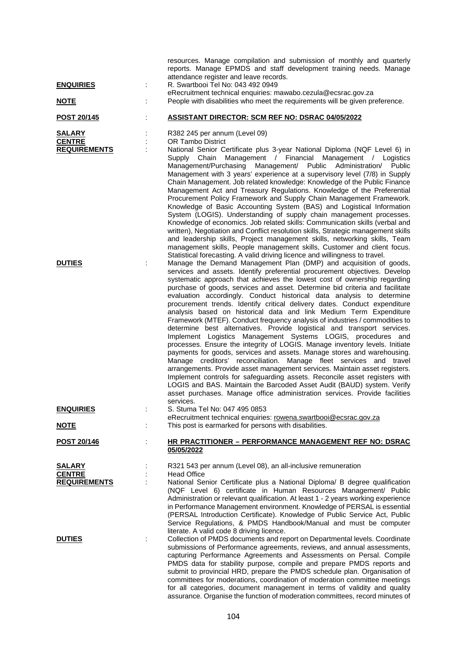|                                |   | resources. Manage compilation and submission of monthly and quarterly<br>reports. Manage EPMDS and staff development training needs. Manage                                                                                                                                                                                                                                                                                                                                                                                                                                                                                                                                                                                                                                                                                                                                                                                                                                                                                                                                                                                                                                                                                                                                                                                        |
|--------------------------------|---|------------------------------------------------------------------------------------------------------------------------------------------------------------------------------------------------------------------------------------------------------------------------------------------------------------------------------------------------------------------------------------------------------------------------------------------------------------------------------------------------------------------------------------------------------------------------------------------------------------------------------------------------------------------------------------------------------------------------------------------------------------------------------------------------------------------------------------------------------------------------------------------------------------------------------------------------------------------------------------------------------------------------------------------------------------------------------------------------------------------------------------------------------------------------------------------------------------------------------------------------------------------------------------------------------------------------------------|
| <b>ENQUIRIES</b>               | ÷ | attendance register and leave records.<br>R. Swartbooi Tel No: 043 492 0949                                                                                                                                                                                                                                                                                                                                                                                                                                                                                                                                                                                                                                                                                                                                                                                                                                                                                                                                                                                                                                                                                                                                                                                                                                                        |
| <u>NOTE</u>                    |   | eRecruitment technical enquiries: mawabo.cezula@ecsrac.gov.za<br>People with disabilities who meet the requirements will be given preference.                                                                                                                                                                                                                                                                                                                                                                                                                                                                                                                                                                                                                                                                                                                                                                                                                                                                                                                                                                                                                                                                                                                                                                                      |
| POST 20/145                    |   | <b>ASSISTANT DIRECTOR: SCM REF NO: DSRAC 04/05/2022</b>                                                                                                                                                                                                                                                                                                                                                                                                                                                                                                                                                                                                                                                                                                                                                                                                                                                                                                                                                                                                                                                                                                                                                                                                                                                                            |
| <b>SALARY</b><br><b>CENTRE</b> |   | R382 245 per annum (Level 09)<br><b>OR Tambo District</b>                                                                                                                                                                                                                                                                                                                                                                                                                                                                                                                                                                                                                                                                                                                                                                                                                                                                                                                                                                                                                                                                                                                                                                                                                                                                          |
| <b>REQUIREMENTS</b>            |   | National Senior Certificate plus 3-year National Diploma (NQF Level 6) in<br>Management / Financial Management / Logistics<br>Supply<br>Chain<br>Management/Purchasing<br>Management/ Public Administration/ Public<br>Management with 3 years' experience at a supervisory level (7/8) in Supply<br>Chain Management. Job related knowledge: Knowledge of the Public Finance<br>Management Act and Treasury Regulations. Knowledge of the Preferential<br>Procurement Policy Framework and Supply Chain Management Framework.<br>Knowledge of Basic Accounting System (BAS) and Logistical Information<br>System (LOGIS). Understanding of supply chain management processes.<br>Knowledge of economics. Job related skills: Communication skills (verbal and<br>written), Negotiation and Conflict resolution skills, Strategic management skills<br>and leadership skills, Project management skills, networking skills, Team<br>management skills, People management skills, Customer and client focus.<br>Statistical forecasting. A valid driving licence and willingness to travel.                                                                                                                                                                                                                                         |
| <b>DUTIES</b>                  |   | Manage the Demand Management Plan (DMP) and acquisition of goods,<br>services and assets. Identify preferential procurement objectives. Develop<br>systematic approach that achieves the lowest cost of ownership regarding<br>purchase of goods, services and asset. Determine bid criteria and facilitate<br>evaluation accordingly. Conduct historical data analysis to determine<br>procurement trends. Identify critical delivery dates. Conduct expenditure<br>analysis based on historical data and link Medium Term Expenditure<br>Framework (MTEF). Conduct frequency analysis of industries / commodities to<br>determine best alternatives. Provide logistical and transport services.<br>Implement Logistics Management Systems LOGIS, procedures and<br>processes. Ensure the integrity of LOGIS. Manage inventory levels. Initiate<br>payments for goods, services and assets. Manage stores and warehousing.<br>Manage creditors' reconciliation. Manage fleet services and travel<br>arrangements. Provide asset management services. Maintain asset registers.<br>Implement controls for safeguarding assets. Reconcile asset registers with<br>LOGIS and BAS. Maintain the Barcoded Asset Audit (BAUD) system. Verify<br>asset purchases. Manage office administration services. Provide facilities<br>services. |
| <u>ENQUIRIES</u>               |   | S. Stuma Tel No: 047 495 0853<br>eRecruitment technical enquiries: rowena.swartbooi@ecsrac.gov.za                                                                                                                                                                                                                                                                                                                                                                                                                                                                                                                                                                                                                                                                                                                                                                                                                                                                                                                                                                                                                                                                                                                                                                                                                                  |
| <u>NOTE</u>                    |   | This post is earmarked for persons with disabilities.                                                                                                                                                                                                                                                                                                                                                                                                                                                                                                                                                                                                                                                                                                                                                                                                                                                                                                                                                                                                                                                                                                                                                                                                                                                                              |
| <u>POST 20/146</u>             |   | <b>HR PRACTITIONER – PERFORMANCE MANAGEMENT REF NO: DSRAC</b><br>05/05/2022                                                                                                                                                                                                                                                                                                                                                                                                                                                                                                                                                                                                                                                                                                                                                                                                                                                                                                                                                                                                                                                                                                                                                                                                                                                        |
| <b>SALARY</b><br><b>CENTRE</b> |   | R321 543 per annum (Level 08), an all-inclusive remuneration<br><b>Head Office</b>                                                                                                                                                                                                                                                                                                                                                                                                                                                                                                                                                                                                                                                                                                                                                                                                                                                                                                                                                                                                                                                                                                                                                                                                                                                 |
| <b>REQUIREMENTS</b>            |   | National Senior Certificate plus a National Diploma/ B degree qualification<br>(NQF Level 6) certificate in Human Resources Management/ Public<br>Administration or relevant qualification. At least 1 - 2 years working experience<br>in Performance Management environment. Knowledge of PERSAL is essential<br>(PERSAL Introduction Certificate). Knowledge of Public Service Act, Public<br>Service Regulations, & PMDS Handbook/Manual and must be computer<br>literate. A valid code 8 driving licence.                                                                                                                                                                                                                                                                                                                                                                                                                                                                                                                                                                                                                                                                                                                                                                                                                      |
| <b>DUTIES</b>                  |   | Collection of PMDS documents and report on Departmental levels. Coordinate<br>submissions of Performance agreements, reviews, and annual assessments,<br>capturing Performance Agreements and Assessments on Persal. Compile<br>PMDS data for stability purpose, compile and prepare PMDS reports and<br>submit to provincial HRD, prepare the PMDS schedule plan. Organisation of<br>committees for moderations, coordination of moderation committee meetings<br>for all categories, document management in terms of validity and quality                                                                                                                                                                                                                                                                                                                                                                                                                                                                                                                                                                                                                                                                                                                                                                                        |

assurance. Organise the function of moderation committees, record minutes of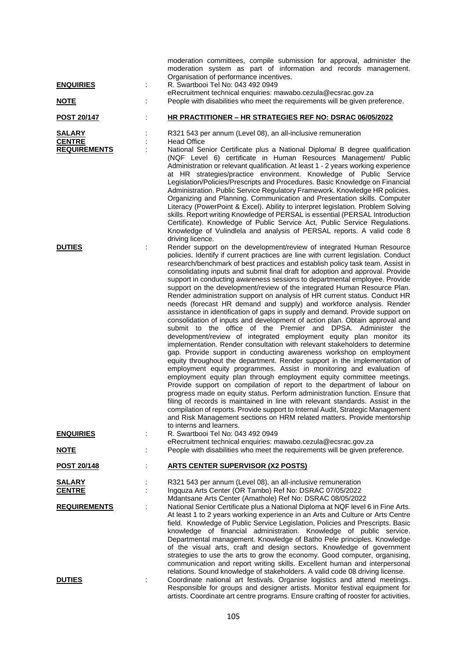|                                                       |   | moderation committees, compile submission for approval, administer the<br>moderation system as part of information and records management.<br>Organisation of performance incentives.                                                                                                                                                                                                                                                                                                                                                                                                                                                                                                                                                                                                                                                                                                                                                                                                                                                                                                                                                                                                                                                                                                                                                                                                                                                                                                                                                                                                                                                                                                                                                                                            |
|-------------------------------------------------------|---|----------------------------------------------------------------------------------------------------------------------------------------------------------------------------------------------------------------------------------------------------------------------------------------------------------------------------------------------------------------------------------------------------------------------------------------------------------------------------------------------------------------------------------------------------------------------------------------------------------------------------------------------------------------------------------------------------------------------------------------------------------------------------------------------------------------------------------------------------------------------------------------------------------------------------------------------------------------------------------------------------------------------------------------------------------------------------------------------------------------------------------------------------------------------------------------------------------------------------------------------------------------------------------------------------------------------------------------------------------------------------------------------------------------------------------------------------------------------------------------------------------------------------------------------------------------------------------------------------------------------------------------------------------------------------------------------------------------------------------------------------------------------------------|
| <b>ENQUIRIES</b>                                      | ÷ | R. Swartbooi Tel No: 043 492 0949                                                                                                                                                                                                                                                                                                                                                                                                                                                                                                                                                                                                                                                                                                                                                                                                                                                                                                                                                                                                                                                                                                                                                                                                                                                                                                                                                                                                                                                                                                                                                                                                                                                                                                                                                |
| <u>NOTE</u>                                           |   | eRecruitment technical enquiries: mawabo.cezula@ecsrac.gov.za<br>People with disabilities who meet the requirements will be given preference.                                                                                                                                                                                                                                                                                                                                                                                                                                                                                                                                                                                                                                                                                                                                                                                                                                                                                                                                                                                                                                                                                                                                                                                                                                                                                                                                                                                                                                                                                                                                                                                                                                    |
| POST 20/147                                           |   | HR PRACTITIONER - HR STRATEGIES REF NO: DSRAC 06/05/2022                                                                                                                                                                                                                                                                                                                                                                                                                                                                                                                                                                                                                                                                                                                                                                                                                                                                                                                                                                                                                                                                                                                                                                                                                                                                                                                                                                                                                                                                                                                                                                                                                                                                                                                         |
| <b>SALARY</b><br><b>CENTRE</b><br><b>REQUIREMENTS</b> |   | R321 543 per annum (Level 08), an all-inclusive remuneration<br><b>Head Office</b><br>National Senior Certificate plus a National Diploma/ B degree qualification<br>(NQF Level 6) certificate in Human Resources Management/ Public                                                                                                                                                                                                                                                                                                                                                                                                                                                                                                                                                                                                                                                                                                                                                                                                                                                                                                                                                                                                                                                                                                                                                                                                                                                                                                                                                                                                                                                                                                                                             |
|                                                       |   | Administration or relevant qualification. At least 1 - 2 years working experience<br>at HR strategies/practice environment. Knowledge of Public Service<br>Legislation/Policies/Prescripts and Procedures. Basic Knowledge on Financial<br>Administration. Public Service Regulatory Framework. Knowledge HR policies.<br>Organizing and Planning. Communication and Presentation skills. Computer<br>Literacy (PowerPoint & Excel). Ability to interpret legislation. Problem Solving<br>skills. Report writing Knowledge of PERSAL is essential (PERSAL Introduction<br>Certificate). Knowledge of Public Service Act, Public Service Regulations.<br>Knowledge of Vulindlela and analysis of PERSAL reports. A valid code 8<br>driving licence.                                                                                                                                                                                                                                                                                                                                                                                                                                                                                                                                                                                                                                                                                                                                                                                                                                                                                                                                                                                                                               |
| <b>DUTIES</b>                                         |   | Render support on the development/review of integrated Human Resource<br>policies. Identify if current practices are line with current legislation. Conduct<br>research/benchmark of best practices and establish policy task team. Assist in<br>consolidating inputs and submit final draft for adoption and approval. Provide<br>support in conducting awareness sessions to departmental employee. Provide<br>support on the development/review of the integrated Human Resource Plan.<br>Render administration support on analysis of HR current status. Conduct HR<br>needs (forecast HR demand and supply) and workforce analysis. Render<br>assistance in identification of gaps in supply and demand. Provide support on<br>consolidation of inputs and development of action plan. Obtain approval and<br>submit to the office of the Premier and DPSA. Administer the<br>development/review of integrated employment equity plan monitor its<br>implementation. Render consultation with relevant stakeholders to determine<br>gap. Provide support in conducting awareness workshop on employment<br>equity throughout the department. Render support in the implementation of<br>employment equity programmes. Assist in monitoring and evaluation of<br>employment equity plan through employment equity committee meetings.<br>Provide support on compilation of report to the department of labour on<br>progress made on equity status. Perform administration function. Ensure that<br>filing of records is maintained in line with relevant standards. Assist in the<br>compilation of reports. Provide support to Internal Audit, Strategic Management<br>and Risk Management sections on HRM related matters. Provide mentorship<br>to interns and learners. |
| <b>ENQUIRIES</b>                                      |   | R. Swartbooi Tel No: 043 492 0949<br>eRecruitment technical enquiries: mawabo.cezula@ecsrac.gov.za                                                                                                                                                                                                                                                                                                                                                                                                                                                                                                                                                                                                                                                                                                                                                                                                                                                                                                                                                                                                                                                                                                                                                                                                                                                                                                                                                                                                                                                                                                                                                                                                                                                                               |
| <u>NOTE</u>                                           |   | People with disabilities who meet the requirements will be given preference.                                                                                                                                                                                                                                                                                                                                                                                                                                                                                                                                                                                                                                                                                                                                                                                                                                                                                                                                                                                                                                                                                                                                                                                                                                                                                                                                                                                                                                                                                                                                                                                                                                                                                                     |
| POST 20/148                                           |   | <b>ARTS CENTER SUPERVISOR (X2 POSTS)</b>                                                                                                                                                                                                                                                                                                                                                                                                                                                                                                                                                                                                                                                                                                                                                                                                                                                                                                                                                                                                                                                                                                                                                                                                                                                                                                                                                                                                                                                                                                                                                                                                                                                                                                                                         |
| <u>SALARY</u><br><b>CENTRE</b>                        |   | R321 543 per annum (Level 08), an all-inclusive remuneration<br>Ingquza Arts Center (OR Tambo) Ref No: DSRAC 07/05/2022<br>Mdantsane Arts Center (Amathole) Ref No: DSRAC 08/05/2022                                                                                                                                                                                                                                                                                                                                                                                                                                                                                                                                                                                                                                                                                                                                                                                                                                                                                                                                                                                                                                                                                                                                                                                                                                                                                                                                                                                                                                                                                                                                                                                             |
| <b>REQUIREMENTS</b>                                   |   | National Senior Certificate plus a National Diploma at NQF level 6 in Fine Arts.<br>At least 1 to 2 years working experience in an Arts and Culture or Arts Centre<br>field. Knowledge of Public Service Legislation, Policies and Prescripts. Basic<br>knowledge of financial administration. Knowledge of public service.<br>Departmental management. Knowledge of Batho Pele principles. Knowledge<br>of the visual arts, craft and design sectors. Knowledge of government<br>strategies to use the arts to grow the economy. Good computer, organising,<br>communication and report writing skills. Excellent human and interpersonal<br>relations. Sound knowledge of stakeholders. A valid code 08 driving license.                                                                                                                                                                                                                                                                                                                                                                                                                                                                                                                                                                                                                                                                                                                                                                                                                                                                                                                                                                                                                                                       |
| <b>DUTIES</b>                                         |   | Coordinate national art festivals. Organise logistics and attend meetings.<br>Responsible for groups and designer artists. Monitor festival equipment for<br>artists. Coordinate art centre programs. Ensure crafting of rooster for activities.                                                                                                                                                                                                                                                                                                                                                                                                                                                                                                                                                                                                                                                                                                                                                                                                                                                                                                                                                                                                                                                                                                                                                                                                                                                                                                                                                                                                                                                                                                                                 |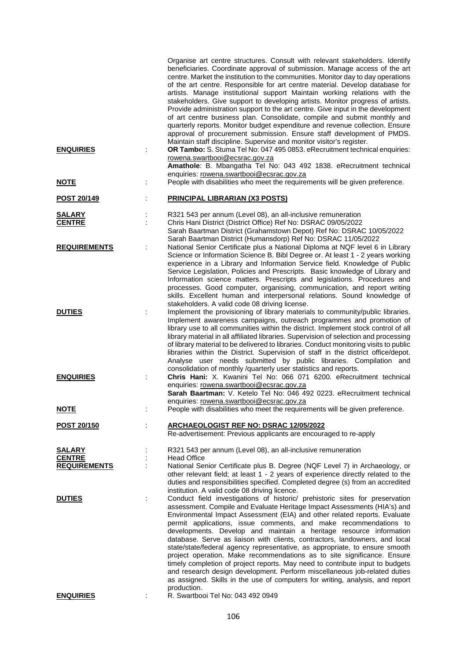|                                                       | Organise art centre structures. Consult with relevant stakeholders. Identify<br>beneficiaries. Coordinate approval of submission. Manage access of the art<br>centre. Market the institution to the communities. Monitor day to day operations<br>of the art centre. Responsible for art centre material. Develop database for<br>artists. Manage institutional support Maintain working relations with the<br>stakeholders. Give support to developing artists. Monitor progress of artists.<br>Provide administration support to the art centre. Give input in the development<br>of art centre business plan. Consolidate, compile and submit monthly and<br>quarterly reports. Monitor budget expenditure and revenue collection. Ensure<br>approval of procurement submission. Ensure staff development of PMDS.                                                                                                                   |
|-------------------------------------------------------|-----------------------------------------------------------------------------------------------------------------------------------------------------------------------------------------------------------------------------------------------------------------------------------------------------------------------------------------------------------------------------------------------------------------------------------------------------------------------------------------------------------------------------------------------------------------------------------------------------------------------------------------------------------------------------------------------------------------------------------------------------------------------------------------------------------------------------------------------------------------------------------------------------------------------------------------|
| <b>ENQUIRIES</b>                                      | Maintain staff discipline. Supervise and monitor visitor's register.<br>OR Tambo: S. Stuma Tel No: 047 495 0853. eRecruitment technical enquiries:<br>rowena.swartbooi@ecsrac.gov.za                                                                                                                                                                                                                                                                                                                                                                                                                                                                                                                                                                                                                                                                                                                                                    |
|                                                       | Amathole: B. Mbangatha Tel No: 043 492 1838. eRecruitment technical<br>enquiries: rowena.swartbooi@ecsrac.gov.za                                                                                                                                                                                                                                                                                                                                                                                                                                                                                                                                                                                                                                                                                                                                                                                                                        |
| <u>NOTE</u>                                           | People with disabilities who meet the requirements will be given preference.                                                                                                                                                                                                                                                                                                                                                                                                                                                                                                                                                                                                                                                                                                                                                                                                                                                            |
| <b>POST 20/149</b>                                    | <b>PRINCIPAL LIBRARIAN (X3 POSTS)</b>                                                                                                                                                                                                                                                                                                                                                                                                                                                                                                                                                                                                                                                                                                                                                                                                                                                                                                   |
| <b>SALARY</b><br><b>CENTRE</b>                        | R321 543 per annum (Level 08), an all-inclusive remuneration<br>Chris Hani District (District Office) Ref No: DSRAC 09/05/2022<br>Sarah Baartman District (Grahamstown Depot) Ref No: DSRAC 10/05/2022<br>Sarah Baartman District (Humansdorp) Ref No: DSRAC 11/05/2022                                                                                                                                                                                                                                                                                                                                                                                                                                                                                                                                                                                                                                                                 |
| <b>REQUIREMENTS</b>                                   | National Senior Certificate plus a National Diploma at NQF level 6 in Library<br>Science or Information Science B. Bibl Degree or. At least 1 - 2 years working<br>experience in a Library and Information Service field. Knowledge of Public<br>Service Legislation, Policies and Prescripts. Basic knowledge of Library and<br>Information science matters. Prescripts and legislations. Procedures and<br>processes. Good computer, organising, communication, and report writing<br>skills. Excellent human and interpersonal relations. Sound knowledge of<br>stakeholders. A valid code 08 driving license.                                                                                                                                                                                                                                                                                                                       |
| <b>DUTIES</b>                                         | Implement the provisioning of library materials to community/public libraries.<br>Implement awareness campaigns, outreach programmes and promotion of<br>library use to all communities within the district. Implement stock control of all<br>library material in all affiliated libraries. Supervision of selection and processing<br>of library material to be delivered to libraries. Conduct monitoring visits to public<br>libraries within the District. Supervision of staff in the district office/depot.<br>Analyse user needs submitted by public libraries. Compilation and<br>consolidation of monthly /quarterly user statistics and reports.                                                                                                                                                                                                                                                                             |
| <b>ENQUIRIES</b>                                      | Chris Hani: X. Kwanini Tel No: 066 071 6200. eRecruitment technical<br>enquiries: rowena.swartbooi@ecsrac.gov.za<br>Sarah Baartman: V. Ketelo Tel No: 046 492 0223. eRecruitment technical<br>enquiries: rowena.swartbooi@ecsrac.gov.za                                                                                                                                                                                                                                                                                                                                                                                                                                                                                                                                                                                                                                                                                                 |
| <b>NOTE</b>                                           | People with disabilities who meet the requirements will be given preference.                                                                                                                                                                                                                                                                                                                                                                                                                                                                                                                                                                                                                                                                                                                                                                                                                                                            |
| <b>POST 20/150</b>                                    | <b>ARCHAEOLOGIST REF NO: DSRAC 12/05/2022</b><br>Re-advertisement: Previous applicants are encouraged to re-apply                                                                                                                                                                                                                                                                                                                                                                                                                                                                                                                                                                                                                                                                                                                                                                                                                       |
| <b>SALARY</b><br><b>CENTRE</b><br><b>REQUIREMENTS</b> | R321 543 per annum (Level 08), an all-inclusive remuneration<br><b>Head Office</b><br>National Senior Certificate plus B. Degree (NQF Level 7) in Archaeology, or<br>other relevant field; at least 1 - 2 years of experience directly related to the<br>duties and responsibilities specified. Completed degree (s) from an accredited                                                                                                                                                                                                                                                                                                                                                                                                                                                                                                                                                                                                 |
| <b>DUTIES</b>                                         | institution. A valid code 08 driving licence.<br>Conduct field investigations of historic/ prehistoric sites for preservation<br>assessment. Compile and Evaluate Heritage Impact Assessments (HIA's) and<br>Environmental Impact Assessment (EIA) and other related reports. Evaluate<br>permit applications, issue comments, and make recommendations to<br>developments. Develop and maintain a heritage resource information<br>database. Serve as liaison with clients, contractors, landowners, and local<br>state/state/federal agency representative, as appropriate, to ensure smooth<br>project operation. Make recommendations as to site significance. Ensure<br>timely completion of project reports. May need to contribute input to budgets<br>and research design development. Perform miscellaneous job-related duties<br>as assigned. Skills in the use of computers for writing, analysis, and report<br>production. |
| <b>ENQUIRIES</b>                                      | R. Swartbooi Tel No: 043 492 0949                                                                                                                                                                                                                                                                                                                                                                                                                                                                                                                                                                                                                                                                                                                                                                                                                                                                                                       |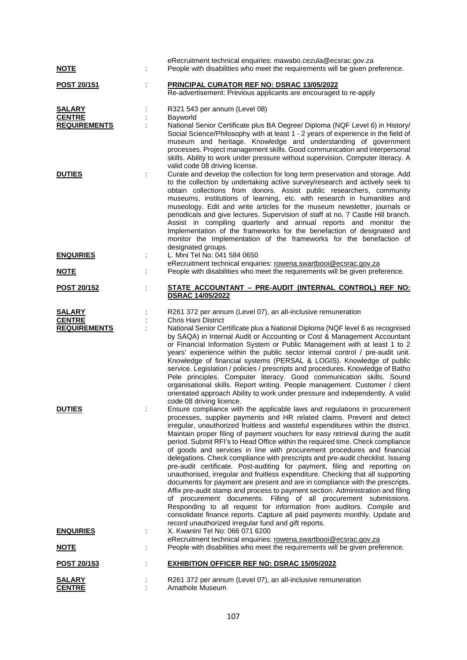| <u>NOTE</u>                                           | eRecruitment technical enquiries: mawabo.cezula@ecsrac.gov.za<br>People with disabilities who meet the requirements will be given preference.                                                                                                                                                                                                                                                                                                                                                                                                                                                                                                                                                                                                                                                                                                                                                                                                                                                                                                                                                                                                                                                  |
|-------------------------------------------------------|------------------------------------------------------------------------------------------------------------------------------------------------------------------------------------------------------------------------------------------------------------------------------------------------------------------------------------------------------------------------------------------------------------------------------------------------------------------------------------------------------------------------------------------------------------------------------------------------------------------------------------------------------------------------------------------------------------------------------------------------------------------------------------------------------------------------------------------------------------------------------------------------------------------------------------------------------------------------------------------------------------------------------------------------------------------------------------------------------------------------------------------------------------------------------------------------|
| POST 20/151                                           | PRINCIPAL CURATOR REF NO: DSRAC 13/05/2022<br>Re-advertisement: Previous applicants are encouraged to re-apply                                                                                                                                                                                                                                                                                                                                                                                                                                                                                                                                                                                                                                                                                                                                                                                                                                                                                                                                                                                                                                                                                 |
| <b>SALARY</b><br><b>CENTRE</b><br><b>REQUIREMENTS</b> | R321 543 per annum (Level 08)<br>Bayworld<br>National Senior Certificate plus BA Degree/ Diploma (NQF Level 6) in History/<br>Social Science/Philosophy with at least 1 - 2 years of experience in the field of<br>museum and heritage. Knowledge and understanding of government<br>processes. Project management skills. Good communication and interpersonal<br>skills. Ability to work under pressure without supervision. Computer literacy. A                                                                                                                                                                                                                                                                                                                                                                                                                                                                                                                                                                                                                                                                                                                                            |
| <b>DUTIES</b>                                         | valid code 08 driving license.<br>Curate and develop the collection for long term preservation and storage. Add<br>to the collection by undertaking active survey/research and actively seek to<br>obtain collections from donors. Assist public researchers, community<br>museums, institutions of learning, etc. with research in humanities and<br>museology. Edit and write articles for the museum newsletter, journals or<br>periodicals and give lectures. Supervision of staff at no. 7 Castle Hill branch.<br>Assist in compiling quarterly and annual reports and monitor the<br>Implementation of the frameworks for the benefaction of designated and<br>monitor the Implementation of the frameworks for the benefaction of<br>designated groups.                                                                                                                                                                                                                                                                                                                                                                                                                                 |
| <b>ENQUIRIES</b>                                      | L. Mini Tel No: 041 584 0650<br>eRecruitment technical enquiries: rowena.swartbooi@ecsrac.gov.za                                                                                                                                                                                                                                                                                                                                                                                                                                                                                                                                                                                                                                                                                                                                                                                                                                                                                                                                                                                                                                                                                               |
| <u>NOTE</u>                                           | People with disabilities who meet the requirements will be given preference.                                                                                                                                                                                                                                                                                                                                                                                                                                                                                                                                                                                                                                                                                                                                                                                                                                                                                                                                                                                                                                                                                                                   |
| <b>POST 20/152</b>                                    | STATE ACCOUNTANT - PRE-AUDIT (INTERNAL CONTROL) REF NO:<br><b>DSRAC 14/05/2022</b>                                                                                                                                                                                                                                                                                                                                                                                                                                                                                                                                                                                                                                                                                                                                                                                                                                                                                                                                                                                                                                                                                                             |
| <b>SALARY</b><br><b>CENTRE</b><br><b>REQUIREMENTS</b> | R261 372 per annum (Level 07), an all-inclusive remuneration<br>Chris Hani District<br>National Senior Certificate plus a National Diploma (NQF level 6 as recognised<br>by SAQA) in Internal Audit or Accounting or Cost & Management Accountant<br>or Financial Information System or Public Management with at least 1 to 2<br>years' experience within the public sector internal control / pre-audit unit.<br>Knowledge of financial systems (PERSAL & LOGIS). Knowledge of public<br>service. Legislation / policies / prescripts and procedures. Knowledge of Batho<br>Pele principles. Computer literacy. Good communication skills. Sound<br>organisational skills. Report writing. People management. Customer / client<br>orientated approach Ability to work under pressure and independently. A valid<br>code 08 driving licence.                                                                                                                                                                                                                                                                                                                                                 |
| <b>DUTIES</b>                                         | Ensure compliance with the applicable laws and regulations in procurement<br>processes, supplier payments and HR related claims. Prevent and detect<br>irregular, unauthorized fruitless and wasteful expenditures within the district.<br>Maintain proper filing of payment vouchers for easy retrieval during the audit<br>period. Submit RFI's to Head Office within the required time. Check compliance<br>of goods and services in line with procurement procedures and financial<br>delegations. Check compliance with prescripts and pre-audit checklist. Issuing<br>pre-audit certificate. Post-auditing for payment, filing and reporting on<br>unauthorised, irregular and fruitless expenditure. Checking that all supporting<br>documents for payment are present and are in compliance with the prescripts.<br>Affix pre-audit stamp and process to payment section. Administration and filing<br>of procurement documents. Filling of all procurement submissions.<br>Responding to all request for information from auditors. Compile and<br>consolidate finance reports. Capture all paid payments monthly. Update and<br>record unauthorized irregular fund and gift reports. |
| <b>ENQUIRIES</b>                                      | X. Kwanini Tel No: 066 071 6200<br>eRecruitment technical enquiries: rowena.swartbooi@ecsrac.gov.za                                                                                                                                                                                                                                                                                                                                                                                                                                                                                                                                                                                                                                                                                                                                                                                                                                                                                                                                                                                                                                                                                            |
| <b>NOTE</b>                                           | People with disabilities who meet the requirements will be given preference.                                                                                                                                                                                                                                                                                                                                                                                                                                                                                                                                                                                                                                                                                                                                                                                                                                                                                                                                                                                                                                                                                                                   |
| POST 20/153                                           | <b>EXHIBITION OFFICER REF NO: DSRAC 15/05/2022</b>                                                                                                                                                                                                                                                                                                                                                                                                                                                                                                                                                                                                                                                                                                                                                                                                                                                                                                                                                                                                                                                                                                                                             |
| <b>SALARY</b><br><b>CENTRE</b>                        | R261 372 per annum (Level 07), an all-inclusive remuneration<br>Amathole Museum                                                                                                                                                                                                                                                                                                                                                                                                                                                                                                                                                                                                                                                                                                                                                                                                                                                                                                                                                                                                                                                                                                                |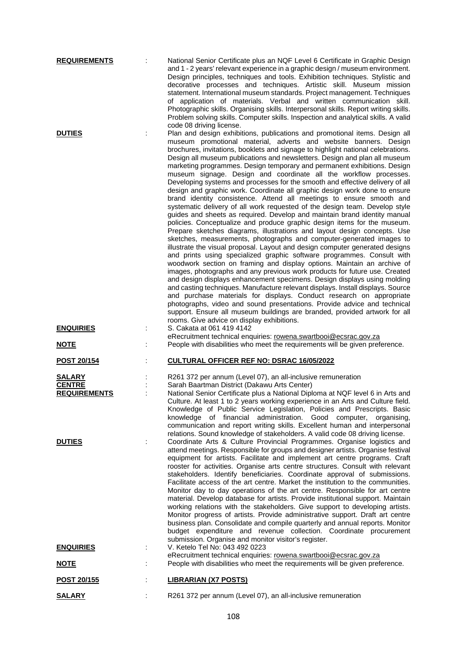| <b>REQUIREMENTS</b><br><b>DUTIES</b>           | ÷ | National Senior Certificate plus an NQF Level 6 Certificate in Graphic Design<br>and 1 - 2 years' relevant experience in a graphic design / museum environment.<br>Design principles, techniques and tools. Exhibition techniques. Stylistic and<br>decorative processes and techniques. Artistic skill. Museum mission<br>statement. International museum standards. Project management. Techniques<br>of application of materials. Verbal and written communication skill.<br>Photographic skills. Organising skills. Interpersonal skills. Report writing skills.<br>Problem solving skills. Computer skills. Inspection and analytical skills. A valid<br>code 08 driving license.<br>Plan and design exhibitions, publications and promotional items. Design all<br>museum promotional material, adverts and website banners. Design<br>brochures, invitations, booklets and signage to highlight national celebrations.<br>Design all museum publications and newsletters. Design and plan all museum<br>marketing programmes. Design temporary and permanent exhibitions. Design<br>museum signage. Design and coordinate all the workflow processes.<br>Developing systems and processes for the smooth and effective delivery of all<br>design and graphic work. Coordinate all graphic design work done to ensure<br>brand identity consistence. Attend all meetings to ensure smooth and<br>systematic delivery of all work requested of the design team. Develop style<br>guides and sheets as required. Develop and maintain brand identity manual<br>policies. Conceptualize and produce graphic design items for the museum.<br>Prepare sketches diagrams, illustrations and layout design concepts. Use<br>sketches, measurements, photographs and computer-generated images to<br>illustrate the visual proposal. Layout and design computer generated designs<br>and prints using specialized graphic software programmes. Consult with<br>woodwork section on framing and display options. Maintain an archive of<br>images, photographs and any previous work products for future use. Created<br>and design displays enhancement specimens. Design displays using molding<br>and casting techniques. Manufacture relevant displays. Install displays. Source |
|------------------------------------------------|---|-----------------------------------------------------------------------------------------------------------------------------------------------------------------------------------------------------------------------------------------------------------------------------------------------------------------------------------------------------------------------------------------------------------------------------------------------------------------------------------------------------------------------------------------------------------------------------------------------------------------------------------------------------------------------------------------------------------------------------------------------------------------------------------------------------------------------------------------------------------------------------------------------------------------------------------------------------------------------------------------------------------------------------------------------------------------------------------------------------------------------------------------------------------------------------------------------------------------------------------------------------------------------------------------------------------------------------------------------------------------------------------------------------------------------------------------------------------------------------------------------------------------------------------------------------------------------------------------------------------------------------------------------------------------------------------------------------------------------------------------------------------------------------------------------------------------------------------------------------------------------------------------------------------------------------------------------------------------------------------------------------------------------------------------------------------------------------------------------------------------------------------------------------------------------------------------------------------------------------------------------------------------------------------|
| <b>ENQUIRIES</b>                               |   | and purchase materials for displays. Conduct research on appropriate<br>photographs, video and sound presentations. Provide advice and technical<br>support. Ensure all museum buildings are branded, provided artwork for all<br>rooms. Give advice on display exhibitions.<br>S. Cakata at 061 419 4142<br>eRecruitment technical enquiries: rowena.swartbooi@ecsrac.gov.za                                                                                                                                                                                                                                                                                                                                                                                                                                                                                                                                                                                                                                                                                                                                                                                                                                                                                                                                                                                                                                                                                                                                                                                                                                                                                                                                                                                                                                                                                                                                                                                                                                                                                                                                                                                                                                                                                                     |
| <b>NOTE</b>                                    |   | People with disabilities who meet the requirements will be given preference.                                                                                                                                                                                                                                                                                                                                                                                                                                                                                                                                                                                                                                                                                                                                                                                                                                                                                                                                                                                                                                                                                                                                                                                                                                                                                                                                                                                                                                                                                                                                                                                                                                                                                                                                                                                                                                                                                                                                                                                                                                                                                                                                                                                                      |
| POST 20/154                                    |   | <b>CULTURAL OFFICER REF NO: DSRAC 16/05/2022</b>                                                                                                                                                                                                                                                                                                                                                                                                                                                                                                                                                                                                                                                                                                                                                                                                                                                                                                                                                                                                                                                                                                                                                                                                                                                                                                                                                                                                                                                                                                                                                                                                                                                                                                                                                                                                                                                                                                                                                                                                                                                                                                                                                                                                                                  |
| SALARY<br><b>CENTRE</b><br><b>REQUIREMENTS</b> |   | R261 372 per annum (Level 07), an all-inclusive remuneration<br>Sarah Baartman District (Dakawu Arts Center)<br>National Senior Certificate plus a National Diploma at NQF level 6 in Arts and<br>Culture. At least 1 to 2 years working experience in an Arts and Culture field.<br>Knowledge of Public Service Legislation, Policies and Prescripts. Basic<br>knowledge of financial administration. Good computer, organising,<br>communication and report writing skills. Excellent human and interpersonal<br>relations. Sound knowledge of stakeholders. A valid code 08 driving license.                                                                                                                                                                                                                                                                                                                                                                                                                                                                                                                                                                                                                                                                                                                                                                                                                                                                                                                                                                                                                                                                                                                                                                                                                                                                                                                                                                                                                                                                                                                                                                                                                                                                                   |
| <b>DUTIES</b>                                  | t | Coordinate Arts & Culture Provincial Programmes. Organise logistics and<br>attend meetings. Responsible for groups and designer artists. Organise festival<br>equipment for artists. Facilitate and implement art centre programs. Craft<br>rooster for activities. Organise arts centre structures. Consult with relevant<br>stakeholders. Identify beneficiaries. Coordinate approval of submissions.<br>Facilitate access of the art centre. Market the institution to the communities.<br>Monitor day to day operations of the art centre. Responsible for art centre<br>material. Develop database for artists. Provide institutional support. Maintain<br>working relations with the stakeholders. Give support to developing artists.<br>Monitor progress of artists. Provide administrative support. Draft art centre<br>business plan. Consolidate and compile quarterly and annual reports. Monitor<br>budget expenditure and revenue collection. Coordinate procurement<br>submission. Organise and monitor visitor's register.                                                                                                                                                                                                                                                                                                                                                                                                                                                                                                                                                                                                                                                                                                                                                                                                                                                                                                                                                                                                                                                                                                                                                                                                                                        |
| <b>ENQUIRIES</b>                               |   | V. Ketelo Tel No: 043 492 0223                                                                                                                                                                                                                                                                                                                                                                                                                                                                                                                                                                                                                                                                                                                                                                                                                                                                                                                                                                                                                                                                                                                                                                                                                                                                                                                                                                                                                                                                                                                                                                                                                                                                                                                                                                                                                                                                                                                                                                                                                                                                                                                                                                                                                                                    |
| <u>NOTE</u>                                    |   | eRecruitment technical enquiries: rowena.swartbooi@ecsrac.gov.za<br>People with disabilities who meet the requirements will be given preference.                                                                                                                                                                                                                                                                                                                                                                                                                                                                                                                                                                                                                                                                                                                                                                                                                                                                                                                                                                                                                                                                                                                                                                                                                                                                                                                                                                                                                                                                                                                                                                                                                                                                                                                                                                                                                                                                                                                                                                                                                                                                                                                                  |
| POST 20/155                                    |   | <b>LIBRARIAN (X7 POSTS)</b>                                                                                                                                                                                                                                                                                                                                                                                                                                                                                                                                                                                                                                                                                                                                                                                                                                                                                                                                                                                                                                                                                                                                                                                                                                                                                                                                                                                                                                                                                                                                                                                                                                                                                                                                                                                                                                                                                                                                                                                                                                                                                                                                                                                                                                                       |
| <b>SALARY</b>                                  |   | R261 372 per annum (Level 07), an all-inclusive remuneration                                                                                                                                                                                                                                                                                                                                                                                                                                                                                                                                                                                                                                                                                                                                                                                                                                                                                                                                                                                                                                                                                                                                                                                                                                                                                                                                                                                                                                                                                                                                                                                                                                                                                                                                                                                                                                                                                                                                                                                                                                                                                                                                                                                                                      |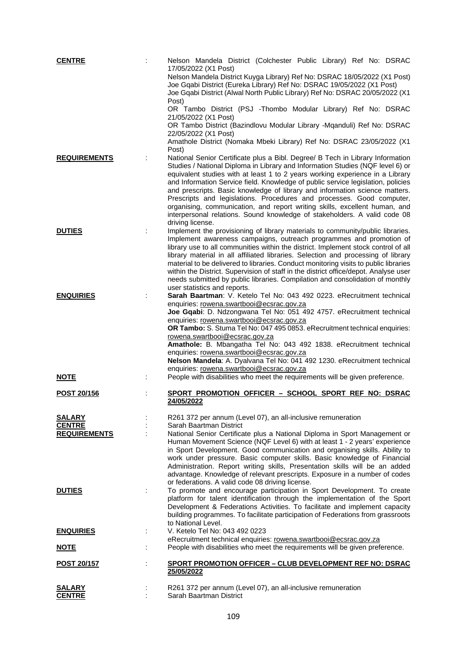| <b>CENTRE</b>                        | Nelson Mandela District (Colchester Public Library) Ref No: DSRAC                                                                                                       |
|--------------------------------------|-------------------------------------------------------------------------------------------------------------------------------------------------------------------------|
|                                      | 17/05/2022 (X1 Post)<br>Nelson Mandela District Kuyga Library) Ref No: DSRAC 18/05/2022 (X1 Post)                                                                       |
|                                      | Joe Gqabi District (Eureka Library) Ref No: DSRAC 19/05/2022 (X1 Post)                                                                                                  |
|                                      | Joe Gqabi District (Alwal North Public Library) Ref No: DSRAC 20/05/2022 (X1<br>Post)                                                                                   |
|                                      | OR Tambo District (PSJ -Thombo Modular Library) Ref No: DSRAC<br>21/05/2022 (X1 Post)                                                                                   |
|                                      | OR Tambo District (Bazindlovu Modular Library -Mqanduli) Ref No: DSRAC<br>22/05/2022 (X1 Post)                                                                          |
|                                      | Amathole District (Nomaka Mbeki Library) Ref No: DSRAC 23/05/2022 (X1<br>Post)                                                                                          |
| <b>REQUIREMENTS</b>                  | National Senior Certificate plus a Bibl. Degree/ B Tech in Library Information                                                                                          |
|                                      | Studies / National Diploma in Library and Information Studies (NQF level 6) or<br>equivalent studies with at least 1 to 2 years working experience in a Library         |
|                                      | and Information Service field. Knowledge of public service legislation, policies                                                                                        |
|                                      | and prescripts. Basic knowledge of library and information science matters.<br>Prescripts and legislations. Procedures and processes. Good computer,                    |
|                                      | organising, communication, and report writing skills, excellent human, and                                                                                              |
|                                      | interpersonal relations. Sound knowledge of stakeholders. A valid code 08                                                                                               |
| <b>DUTIES</b>                        | driving license.<br>Implement the provisioning of library materials to community/public libraries.                                                                      |
|                                      | Implement awareness campaigns, outreach programmes and promotion of                                                                                                     |
|                                      | library use to all communities within the district. Implement stock control of all<br>library material in all affiliated libraries. Selection and processing of library |
|                                      | material to be delivered to libraries. Conduct monitoring visits to public libraries                                                                                    |
|                                      | within the District. Supervision of staff in the district office/depot. Analyse user                                                                                    |
|                                      | needs submitted by public libraries. Compilation and consolidation of monthly<br>user statistics and reports.                                                           |
| <b>ENQUIRIES</b>                     | Sarah Baartman: V. Ketelo Tel No: 043 492 0223. eRecruitment technical                                                                                                  |
|                                      | enquiries: rowena.swartbooi@ecsrac.gov.za<br>Joe Gqabi: D. Ndzongwana Tel No: 051 492 4757. eRecruitment technical                                                      |
|                                      | enquiries: rowena.swartbooi@ecsrac.gov.za                                                                                                                               |
|                                      | OR Tambo: S. Stuma Tel No: 047 495 0853. eRecruitment technical enquiries:                                                                                              |
|                                      | rowena.swartbooi@ecsrac.gov.za<br>Amathole: B. Mbangatha Tel No: 043 492 1838. eRecruitment technical                                                                   |
|                                      | enquiries: rowena.swartbooi@ecsrac.gov.za<br>Nelson Mandela: A. Dyalvana Tel No: 041 492 1230. eRecruitment technical                                                   |
| <b>NOTE</b>                          | enquiries: rowena.swartbooi@ecsrac.gov.za<br>People with disabilities who meet the requirements will be given preference.                                               |
|                                      |                                                                                                                                                                         |
| POST 20/156                          | SPORT PROMOTION OFFICER - SCHOOL SPORT REF NO: DSRAC<br>24/05/2022                                                                                                      |
| <b>SALARY</b>                        | R261 372 per annum (Level 07), an all-inclusive remuneration                                                                                                            |
| <b>CENTRE</b><br><b>REQUIREMENTS</b> | Sarah Baartman District<br>National Senior Certificate plus a National Diploma in Sport Management or                                                                   |
|                                      | Human Movement Science (NQF Level 6) with at least 1 - 2 years' experience                                                                                              |
|                                      | in Sport Development. Good communication and organising skills. Ability to<br>work under pressure. Basic computer skills. Basic knowledge of Financial                  |
|                                      | Administration. Report writing skills, Presentation skills will be an added                                                                                             |
|                                      | advantage. Knowledge of relevant prescripts. Exposure in a number of codes                                                                                              |
| <b>DUTIES</b>                        | or federations. A valid code 08 driving license.<br>To promote and encourage participation in Sport Development. To create                                              |
|                                      | platform for talent identification through the implementation of the Sport                                                                                              |
|                                      | Development & Federations Activities. To facilitate and implement capacity<br>building programmes. To facilitate participation of Federations from grassroots           |
|                                      | to National Level.                                                                                                                                                      |
| <b>ENQUIRIES</b>                     | V. Ketelo Tel No: 043 492 0223                                                                                                                                          |
| <b>NOTE</b>                          | eRecruitment technical enquiries: rowena.swartbooi@ecsrac.gov.za<br>People with disabilities who meet the requirements will be given preference.                        |
| <u>POST 20/157</u>                   | <b>SPORT PROMOTION OFFICER - CLUB DEVELOPMENT REF NO: DSRAC</b>                                                                                                         |
|                                      | 25/05/2022                                                                                                                                                              |
| <b>SALARY</b>                        | R261 372 per annum (Level 07), an all-inclusive remuneration                                                                                                            |
| <u>CENTRE</u>                        | Sarah Baartman District                                                                                                                                                 |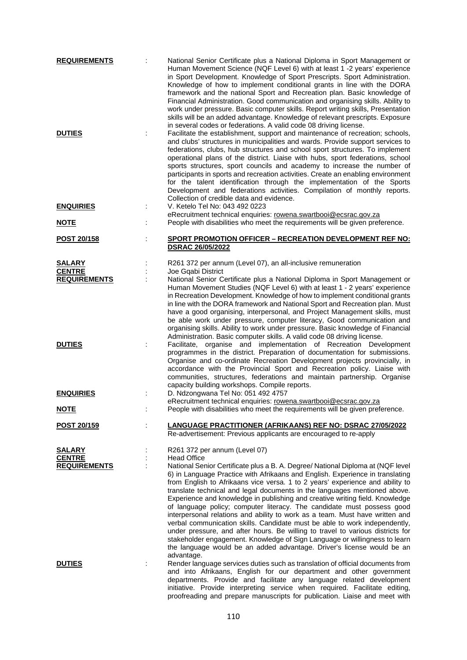| <b>REQUIREMENTS</b><br><b>DUTIES</b> |   | National Senior Certificate plus a National Diploma in Sport Management or<br>Human Movement Science (NQF Level 6) with at least 1 -2 years' experience<br>in Sport Development. Knowledge of Sport Prescripts. Sport Administration.<br>Knowledge of how to implement conditional grants in line with the DORA<br>framework and the national Sport and Recreation plan. Basic knowledge of<br>Financial Administration. Good communication and organising skills. Ability to<br>work under pressure. Basic computer skills. Report writing skills, Presentation<br>skills will be an added advantage. Knowledge of relevant prescripts. Exposure<br>in several codes or federations. A valid code 08 driving license.<br>Facilitate the establishment, support and maintenance of recreation; schools,<br>and clubs' structures in municipalities and wards. Provide support services to<br>federations, clubs, hub structures and school sport structures. To implement<br>operational plans of the district. Liaise with hubs, sport federations, school<br>sports structures, sport councils and academy to increase the number of<br>participants in sports and recreation activities. Create an enabling environment<br>for the talent identification through the implementation of the Sports<br>Development and federations activities. Compilation of monthly reports. |
|--------------------------------------|---|---------------------------------------------------------------------------------------------------------------------------------------------------------------------------------------------------------------------------------------------------------------------------------------------------------------------------------------------------------------------------------------------------------------------------------------------------------------------------------------------------------------------------------------------------------------------------------------------------------------------------------------------------------------------------------------------------------------------------------------------------------------------------------------------------------------------------------------------------------------------------------------------------------------------------------------------------------------------------------------------------------------------------------------------------------------------------------------------------------------------------------------------------------------------------------------------------------------------------------------------------------------------------------------------------------------------------------------------------------------------------------|
| <b>ENQUIRIES</b>                     |   | Collection of credible data and evidence.<br>V. Ketelo Tel No: 043 492 0223                                                                                                                                                                                                                                                                                                                                                                                                                                                                                                                                                                                                                                                                                                                                                                                                                                                                                                                                                                                                                                                                                                                                                                                                                                                                                                     |
| <u>NOTE</u>                          |   | eRecruitment technical enquiries: rowena.swartbooi@ecsrac.gov.za<br>People with disabilities who meet the requirements will be given preference.                                                                                                                                                                                                                                                                                                                                                                                                                                                                                                                                                                                                                                                                                                                                                                                                                                                                                                                                                                                                                                                                                                                                                                                                                                |
| <b>POST 20/158</b>                   |   | SPORT PROMOTION OFFICER - RECREATION DEVELOPMENT REF NO:                                                                                                                                                                                                                                                                                                                                                                                                                                                                                                                                                                                                                                                                                                                                                                                                                                                                                                                                                                                                                                                                                                                                                                                                                                                                                                                        |
|                                      |   | <b>DSRAC 26/05/2022</b>                                                                                                                                                                                                                                                                                                                                                                                                                                                                                                                                                                                                                                                                                                                                                                                                                                                                                                                                                                                                                                                                                                                                                                                                                                                                                                                                                         |
| <b>SALARY</b>                        |   | R261 372 per annum (Level 07), an all-inclusive remuneration                                                                                                                                                                                                                                                                                                                                                                                                                                                                                                                                                                                                                                                                                                                                                                                                                                                                                                                                                                                                                                                                                                                                                                                                                                                                                                                    |
| <b>CENTRE</b><br><b>REQUIREMENTS</b> |   | Joe Gqabi District<br>National Senior Certificate plus a National Diploma in Sport Management or                                                                                                                                                                                                                                                                                                                                                                                                                                                                                                                                                                                                                                                                                                                                                                                                                                                                                                                                                                                                                                                                                                                                                                                                                                                                                |
|                                      |   | Human Movement Studies (NQF Level 6) with at least 1 - 2 years' experience<br>in Recreation Development. Knowledge of how to implement conditional grants<br>in line with the DORA framework and National Sport and Recreation plan. Must<br>have a good organising, interpersonal, and Project Management skills, must<br>be able work under pressure, computer literacy, Good communication and<br>organising skills. Ability to work under pressure. Basic knowledge of Financial<br>Administration. Basic computer skills. A valid code 08 driving license.                                                                                                                                                                                                                                                                                                                                                                                                                                                                                                                                                                                                                                                                                                                                                                                                                 |
| <b>DUTIES</b>                        | ÷ | Facilitate, organise and implementation of Recreation Development<br>programmes in the district. Preparation of documentation for submissions.<br>Organise and co-ordinate Recreation Development projects provincially, in<br>accordance with the Provincial Sport and Recreation policy. Liaise with<br>communities, structures, federations and maintain partnership. Organise<br>capacity building workshops. Compile reports.                                                                                                                                                                                                                                                                                                                                                                                                                                                                                                                                                                                                                                                                                                                                                                                                                                                                                                                                              |
| <b>ENQUIRIES</b>                     |   | D. Ndzongwana Tel No: 051 492 4757                                                                                                                                                                                                                                                                                                                                                                                                                                                                                                                                                                                                                                                                                                                                                                                                                                                                                                                                                                                                                                                                                                                                                                                                                                                                                                                                              |
| <u>NOTE</u>                          |   | eRecruitment technical enquiries: rowena.swartbooi@ecsrac.gov.za<br>People with disabilities who meet the requirements will be given preference.                                                                                                                                                                                                                                                                                                                                                                                                                                                                                                                                                                                                                                                                                                                                                                                                                                                                                                                                                                                                                                                                                                                                                                                                                                |
| POST 20/159                          |   | <b>LANGUAGE PRACTITIONER (AFRIKAANS) REF NO: DSRAC 27/05/2022</b><br>Re-advertisement: Previous applicants are encouraged to re-apply                                                                                                                                                                                                                                                                                                                                                                                                                                                                                                                                                                                                                                                                                                                                                                                                                                                                                                                                                                                                                                                                                                                                                                                                                                           |
| SALARY                               |   | R261 372 per annum (Level 07)                                                                                                                                                                                                                                                                                                                                                                                                                                                                                                                                                                                                                                                                                                                                                                                                                                                                                                                                                                                                                                                                                                                                                                                                                                                                                                                                                   |
| <b>CENTRE</b><br><b>REQUIREMENTS</b> |   | <b>Head Office</b><br>National Senior Certificate plus a B. A. Degree/ National Diploma at (NQF level                                                                                                                                                                                                                                                                                                                                                                                                                                                                                                                                                                                                                                                                                                                                                                                                                                                                                                                                                                                                                                                                                                                                                                                                                                                                           |
|                                      |   | 6) in Language Practice with Afrikaans and English. Experience in translating<br>from English to Afrikaans vice versa. 1 to 2 years' experience and ability to<br>translate technical and legal documents in the languages mentioned above.<br>Experience and knowledge in publishing and creative writing field. Knowledge<br>of language policy; computer literacy. The candidate must possess good<br>interpersonal relations and ability to work as a team. Must have written and<br>verbal communication skills. Candidate must be able to work independently,<br>under pressure, and after hours. Be willing to travel to various districts for<br>stakeholder engagement. Knowledge of Sign Language or willingness to learn<br>the language would be an added advantage. Driver's license would be an<br>advantage.                                                                                                                                                                                                                                                                                                                                                                                                                                                                                                                                                     |
| <b>DUTIES</b>                        |   | Render language services duties such as translation of official documents from<br>and into Afrikaans, English for our department and other government<br>departments. Provide and facilitate any language related development<br>initiative. Provide interpreting service when required. Facilitate editing,<br>proofreading and prepare manuscripts for publication. Liaise and meet with                                                                                                                                                                                                                                                                                                                                                                                                                                                                                                                                                                                                                                                                                                                                                                                                                                                                                                                                                                                      |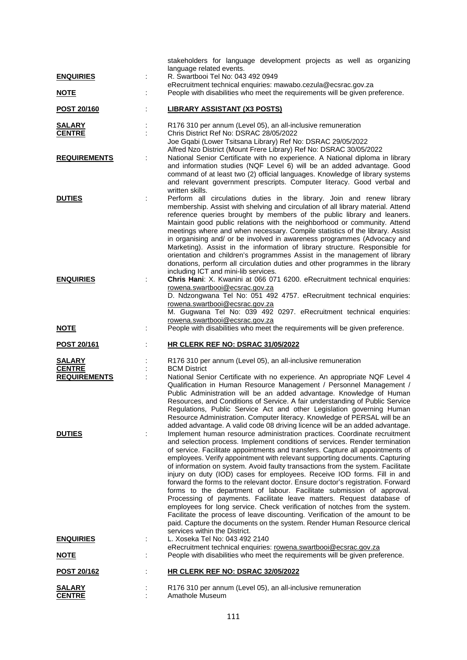|                                | stakeholders for language development projects as well as organizing                                                                                          |
|--------------------------------|---------------------------------------------------------------------------------------------------------------------------------------------------------------|
| <b>ENQUIRIES</b>               | language related events.<br>R. Swartbooi Tel No: 043 492 0949                                                                                                 |
|                                | eRecruitment technical enquiries: mawabo.cezula@ecsrac.gov.za                                                                                                 |
| <u>NOTE</u>                    | People with disabilities who meet the requirements will be given preference.                                                                                  |
| POST 20/160                    | <b>LIBRARY ASSISTANT (X3 POSTS)</b>                                                                                                                           |
| <b>SALARY</b>                  | R176 310 per annum (Level 05), an all-inclusive remuneration                                                                                                  |
| <b>CENTRE</b>                  | Chris District Ref No: DSRAC 28/05/2022<br>Joe Gqabi (Lower Tsitsana Library) Ref No: DSRAC 29/05/2022                                                        |
|                                | Alfred Nzo District (Mount Frere Library) Ref No: DSRAC 30/05/2022                                                                                            |
| <b>REQUIREMENTS</b>            | National Senior Certificate with no experience. A National diploma in library<br>and information studies (NQF Level 6) will be an added advantage. Good       |
|                                | command of at least two (2) official languages. Knowledge of library systems                                                                                  |
|                                | and relevant government prescripts. Computer literacy. Good verbal and                                                                                        |
| <b>DUTIES</b>                  | written skills.<br>Perform all circulations duties in the library. Join and renew library                                                                     |
|                                | membership. Assist with shelving and circulation of all library material. Attend                                                                              |
|                                | reference queries brought by members of the public library and leaners.<br>Maintain good public relations with the neighborhood or community. Attend          |
|                                | meetings where and when necessary. Compile statistics of the library. Assist                                                                                  |
|                                | in organising and/ or be involved in awareness programmes (Advocacy and<br>Marketing). Assist in the information of library structure. Responsible for        |
|                                | orientation and children's programmes Assist in the management of library                                                                                     |
|                                | donations, perform all circulation duties and other programmes in the library                                                                                 |
| <b>ENQUIRIES</b>               | including ICT and mini-lib services.<br>Chris Hani: X. Kwanini at 066 071 6200. eRecruitment technical enquiries:                                             |
|                                | rowena.swartbooi@ecsrac.gov.za                                                                                                                                |
|                                | D. Ndzongwana Tel No: 051 492 4757. eRecruitment technical enquiries:<br>rowena.swartbooi@ecsrac.gov.za                                                       |
|                                | M. Gugwana Tel No: 039 492 0297. eRecruitment technical enquiries:                                                                                            |
| <b>NOTE</b>                    | rowena.swartbooi@ecsrac.gov.za<br>People with disabilities who meet the requirements will be given preference.                                                |
|                                |                                                                                                                                                               |
| <b>POST 20/161</b>             | HR CLERK REF NO: DSRAC 31/05/2022                                                                                                                             |
| <b>SALARY</b><br><b>CENTRE</b> | R176 310 per annum (Level 05), an all-inclusive remuneration<br><b>BCM District</b>                                                                           |
| <b>REQUIREMENTS</b>            | National Senior Certificate with no experience. An appropriate NQF Level 4                                                                                    |
|                                | Qualification in Human Resource Management / Personnel Management /                                                                                           |
|                                | Public Administration will be an added advantage. Knowledge of Human<br>Resources, and Conditions of Service. A fair understanding of Public Service          |
|                                | Regulations, Public Service Act and other Legislation governing Human                                                                                         |
|                                | Resource Administration. Computer literacy. Knowledge of PERSAL will be an<br>added advantage. A valid code 08 driving licence will be an added advantage.    |
| <b>DUTIES</b>                  | Implement human resource administration practices. Coordinate recruitment                                                                                     |
|                                | and selection process. Implement conditions of services. Render termination                                                                                   |
|                                | of service. Facilitate appointments and transfers. Capture all appointments of<br>employees. Verify appointment with relevant supporting documents. Capturing |
|                                | of information on system. Avoid faulty transactions from the system. Facilitate                                                                               |
|                                | injury on duty (IOD) cases for employees. Receive IOD forms. Fill in and<br>forward the forms to the relevant doctor. Ensure doctor's registration. Forward   |
|                                | forms to the department of labour. Facilitate submission of approval.                                                                                         |
|                                | Processing of payments. Facilitate leave matters. Request database of<br>employees for long service. Check verification of notches from the system.           |
|                                | Facilitate the process of leave discounting. Verification of the amount to be                                                                                 |
|                                | paid. Capture the documents on the system. Render Human Resource clerical<br>services within the District.                                                    |
| <b>ENQUIRIES</b>               | L. Xoseka Tel No: 043 492 2140                                                                                                                                |
| <u>NOTE</u>                    | eRecruitment technical enquiries: rowena.swartbooi@ecsrac.gov.za<br>People with disabilities who meet the requirements will be given preference.              |
|                                |                                                                                                                                                               |
| POST 20/162                    | HR CLERK REF NO: DSRAC 32/05/2022                                                                                                                             |
| <b>SALARY</b>                  | R176 310 per annum (Level 05), an all-inclusive remuneration                                                                                                  |
| <b>CENTRE</b>                  | Amathole Museum                                                                                                                                               |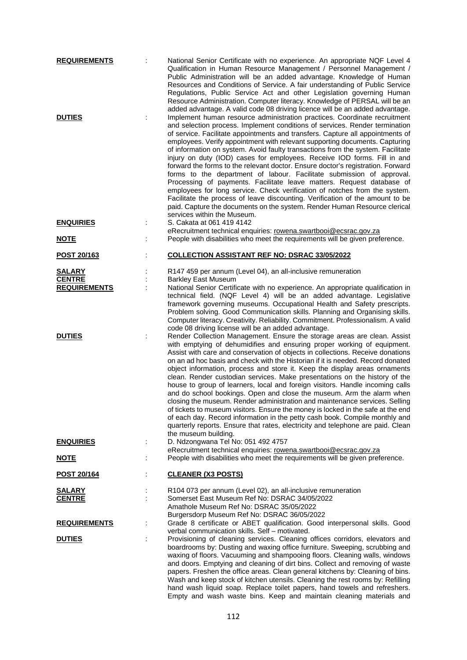| <b>REQUIREMENTS</b>                                   |   | National Senior Certificate with no experience. An appropriate NQF Level 4<br>Qualification in Human Resource Management / Personnel Management /<br>Public Administration will be an added advantage. Knowledge of Human<br>Resources and Conditions of Service. A fair understanding of Public Service<br>Regulations, Public Service Act and other Legislation governing Human<br>Resource Administration. Computer literacy. Knowledge of PERSAL will be an<br>added advantage. A valid code 08 driving licence will be an added advantage.                                                                                                                                                                                                                                                                                                                                                                                                                                                             |
|-------------------------------------------------------|---|-------------------------------------------------------------------------------------------------------------------------------------------------------------------------------------------------------------------------------------------------------------------------------------------------------------------------------------------------------------------------------------------------------------------------------------------------------------------------------------------------------------------------------------------------------------------------------------------------------------------------------------------------------------------------------------------------------------------------------------------------------------------------------------------------------------------------------------------------------------------------------------------------------------------------------------------------------------------------------------------------------------|
| <b>DUTIES</b>                                         |   | Implement human resource administration practices. Coordinate recruitment<br>and selection process. Implement conditions of services. Render termination<br>of service. Facilitate appointments and transfers. Capture all appointments of<br>employees. Verify appointment with relevant supporting documents. Capturing<br>of information on system. Avoid faulty transactions from the system. Facilitate<br>injury on duty (IOD) cases for employees. Receive IOD forms. Fill in and<br>forward the forms to the relevant doctor. Ensure doctor's registration. Forward<br>forms to the department of labour. Facilitate submission of approval.<br>Processing of payments. Facilitate leave matters. Request database of<br>employees for long service. Check verification of notches from the system.<br>Facilitate the process of leave discounting. Verification of the amount to be<br>paid. Capture the documents on the system. Render Human Resource clerical<br>services within the Museum.    |
| <b>ENQUIRIES</b>                                      |   | S. Cakata at 061 419 4142<br>eRecruitment technical enquiries: rowena.swartbooi@ecsrac.gov.za                                                                                                                                                                                                                                                                                                                                                                                                                                                                                                                                                                                                                                                                                                                                                                                                                                                                                                               |
| <b>NOTE</b>                                           |   | People with disabilities who meet the requirements will be given preference.                                                                                                                                                                                                                                                                                                                                                                                                                                                                                                                                                                                                                                                                                                                                                                                                                                                                                                                                |
| POST 20/163                                           |   | <b>COLLECTION ASSISTANT REF NO: DSRAC 33/05/2022</b>                                                                                                                                                                                                                                                                                                                                                                                                                                                                                                                                                                                                                                                                                                                                                                                                                                                                                                                                                        |
| <b>SALARY</b><br><b>CENTRE</b><br><b>REQUIREMENTS</b> |   | R147 459 per annum (Level 04), an all-inclusive remuneration<br><b>Barkley East Museum</b><br>National Senior Certificate with no experience. An appropriate qualification in<br>technical field. (NQF Level 4) will be an added advantage. Legislative<br>framework governing museums. Occupational Health and Safety prescripts.<br>Problem solving. Good Communication skills. Planning and Organising skills.<br>Computer literacy. Creativity. Reliability. Commitment. Professionalism. A valid<br>code 08 driving license will be an added advantage.                                                                                                                                                                                                                                                                                                                                                                                                                                                |
| <b>DUTIES</b>                                         | ÷ | Render Collection Management. Ensure the storage areas are clean. Assist<br>with emptying of dehumidifies and ensuring proper working of equipment.<br>Assist with care and conservation of objects in collections. Receive donations<br>on an ad hoc basis and check with the Historian if it is needed. Record donated<br>object information, process and store it. Keep the display areas ornaments<br>clean. Render custodian services. Make presentations on the history of the<br>house to group of learners, local and foreign visitors. Handle incoming calls<br>and do school bookings. Open and close the museum. Arm the alarm when<br>closing the museum. Render administration and maintenance services. Selling<br>of tickets to museum visitors. Ensure the money is locked in the safe at the end<br>of each day. Record information in the petty cash book. Compile monthly and<br>quarterly reports. Ensure that rates, electricity and telephone are paid. Clean<br>the museum building. |
| <b>ENQUIRIES</b>                                      |   | D. Ndzongwana Tel No: 051 492 4757<br>eRecruitment technical enquiries: rowena.swartbooi@ecsrac.gov.za                                                                                                                                                                                                                                                                                                                                                                                                                                                                                                                                                                                                                                                                                                                                                                                                                                                                                                      |
| <b>NOTE</b>                                           |   | People with disabilities who meet the requirements will be given preference.                                                                                                                                                                                                                                                                                                                                                                                                                                                                                                                                                                                                                                                                                                                                                                                                                                                                                                                                |
| POST 20/164                                           |   | <b>CLEANER (X3 POSTS)</b>                                                                                                                                                                                                                                                                                                                                                                                                                                                                                                                                                                                                                                                                                                                                                                                                                                                                                                                                                                                   |
| <b>SALARY</b><br><b>CENTRE</b>                        |   | R104 073 per annum (Level 02), an all-inclusive remuneration<br>Somerset East Museum Ref No: DSRAC 34/05/2022<br>Amathole Museum Ref No: DSRAC 35/05/2022<br>Burgersdorp Museum Ref No: DSRAC 36/05/2022                                                                                                                                                                                                                                                                                                                                                                                                                                                                                                                                                                                                                                                                                                                                                                                                    |
| <b>REQUIREMENTS</b>                                   |   | Grade 8 certificate or ABET qualification. Good interpersonal skills. Good<br>verbal communication skills. Self - motivated.                                                                                                                                                                                                                                                                                                                                                                                                                                                                                                                                                                                                                                                                                                                                                                                                                                                                                |
| <b>DUTIES</b>                                         |   | Provisioning of cleaning services. Cleaning offices corridors, elevators and<br>boardrooms by: Dusting and waxing office furniture. Sweeping, scrubbing and<br>waxing of floors. Vacuuming and shampooing floors. Cleaning walls, windows<br>and doors. Emptying and cleaning of dirt bins. Collect and removing of waste<br>papers. Freshen the office areas. Clean general kitchens by: Cleaning of bins.<br>Wash and keep stock of kitchen utensils. Cleaning the rest rooms by: Refilling<br>hand wash liquid soap. Replace toilet papers, hand towels and refreshers.<br>Empty and wash waste bins. Keep and maintain cleaning materials and                                                                                                                                                                                                                                                                                                                                                           |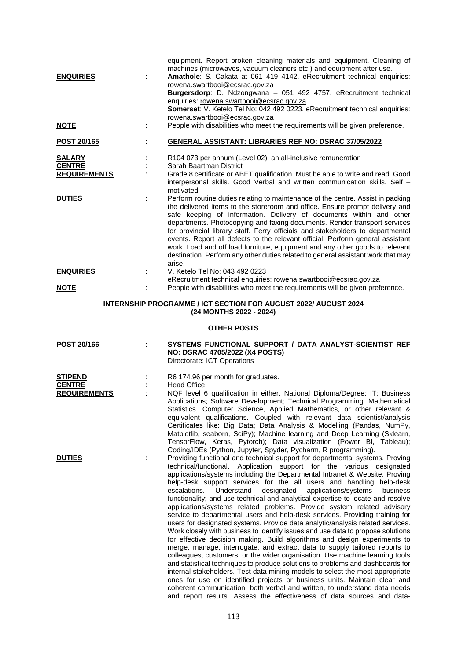| <b>ENQUIRIES</b>                                      | equipment. Report broken cleaning materials and equipment. Cleaning of<br>machines (microwaves, vacuum cleaners etc.) and equipment after use.<br>Amathole: S. Cakata at 061 419 4142. eRecruitment technical enquiries:<br>rowena.swartbooi@ecsrac.gov.za<br>Burgersdorp: D. Ndzongwana - 051 492 4757. eRecruitment technical<br>enquiries: rowena.swartbooi@ecsrac.gov.za<br>Somerset: V. Ketelo Tel No: 042 492 0223. eRecruitment technical enquiries:                                                                                                                                                                                                          |
|-------------------------------------------------------|----------------------------------------------------------------------------------------------------------------------------------------------------------------------------------------------------------------------------------------------------------------------------------------------------------------------------------------------------------------------------------------------------------------------------------------------------------------------------------------------------------------------------------------------------------------------------------------------------------------------------------------------------------------------|
| <u>NOTE</u>                                           | rowena.swartbooi@ecsrac.gov.za<br>People with disabilities who meet the requirements will be given preference.                                                                                                                                                                                                                                                                                                                                                                                                                                                                                                                                                       |
| <b>POST 20/165</b>                                    | <b>GENERAL ASSISTANT: LIBRARIES REF NO: DSRAC 37/05/2022</b>                                                                                                                                                                                                                                                                                                                                                                                                                                                                                                                                                                                                         |
| <b>SALARY</b><br><b>CENTRE</b><br><b>REQUIREMENTS</b> | R104 073 per annum (Level 02), an all-inclusive remuneration<br>Sarah Baartman District<br>Grade 8 certificate or ABET qualification. Must be able to write and read. Good<br>interpersonal skills. Good Verbal and written communication skills. Self -<br>motivated.                                                                                                                                                                                                                                                                                                                                                                                               |
| <b>DUTIES</b>                                         | Perform routine duties relating to maintenance of the centre. Assist in packing<br>the delivered items to the storeroom and office. Ensure prompt delivery and<br>safe keeping of information. Delivery of documents within and other<br>departments. Photocopying and faxing documents. Render transport services<br>for provincial library staff. Ferry officials and stakeholders to departmental<br>events. Report all defects to the relevant official. Perform general assistant<br>work. Load and off load furniture, equipment and any other goods to relevant<br>destination. Perform any other duties related to general assistant work that may<br>arise. |
| <b>ENQUIRIES</b>                                      | V. Ketelo Tel No: 043 492 0223<br>eRecruitment technical enquiries: rowena.swartbooi@ecsrac.gov.za                                                                                                                                                                                                                                                                                                                                                                                                                                                                                                                                                                   |
| <b>NOTE</b>                                           | People with disabilities who meet the requirements will be given preference.                                                                                                                                                                                                                                                                                                                                                                                                                                                                                                                                                                                         |

# **INTERNSHIP PROGRAMME / ICT SECTION FOR AUGUST 2022/ AUGUST 2024 (24 MONTHS 2022 - 2024)**

# **OTHER POSTS**

| <b>POST 20/166</b>                                     | SYSTEMS FUNCTIONAL SUPPORT / DATA ANALYST-SCIENTIST REF<br><b>NO: DSRAC 4705/2022 (X4 POSTS)</b><br>Directorate: ICT Operations                                                                                                                                                                                                                                                                                                                                                                                                                                                                                                                                                                                                                                                                                                                                                                                                                                                                                                                                                                                                                                                                                                                                                                                                                                                                                                                                |
|--------------------------------------------------------|----------------------------------------------------------------------------------------------------------------------------------------------------------------------------------------------------------------------------------------------------------------------------------------------------------------------------------------------------------------------------------------------------------------------------------------------------------------------------------------------------------------------------------------------------------------------------------------------------------------------------------------------------------------------------------------------------------------------------------------------------------------------------------------------------------------------------------------------------------------------------------------------------------------------------------------------------------------------------------------------------------------------------------------------------------------------------------------------------------------------------------------------------------------------------------------------------------------------------------------------------------------------------------------------------------------------------------------------------------------------------------------------------------------------------------------------------------------|
| <b>STIPEND</b><br><b>CENTRE</b><br><b>REQUIREMENTS</b> | R6 174.96 per month for graduates.<br><b>Head Office</b><br>NQF level 6 qualification in either. National Diploma/Degree: IT; Business<br>Applications: Software Development: Technical Programming. Mathematical<br>Statistics, Computer Science, Applied Mathematics, or other relevant &<br>equivalent qualifications. Coupled with relevant data scientist/analysis<br>Certificates like: Big Data; Data Analysis & Modelling (Pandas, NumPy,<br>Matplotlib, seaborn, SciPy); Machine learning and Deep Learning (Sklearn,<br>TensorFlow, Keras, Pytorch); Data visualization (Power BI, Tableau);<br>Coding/IDEs (Python, Jupyter, Spyder, Pycharm, R programming).                                                                                                                                                                                                                                                                                                                                                                                                                                                                                                                                                                                                                                                                                                                                                                                       |
| <b>DUTIES</b>                                          | Providing functional and technical support for departmental systems. Proving<br>technical/functional. Application support for the various designated<br>applications/systems including the Departmental Intranet & Website. Proving<br>help-desk support services for the all users and handling help-desk<br>Understand<br>designated<br>applications/systems<br>escalations.<br>business<br>functionality; and use technical and analytical expertise to locate and resolve<br>applications/systems related problems. Provide system related advisory<br>service to departmental users and help-desk services. Providing training for<br>users for designated systems. Provide data analytic/analysis related services.<br>Work closely with business to identify issues and use data to propose solutions<br>for effective decision making. Build algorithms and design experiments to<br>merge, manage, interrogate, and extract data to supply tailored reports to<br>colleagues, customers, or the wider organisation. Use machine learning tools<br>and statistical techniques to produce solutions to problems and dashboards for<br>internal stakeholders. Test data mining models to select the most appropriate<br>ones for use on identified projects or business units. Maintain clear and<br>coherent communication, both verbal and written, to understand data needs<br>and report results. Assess the effectiveness of data sources and data- |